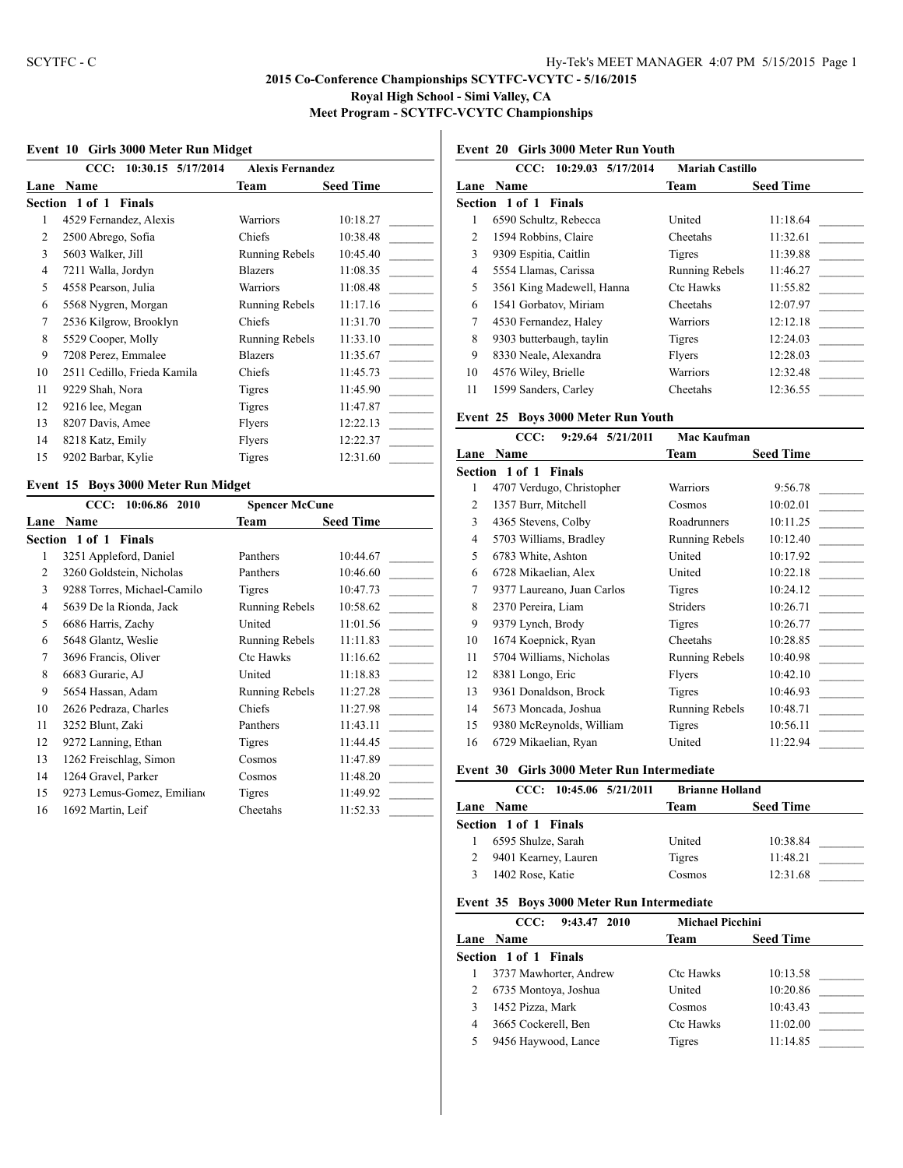## **Event 10 Girls 3000 Meter Run Midget**

|                | 10:30.15 5/17/2014<br>CCC:      | <b>Alexis Fernandez</b> |                  |
|----------------|---------------------------------|-------------------------|------------------|
| Lane           | <b>Name</b>                     | Team                    | <b>Seed Time</b> |
|                | Section 1 of 1<br><b>Finals</b> |                         |                  |
| 1              | 4529 Fernandez, Alexis          | <b>Warriors</b>         | 10:18.27         |
| $\overline{c}$ | 2500 Abrego, Sofia              | Chiefs                  | 10:38.48         |
| 3              | 5603 Walker, Jill               | Running Rebels          | 10:45.40         |
| 4              | 7211 Walla, Jordyn              | <b>Blazers</b>          | 11:08.35         |
| 5              | 4558 Pearson, Julia             | Warriors                | 11:08.48         |
| 6              | 5568 Nygren, Morgan             | Running Rebels          | 11:17.16         |
| 7              | 2536 Kilgrow, Brooklyn          | Chiefs                  | 11:31.70         |
| 8              | 5529 Cooper, Molly              | Running Rebels          | 11:33.10         |
| 9              | 7208 Perez, Emmalee             | <b>Blazers</b>          | 11:35.67         |
| 10             | 2511 Cedillo, Frieda Kamila     | Chiefs                  | 11:45.73         |
| 11             | 9229 Shah, Nora                 | <b>Tigres</b>           | 11:45.90         |
| 12             | 9216 lee, Megan                 | <b>Tigres</b>           | 11:47.87         |
| 13             | 8207 Davis, Amee                | Flyers                  | 12:22.13         |
| 14             | 8218 Katz, Emily                | Flyers                  | 12:22.37         |
| 15             | 9202 Barbar, Kylie              | Tigres                  | 12:31.60         |

## **Event 15 Boys 3000 Meter Run Midget**

|      | 10:06.86 2010<br>CCC:       | <b>Spencer McCune</b> |                  |
|------|-----------------------------|-----------------------|------------------|
| Lane | <b>Name</b>                 | Team                  | <b>Seed Time</b> |
|      | Section 1 of 1 Finals       |                       |                  |
| 1    | 3251 Appleford, Daniel      | Panthers              | 10:44.67         |
| 2    | 3260 Goldstein, Nicholas    | Panthers              | 10:46.60         |
| 3    | 9288 Torres, Michael-Camilo | Tigres                | 10:47.73         |
| 4    | 5639 De la Rionda, Jack     | Running Rebels        | 10:58.62         |
| 5    | 6686 Harris, Zachy          | United                | 11:01.56         |
| 6    | 5648 Glantz, Weslie         | Running Rebels        | 11:11.83         |
| 7    | 3696 Francis, Oliver        | Ctc Hawks             | 11:16.62         |
| 8    | 6683 Gurarie, AJ            | United                | 11:18.83         |
| 9    | 5654 Hassan, Adam           | Running Rebels        | 11:27.28         |
| 10   | 2626 Pedraza, Charles       | <b>Chiefs</b>         | 11:27.98         |
| 11   | 3252 Blunt, Zaki            | Panthers              | 11:43.11         |
| 12   | 9272 Lanning, Ethan         | Tigres                | 11:44.45         |
| 13   | 1262 Freischlag, Simon      | Cosmos                | 11:47.89         |
| 14   | 1264 Gravel, Parker         | Cosmos                | 11:48.20         |
| 15   | 9273 Lemus-Gomez, Emiliano  | Tigres                | 11:49.92         |
| 16   | 1692 Martin, Leif           | Cheetahs              | 11:52.33         |
|      |                             |                       |                  |

# **Event 20 Girls 3000 Meter Run Youth**

|      | 10:29.03 5/17/2014<br>CCC: | <b>Mariah Castillo</b> |                  |
|------|----------------------------|------------------------|------------------|
| Lane | <b>Name</b>                | Team                   | <b>Seed Time</b> |
|      | Section 1 of 1<br>Finals   |                        |                  |
| 1    | 6590 Schultz, Rebecca      | United                 | 11:18.64         |
| 2    | 1594 Robbins, Claire       | Cheetahs               | 11:32.61         |
| 3    | 9309 Espitia, Caitlin      | <b>Tigres</b>          | 11:39.88         |
| 4    | 5554 Llamas, Carissa       | Running Rebels         | 11:46.27         |
| 5    | 3561 King Madewell, Hanna  | <b>Ctc Hawks</b>       | 11:55.82         |
| 6    | 1541 Gorbatov, Miriam      | Cheetahs               | 12:07.97         |
| 7    | 4530 Fernandez, Haley      | Warriors               | 12:12.18         |
| 8    | 9303 butterbaugh, taylin   | <b>Tigres</b>          | 12:24.03         |
| 9    | 8330 Neale, Alexandra      | Flyers                 | 12:28.03         |
| 10   | 4576 Wiley, Brielle        | Warriors               | 12:32.48         |
| 11   | 1599 Sanders, Carley       | Cheetahs               | 12:36.55         |

#### **Event 25 Boys 3000 Meter Run Youth**

|    | CCC:<br>9:29.64 5/21/2011    | Mac Kaufman           |                  |
|----|------------------------------|-----------------------|------------------|
|    | <b>Lane Name</b>             | <b>Team</b>           | <b>Seed Time</b> |
|    | <b>Section 1 of 1 Finals</b> |                       |                  |
| 1  | 4707 Verdugo, Christopher    | <b>Warriors</b>       | 9:56.78          |
| 2  | 1357 Burr, Mitchell          | Cosmos                | 10:02.01         |
| 3  | 4365 Stevens, Colby          | Roadrunners           | 10:11.25         |
| 4  | 5703 Williams, Bradley       | Running Rebels        | 10:12.40         |
| 5  | 6783 White, Ashton           | United                | 10:17.92         |
| 6  | 6728 Mikaelian, Alex         | United                | 10:22.18         |
| 7  | 9377 Laureano, Juan Carlos   | Tigres                | 10:24.12         |
| 8  | 2370 Pereira, Liam           | <b>Striders</b>       | 10:26.71         |
| 9  | 9379 Lynch, Brody            | Tigres                | 10:26.77         |
| 10 | 1674 Koepnick, Ryan          | Cheetahs              | 10:28.85         |
| 11 | 5704 Williams, Nicholas      | <b>Running Rebels</b> | 10:40.98         |
| 12 | 8381 Longo, Eric             | Flyers                | 10:42.10         |
| 13 | 9361 Donaldson, Brock        | Tigres                | 10:46.93         |
| 14 | 5673 Moncada, Joshua         | Running Rebels        | 10:48.71         |
| 15 | 9380 McReynolds, William     | Tigres                | 10:56.11         |
| 16 | 6729 Mikaelian, Ryan         | United                | 11:22.94         |
|    |                              |                       |                  |

#### **Event 30 Girls 3000 Meter Run Intermediate**

| CCC: 10:45.06 5/21/2011 | <b>Brianne Holland</b> |                  |
|-------------------------|------------------------|------------------|
| Lane Name               | Team                   | <b>Seed Time</b> |
| Section 1 of 1 Finals   |                        |                  |
| 6595 Shulze, Sarah      | United                 | 10:38.84         |
| 9401 Kearney, Lauren    | Tigres                 | 11:48.21         |
| 1402 Rose, Katie        | Cosmos                 | 12:31.68         |

#### **Event 35 Boys 3000 Meter Run Intermediate**

| 9:43.47 2010<br>CCC: |                        | <b>Michael Picchini</b> |                  |
|----------------------|------------------------|-------------------------|------------------|
|                      | Lane Name              | Team                    | <b>Seed Time</b> |
|                      | Section 1 of 1 Finals  |                         |                  |
|                      | 3737 Mawhorter, Andrew | <b>Ctc Hawks</b>        | 10:13.58         |
| 2                    | 6735 Montoya, Joshua   | United                  | 10:20.86         |
|                      | 1452 Pizza, Mark       | Cosmos                  | 10:43.43         |
| 4                    | 3665 Cockerell, Ben    | <b>Ctc Hawks</b>        | 11:02.00         |
| 5                    | 9456 Haywood, Lance    | Tigres                  | 11:14.85         |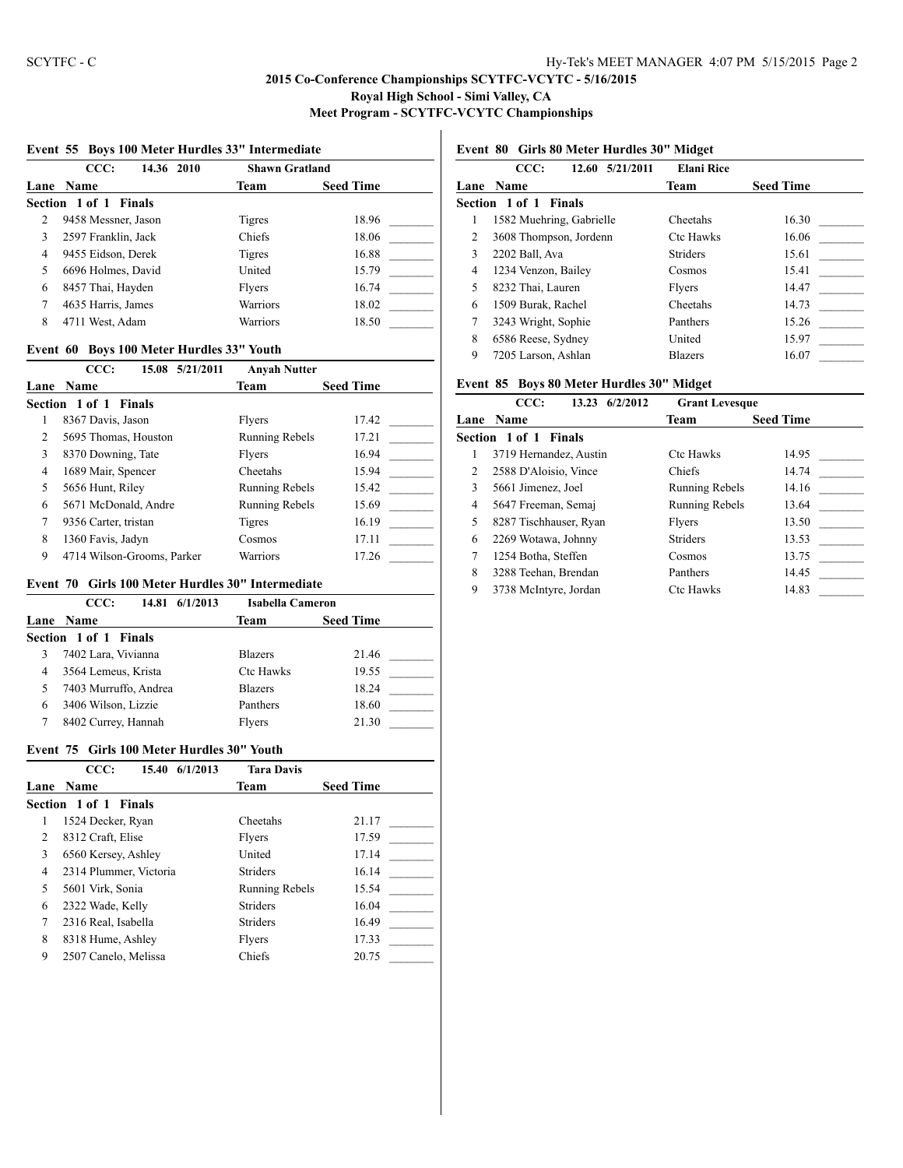#### **Event 55 Boys 100 Meter Hurdles 33" Intermediate**

|   | CCC:<br>14.36 2010    | <b>Shawn Gratland</b> |                  |
|---|-----------------------|-----------------------|------------------|
|   | Lane Name             | Team                  | <b>Seed Time</b> |
|   | Section 1 of 1 Finals |                       |                  |
| 2 | 9458 Messner, Jason   | Tigres                | 18.96            |
| 3 | 2597 Franklin, Jack   | Chiefs                | 18.06            |
| 4 | 9455 Eidson, Derek    | Tigres                | 16.88            |
| 5 | 6696 Holmes, David    | United                | 15.79            |
| 6 | 8457 Thai, Hayden     | Flyers                | 16.74            |
| 7 | 4635 Harris, James    | Warriors              | 18.02            |
| 8 | 4711 West, Adam       | Warriors              | 18.50            |

#### **Event 60 Boys 100 Meter Hurdles 33" Youth**

|   | CCC:<br>15.08 5/21/2011    | <b>Anyah Nutter</b>   |                  |
|---|----------------------------|-----------------------|------------------|
|   | Lane Name                  | Team                  | <b>Seed Time</b> |
|   | Section 1 of 1 Finals      |                       |                  |
| 1 | 8367 Davis, Jason          | Flyers                | 17.42            |
| 2 | 5695 Thomas, Houston       | <b>Running Rebels</b> | 17.21            |
| 3 | 8370 Downing, Tate         | Flyers                | 16.94            |
| 4 | 1689 Mair, Spencer         | Cheetahs              | 15.94            |
| 5 | 5656 Hunt, Riley           | <b>Running Rebels</b> | 15.42            |
| 6 | 5671 McDonald, Andre       | <b>Running Rebels</b> | 15.69            |
| 7 | 9356 Carter, tristan       | Tigres                | 16.19            |
| 8 | 1360 Favis, Jadyn          | Cosmos                | 17.11            |
| 9 | 4714 Wilson-Grooms, Parker | Warriors              | 17.26            |

#### **Event 70 Girls 100 Meter Hurdles 30" Intermediate**

|   | CCC:                  | 14.81 6/1/2013 | <b>Isabella Cameron</b> |                  |
|---|-----------------------|----------------|-------------------------|------------------|
|   | Lane Name             |                | Team                    | <b>Seed Time</b> |
|   | Section 1 of 1 Finals |                |                         |                  |
|   | 7402 Lara, Vivianna   |                | <b>Blazers</b>          | 21.46            |
| 4 | 3564 Lemeus, Krista   |                | <b>Ctc Hawks</b>        | 19.55            |
| 5 | 7403 Murruffo, Andrea |                | <b>Blazers</b>          | 18.24            |
| 6 | 3406 Wilson, Lizzie   |                | Panthers                | 18.60            |
|   | 8402 Currey, Hannah   |                | Flyers                  | 21.30            |

#### **Event 75 Girls 100 Meter Hurdles 30" Youth**

|                | CCC:<br>6/1/2013<br>15.40 | <b>Tara Davis</b>     |                  |
|----------------|---------------------------|-----------------------|------------------|
| Lane           | <b>Name</b>               | Team                  | <b>Seed Time</b> |
|                | Section 1 of 1 Finals     |                       |                  |
|                | 1524 Decker, Ryan         | Cheetahs              | 21.17            |
| $\mathfrak{D}$ | 8312 Craft, Elise         | Flyers                | 17.59            |
| 3              | 6560 Kersey, Ashley       | United                | 17.14            |
| 4              | 2314 Plummer, Victoria    | <b>Striders</b>       | 16.14            |
| 5              | 5601 Virk, Sonia          | <b>Running Rebels</b> | 15.54            |
| 6              | 2322 Wade, Kelly          | <b>Striders</b>       | 16.04            |
| 7              | 2316 Real, Isabella       | <b>Striders</b>       | 16.49            |
| 8              | 8318 Hume, Ashley         | Flyers                | 17.33            |
| 9              | 2507 Canelo, Melissa      | Chiefs                | 20.75            |

## **Event 80 Girls 80 Meter Hurdles 30" Midget**

|   | CCC:<br>12.60 5/21/2011  | <b>Elani Rice</b> |                  |
|---|--------------------------|-------------------|------------------|
|   | Lane Name                | Team              | <b>Seed Time</b> |
|   | Section 1 of 1 Finals    |                   |                  |
| 1 | 1582 Muehring, Gabrielle | Cheetahs          | 16.30            |
| 2 | 3608 Thompson, Jordenn   | <b>Ctc Hawks</b>  | 16.06            |
| 3 | 2202 Ball, Ava           | <b>Striders</b>   | 15.61            |
| 4 | 1234 Venzon, Bailey      | Cosmos            | 15.41            |
| 5 | 8232 Thai, Lauren        | Flyers            | 14.47            |
| 6 | 1509 Burak, Rachel       | Cheetahs          | 14.73            |
| 7 | 3243 Wright, Sophie      | Panthers          | 15.26            |
| 8 | 6586 Reese, Sydney       | United            | 15.97            |
| 9 | 7205 Larson, Ashlan      | <b>Blazers</b>    | 16.07            |
|   |                          |                   |                  |

#### **Event 85 Boys 80 Meter Hurdles 30" Midget**

|                | CCC:                   | 6/2/2012<br>13.23 | <b>Grant Levesque</b> |                  |
|----------------|------------------------|-------------------|-----------------------|------------------|
| Lane           | <b>Name</b>            |                   | Team                  | <b>Seed Time</b> |
|                | Section 1 of 1         | <b>Finals</b>     |                       |                  |
|                | 3719 Hernandez, Austin |                   | <b>Ctc Hawks</b>      | 14.95            |
| $\mathfrak{D}$ | 2588 D'Aloisio, Vince  |                   | <b>Chiefs</b>         | 14.74            |
| 3              | 5661 Jimenez, Joel     |                   | Running Rebels        | 14.16            |
| 4              | 5647 Freeman, Semai    |                   | Running Rebels        | 13.64            |
| 5              | 8287 Tischhauser, Ryan |                   | Flyers                | 13.50            |
| 6              | 2269 Wotawa, Johnny    |                   | <b>Striders</b>       | 13.53            |
| 7              | 1254 Botha, Steffen    |                   | Cosmos                | 13.75            |
| 8              | 3288 Teehan, Brendan   |                   | Panthers              | 14.45            |
| 9              | 3738 McIntyre, Jordan  |                   | <b>Ctc Hawks</b>      | 14.83            |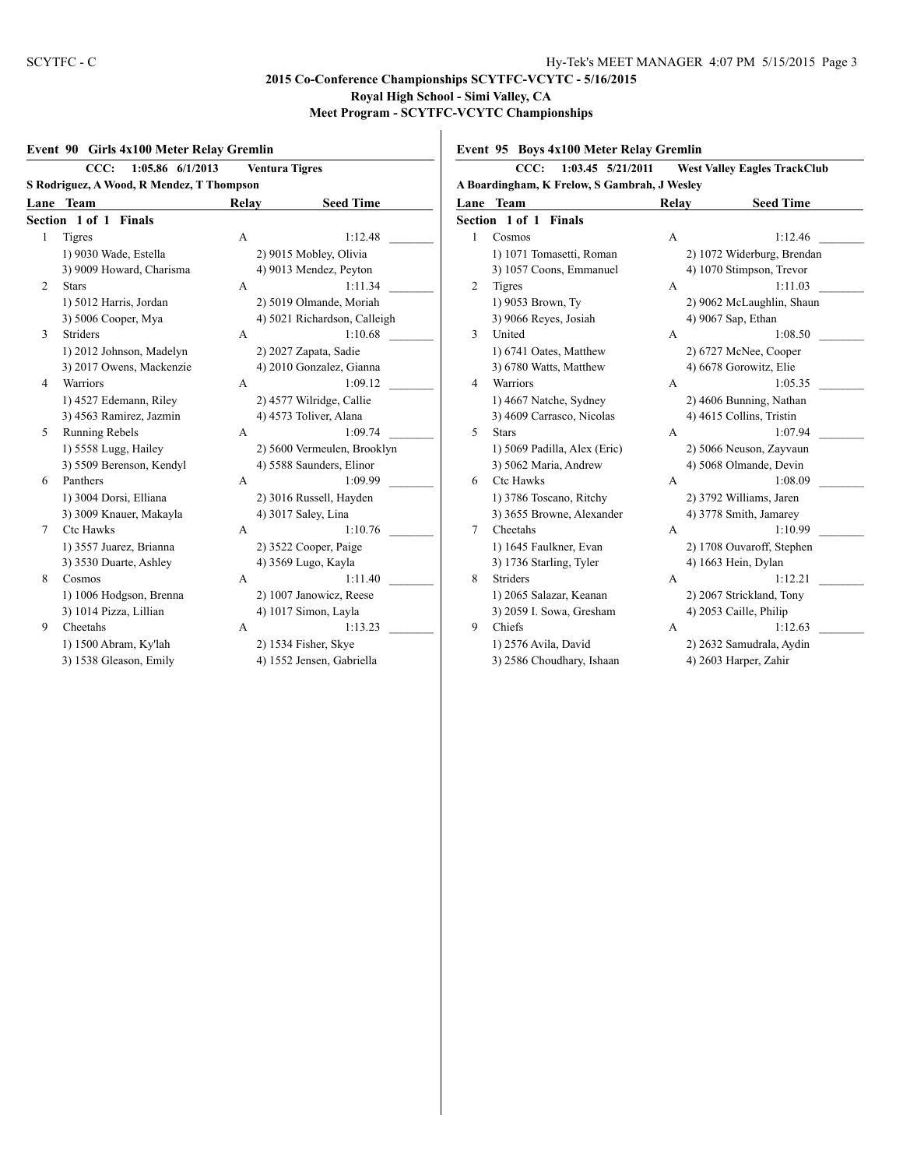#### **Event 90 Girls 4x100 Meter Relay Gremlin**

|                                           | CCC:<br>1:05.86 6/1/2013        |       | <b>Ventura Tigres</b>        |  |  |
|-------------------------------------------|---------------------------------|-------|------------------------------|--|--|
| S Rodriguez, A Wood, R Mendez, T Thompson |                                 |       |                              |  |  |
| Lane                                      | <b>Team</b>                     | Relay | <b>Seed Time</b>             |  |  |
|                                           | Section 1 of 1<br><b>Finals</b> |       |                              |  |  |
| 1                                         | <b>Tigres</b>                   | А     | 1:12.48                      |  |  |
|                                           | 1) 9030 Wade, Estella           |       | 2) 9015 Mobley, Olivia       |  |  |
|                                           | 3) 9009 Howard, Charisma        |       | 4) 9013 Mendez, Peyton       |  |  |
| $\overline{2}$                            | <b>Stars</b>                    | A     | 1:11.34                      |  |  |
|                                           | 1) 5012 Harris, Jordan          |       | 2) 5019 Olmande, Moriah      |  |  |
|                                           | 3) 5006 Cooper, Mya             |       | 4) 5021 Richardson, Calleigh |  |  |
| 3                                         | <b>Striders</b>                 | A     | 1:10.68                      |  |  |
|                                           | 1) 2012 Johnson, Madelyn        |       | 2) 2027 Zapata, Sadie        |  |  |
|                                           | 3) 2017 Owens, Mackenzie        |       | 4) 2010 Gonzalez, Gianna     |  |  |
| $\overline{4}$                            | <b>Warriors</b>                 | A     | 1:09.12                      |  |  |
|                                           | 1) 4527 Edemann, Riley          |       | 2) 4577 Wilridge, Callie     |  |  |
|                                           | 3) 4563 Ramirez, Jazmin         |       | 4) 4573 Toliver, Alana       |  |  |
| 5                                         | Running Rebels                  | A     | 1:09.74                      |  |  |
|                                           | 1) 5558 Lugg, Hailey            |       | 2) 5600 Vermeulen, Brooklyn  |  |  |
|                                           | 3) 5509 Berenson, Kendyl        |       | 4) 5588 Saunders, Elinor     |  |  |
| 6                                         | Panthers                        | A     | 1:09.99                      |  |  |
|                                           | 1) 3004 Dorsi, Elliana          |       | 2) 3016 Russell, Hayden      |  |  |
|                                           | 3) 3009 Knauer, Makayla         |       | 4) 3017 Saley, Lina          |  |  |
| $\tau$                                    | <b>Ctc Hawks</b>                | A     | 1:10.76                      |  |  |
|                                           | 1) 3557 Juarez, Brianna         |       | 2) 3522 Cooper, Paige        |  |  |
|                                           | 3) 3530 Duarte, Ashley          |       | 4) 3569 Lugo, Kayla          |  |  |
| 8                                         | Cosmos                          | А     | 1:11.40                      |  |  |
|                                           | 1) 1006 Hodgson, Brenna         |       | 2) 1007 Janowicz, Reese      |  |  |
|                                           | 3) 1014 Pizza, Lillian          |       | 4) 1017 Simon, Layla         |  |  |
| 9                                         | Cheetahs                        | A     | 1:13.23                      |  |  |
|                                           | 1) 1500 Abram, Ky'lah           |       | 2) 1534 Fisher, Skye         |  |  |
|                                           | 3) 1538 Gleason, Emily          |       | 4) 1552 Jensen, Gabriella    |  |  |
|                                           |                                 |       |                              |  |  |

**Event 95 Boys 4x100 Meter Relay Gremlin**

|      | CCC:<br>$1:03.45$ $5/21/2011$                        |       | <b>West Valley Eagles TrackClub</b> |  |  |
|------|------------------------------------------------------|-------|-------------------------------------|--|--|
|      | A Boardingham, K Frelow, S Gambrah, J Wesley<br>Team |       |                                     |  |  |
| Lane |                                                      | Relay | <b>Seed Time</b>                    |  |  |
|      | <b>Section 1 of 1 Finals</b>                         |       |                                     |  |  |
| 1    | Cosmos                                               | A     | 1:12.46                             |  |  |
|      | 1) 1071 Tomasetti, Roman                             |       | 2) 1072 Widerburg, Brendan          |  |  |
|      | 3) 1057 Coons, Emmanuel                              |       | 4) 1070 Stimpson, Trevor            |  |  |
| 2    | <b>Tigres</b>                                        | A     | 1:11.03                             |  |  |
|      | 1) 9053 Brown, Tv                                    |       | 2) 9062 McLaughlin, Shaun           |  |  |
|      | 3) 9066 Reyes, Josiah                                |       | 4) 9067 Sap, Ethan                  |  |  |
| 3    | United                                               | A     | 1:08.50                             |  |  |
|      | 1) 6741 Oates, Matthew                               |       | 2) 6727 McNee, Cooper               |  |  |
|      | 3) 6780 Watts, Matthew                               |       | 4) 6678 Gorowitz, Elie              |  |  |
| 4    | Warriors                                             | A     | 1:05.35                             |  |  |
|      | 1) 4667 Natche, Sydney                               |       | 2) 4606 Bunning, Nathan             |  |  |
|      | 3) 4609 Carrasco, Nicolas                            |       | 4) 4615 Collins, Tristin            |  |  |
| 5    | <b>Stars</b>                                         | A     | 1:07.94                             |  |  |
|      | 1) 5069 Padilla, Alex (Eric)                         |       | 2) 5066 Neuson, Zayvaun             |  |  |
|      | 3) 5062 Maria, Andrew                                |       | 4) 5068 Olmande, Devin              |  |  |
| 6    | <b>Ctc Hawks</b>                                     | A     | 1:08.09                             |  |  |
|      | 1) 3786 Toscano, Ritchy                              |       | 2) 3792 Williams, Jaren             |  |  |
|      | 3) 3655 Browne, Alexander                            |       | 4) 3778 Smith, Jamarey              |  |  |
| 7    | Cheetahs                                             | A     | 1:10.99                             |  |  |
|      | 1) 1645 Faulkner, Evan                               |       | 2) 1708 Ouvaroff, Stephen           |  |  |
|      | 3) 1736 Starling, Tyler                              |       | 4) 1663 Hein, Dylan                 |  |  |
| 8    | <b>Striders</b>                                      | A     | 1:12.21                             |  |  |
|      | 1) 2065 Salazar, Keanan                              |       | 2) 2067 Strickland, Tony            |  |  |
|      | 3) 2059 I. Sowa, Gresham                             |       | 4) 2053 Caille, Philip              |  |  |
| 9    | Chiefs                                               | A     | 1:12.63                             |  |  |
|      | 1) 2576 Avila, David                                 |       | 2) 2632 Samudrala, Aydin            |  |  |
|      | 3) 2586 Choudhary, Ishaan                            |       | 4) 2603 Harper, Zahir               |  |  |
|      |                                                      |       |                                     |  |  |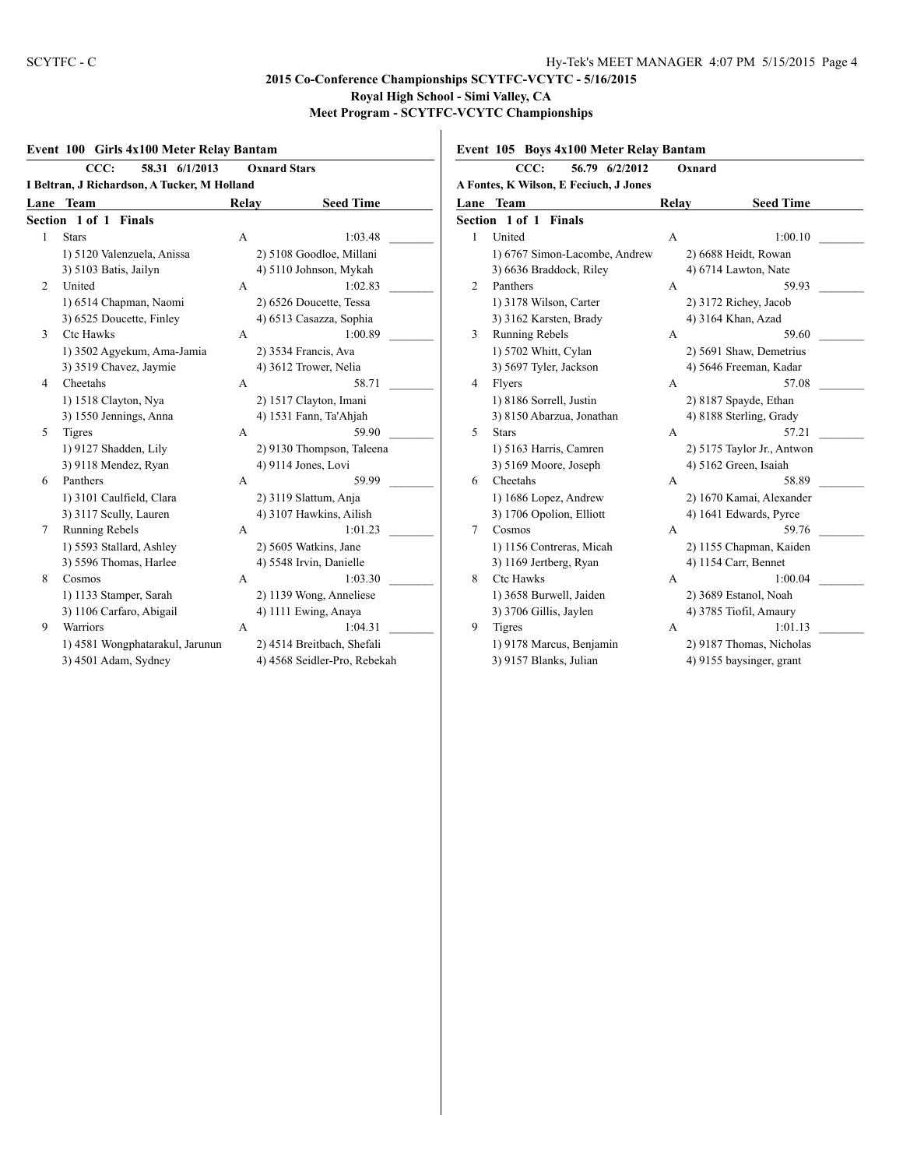#### **Event 100 Girls 4x100 Meter Relay Bantam CCC: 58.31 6/1/2013 Oxnard Stars I Beltran, J Richardson, A Tucker, M Holland Lane Team Relay Seed Time Section 1 of 1 Finals** 1 Stars A 1:03.48 1) 5120 Valenzuela, Anissa 2) 5108 Goodloe, Millani 3) 5103 Batis, Jailyn 4) 5110 Johnson, Mykah 2 United A 1:02.83 1) 6514 Chapman, Naomi 2) 6526 Doucette, Tessa 3) 6525 Doucette, Finley 4) 6513 Casazza, Sophia 3 Ctc Hawks A 1:00.89 1) 3502 Agyekum, Ama-Jamia 2) 3534 Francis, Ava 3) 3519 Chavez, Jaymie 4) 3612 Trower, Nelia 4 Cheetahs A 58.71 1) 1518 Clayton, Nya 2) 1517 Clayton, Imani 3) 1550 Jennings, Anna 4) 1531 Fann, Ta'Ahjah 5 Tigres A 59.90 1) 9127 Shadden, Lily 2) 9130 Thompson, Taleena 3) 9118 Mendez, Ryan 4) 9114 Jones, Lovi 6 Panthers A 59.99 1) 3101 Caulfield, Clara 2) 3119 Slattum, Anja 3) 3117 Scully, Lauren 4) 3107 Hawkins, Ailish 7 Running Rebels A 1:01.23 1) 5593 Stallard, Ashley 2) 5605 Watkins, Jane 3) 5596 Thomas, Harlee 4) 5548 Irvin, Danielle 8 Cosmos A 1:03.30 1) 1133 Stamper, Sarah 2) 1139 Wong, Anneliese 3) 1106 Carfaro, Abigail 4) 1111 Ewing, Anaya 9 Warriors **A** 1:04.31 | 1) 4581 Wongphatarakul, Jarunun 2) 4514 Breitbach, Shefali 3) 4501 Adam, Sydney 4) 4568 Seidler-Pro, Rebekah

#### **Event 105 Boys 4x100 Meter Relay Bantam**

|              | CCC:<br>56.79 6/2/2012                 |       | Oxnard                     |  |
|--------------|----------------------------------------|-------|----------------------------|--|
|              | A Fontes, K Wilson, E Feciuch, J Jones |       |                            |  |
|              | Lane Team                              | Relay | <b>Seed Time</b>           |  |
|              | <b>Section 1 of 1 Finals</b>           |       |                            |  |
| $\mathbf{1}$ | United                                 | A     | 1:00.10                    |  |
|              | 1) 6767 Simon-Lacombe, Andrew          |       | 2) 6688 Heidt, Rowan       |  |
|              | 3) 6636 Braddock, Riley                |       | 4) 6714 Lawton, Nate       |  |
| 2            | Panthers                               | A     | 59.93                      |  |
|              | 1) 3178 Wilson, Carter                 |       | 2) 3172 Richey, Jacob      |  |
|              | 3) 3162 Karsten, Brady                 |       | 4) 3164 Khan, Azad         |  |
| 3            | Running Rebels                         | A     | 59.60                      |  |
|              | 1) 5702 Whitt, Cylan                   |       | 2) 5691 Shaw, Demetrius    |  |
|              | 3) 5697 Tyler, Jackson                 |       | 4) 5646 Freeman, Kadar     |  |
| 4            | Flyers                                 | A     | 57.08                      |  |
|              | 1) 8186 Sorrell, Justin                |       | 2) 8187 Spayde, Ethan      |  |
|              | 3) 8150 Abarzua, Jonathan              |       | 4) 8188 Sterling, Grady    |  |
| 5            | <b>Stars</b>                           | A     | 57.21                      |  |
|              | 1) 5163 Harris, Camren                 |       | 2) 5175 Taylor Jr., Antwon |  |
|              | 3) 5169 Moore, Joseph                  |       | 4) 5162 Green, Isaiah      |  |
| 6            | Cheetahs                               | A     | 58.89                      |  |
|              | 1) 1686 Lopez, Andrew                  |       | 2) 1670 Kamai, Alexander   |  |
|              | 3) 1706 Opolion, Elliott               |       | 4) 1641 Edwards, Pyrce     |  |
| 7            | Cosmos                                 | A     | 59.76                      |  |
|              | 1) 1156 Contreras, Micah               |       | 2) 1155 Chapman, Kaiden    |  |
|              | 3) 1169 Jertberg, Ryan                 |       | 4) 1154 Carr, Bennet       |  |
| 8            | <b>Ctc Hawks</b>                       | A     | 1:00.04                    |  |
|              | 1) 3658 Burwell, Jaiden                |       | 2) 3689 Estanol, Noah      |  |
|              | 3) 3706 Gillis, Jaylen                 |       | 4) 3785 Tiofil, Amaury     |  |
| 9            | <b>Tigres</b>                          | A     | 1:01.13                    |  |
|              | 1) 9178 Marcus, Benjamin               |       | 2) 9187 Thomas, Nicholas   |  |
|              | 3) 9157 Blanks, Julian                 |       | 4) 9155 baysinger, grant   |  |
|              |                                        |       |                            |  |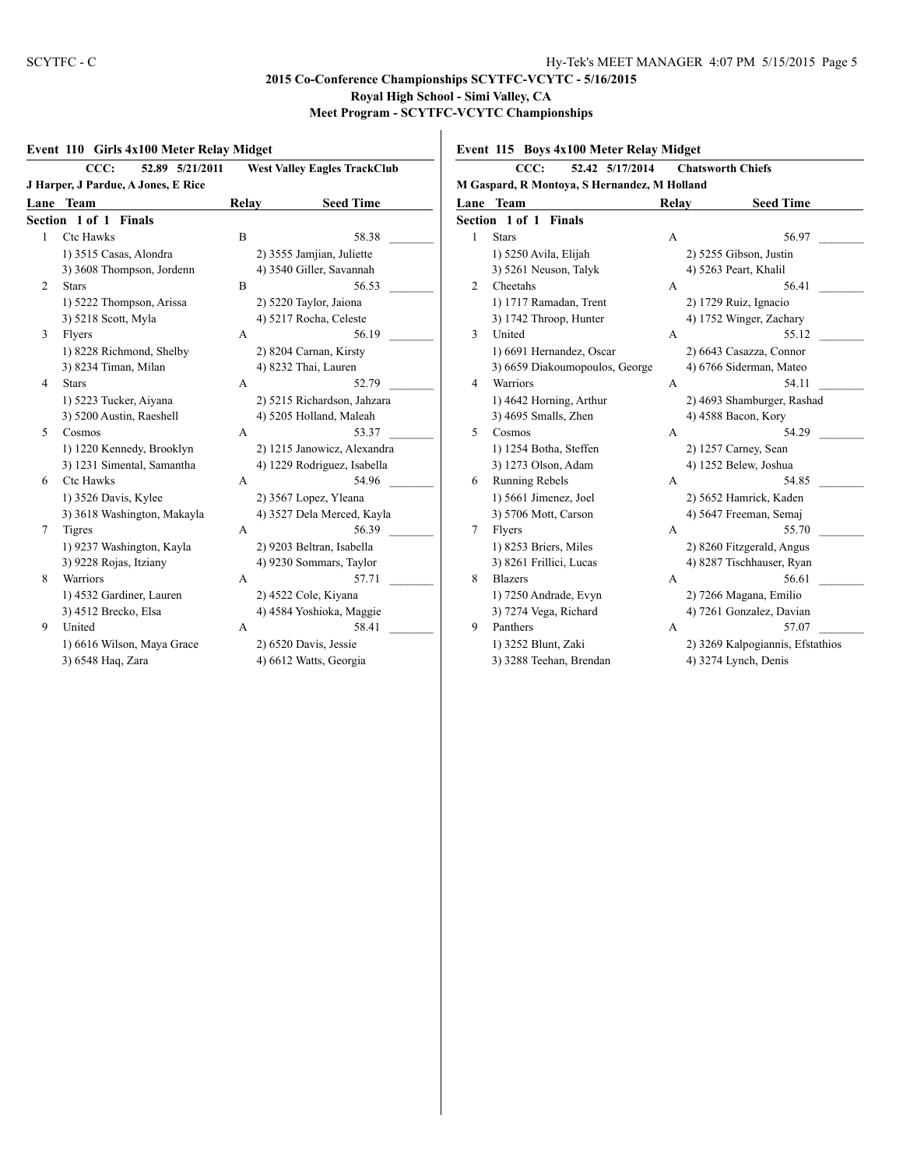## **Event 110 Girls 4x100 Meter Relay Midget**

|                | CCC:<br>52.89 5/21/2011             |       | <b>West Valley Eagles TrackClub</b> |  |  |
|----------------|-------------------------------------|-------|-------------------------------------|--|--|
|                | J Harper, J Pardue, A Jones, E Rice |       |                                     |  |  |
| Lane           | Team                                | Relay | <b>Seed Time</b>                    |  |  |
|                | Section 1 of 1 Finals               |       |                                     |  |  |
| 1              | Ctc Hawks                           | B     | 58.38                               |  |  |
|                | 1) 3515 Casas, Alondra              |       | 2) 3555 Jamjian, Juliette           |  |  |
|                | 3) 3608 Thompson, Jordenn           |       | 4) 3540 Giller, Savannah            |  |  |
| $\overline{c}$ | <b>Stars</b>                        | B     | 56.53                               |  |  |
|                | 1) 5222 Thompson, Arissa            |       | 2) 5220 Taylor, Jaiona              |  |  |
|                | 3) 5218 Scott, Myla                 |       | 4) 5217 Rocha, Celeste              |  |  |
| 3              | Flyers                              | A     | 56.19                               |  |  |
|                | 1) 8228 Richmond, Shelby            |       | 2) 8204 Carnan, Kirsty              |  |  |
|                | 3) 8234 Timan, Milan                |       | 4) 8232 Thai, Lauren                |  |  |
| $\overline{4}$ | <b>Stars</b>                        | A     | 52.79                               |  |  |
|                | 1) 5223 Tucker, Aiyana              |       | 2) 5215 Richardson, Jahzara         |  |  |
|                | 3) 5200 Austin, Raeshell            |       | 4) 5205 Holland, Maleah             |  |  |
| 5              | Cosmos                              | A     | 53.37                               |  |  |
|                | 1) 1220 Kennedy, Brooklyn           |       | 2) 1215 Janowicz, Alexandra         |  |  |
|                | 3) 1231 Simental, Samantha          |       | 4) 1229 Rodriguez, Isabella         |  |  |
| 6              | <b>Ctc Hawks</b>                    | A     | 54.96                               |  |  |
|                | 1) 3526 Davis, Kylee                |       | 2) 3567 Lopez, Yleana               |  |  |
|                | 3) 3618 Washington, Makayla         |       | 4) 3527 Dela Merced, Kayla          |  |  |
| 7              | Tigres                              | A     | 56.39                               |  |  |
|                | 1) 9237 Washington, Kayla           |       | 2) 9203 Beltran, Isabella           |  |  |
|                | 3) 9228 Rojas, Itziany              |       | 4) 9230 Sommars, Taylor             |  |  |
| 8              | Warriors                            | A     | 57.71                               |  |  |
|                | 1) 4532 Gardiner, Lauren            |       | 2) 4522 Cole, Kiyana                |  |  |
|                | 3) 4512 Brecko, Elsa                |       | 4) 4584 Yoshioka, Maggie            |  |  |
| 9              | United                              | A     | 58.41                               |  |  |
|                | 1) 6616 Wilson, Maya Grace          |       | 2) 6520 Davis, Jessie               |  |  |
|                | 3) 6548 Haq, Zara                   |       | 4) 6612 Watts, Georgia              |  |  |
|                |                                     |       |                                     |  |  |

**Event 115 Boys 4x100 Meter Relay Midget**

| CCC:<br>52.42 5/17/2014<br><b>Chatsworth Chiefs</b> |                                |       |                                  |  |  |  |
|-----------------------------------------------------|--------------------------------|-------|----------------------------------|--|--|--|
| M Gaspard, R Montoya, S Hernandez, M Holland        |                                |       |                                  |  |  |  |
|                                                     | <b>Lane Team</b>               | Relay | <b>Seed Time</b>                 |  |  |  |
| Section 1 of 1 Finals                               |                                |       |                                  |  |  |  |
| 1                                                   | <b>Stars</b>                   | A     | 56.97                            |  |  |  |
|                                                     | 1) 5250 Avila, Elijah          |       | 2) 5255 Gibson, Justin           |  |  |  |
|                                                     | 3) 5261 Neuson, Talyk          |       | 4) 5263 Peart, Khalil            |  |  |  |
| 2                                                   | Cheetahs                       | A     | 56.41                            |  |  |  |
|                                                     | 1) 1717 Ramadan, Trent         |       | 2) 1729 Ruiz, Ignacio            |  |  |  |
|                                                     | 3) 1742 Throop, Hunter         |       | 4) 1752 Winger, Zachary          |  |  |  |
| 3                                                   | United                         | A     | 55.12                            |  |  |  |
|                                                     | 1) 6691 Hernandez, Oscar       |       | 2) 6643 Casazza, Connor          |  |  |  |
|                                                     | 3) 6659 Diakoumopoulos, George |       | 4) 6766 Siderman, Mateo          |  |  |  |
| 4                                                   | Warriors                       | А     | 54.11                            |  |  |  |
|                                                     | 1) 4642 Horning, Arthur        |       | 2) 4693 Shamburger, Rashad       |  |  |  |
|                                                     | 3) 4695 Smalls, Zhen           |       | 4) 4588 Bacon, Kory              |  |  |  |
| 5                                                   | Cosmos                         | A     | 54.29                            |  |  |  |
|                                                     | 1) 1254 Botha, Steffen         |       | 2) 1257 Carney, Sean             |  |  |  |
|                                                     | 3) 1273 Olson, Adam            |       | 4) 1252 Belew, Joshua            |  |  |  |
| 6                                                   | <b>Running Rebels</b>          | А     | 54.85                            |  |  |  |
|                                                     | 1) 5661 Jimenez, Joel          |       | 2) 5652 Hamrick, Kaden           |  |  |  |
|                                                     | 3) 5706 Mott, Carson           |       | 4) 5647 Freeman, Semaj           |  |  |  |
| 7                                                   | Flyers                         | A     | 55.70                            |  |  |  |
|                                                     | 1) 8253 Briers, Miles          |       | 2) 8260 Fitzgerald, Angus        |  |  |  |
|                                                     | 3) 8261 Frillici, Lucas        |       | 4) 8287 Tischhauser, Ryan        |  |  |  |
| 8                                                   | <b>Blazers</b>                 | A     | 56.61                            |  |  |  |
|                                                     | 1) 7250 Andrade, Evyn          |       | 2) 7266 Magana, Emilio           |  |  |  |
|                                                     | 3) 7274 Vega, Richard          |       | 4) 7261 Gonzalez, Davian         |  |  |  |
| 9                                                   | Panthers                       | A     | 57.07                            |  |  |  |
|                                                     | 1) 3252 Blunt, Zaki            |       | 2) 3269 Kalpogiannis, Efstathios |  |  |  |
|                                                     | 3) 3288 Teehan, Brendan        |       | 4) 3274 Lynch, Denis             |  |  |  |
|                                                     |                                |       |                                  |  |  |  |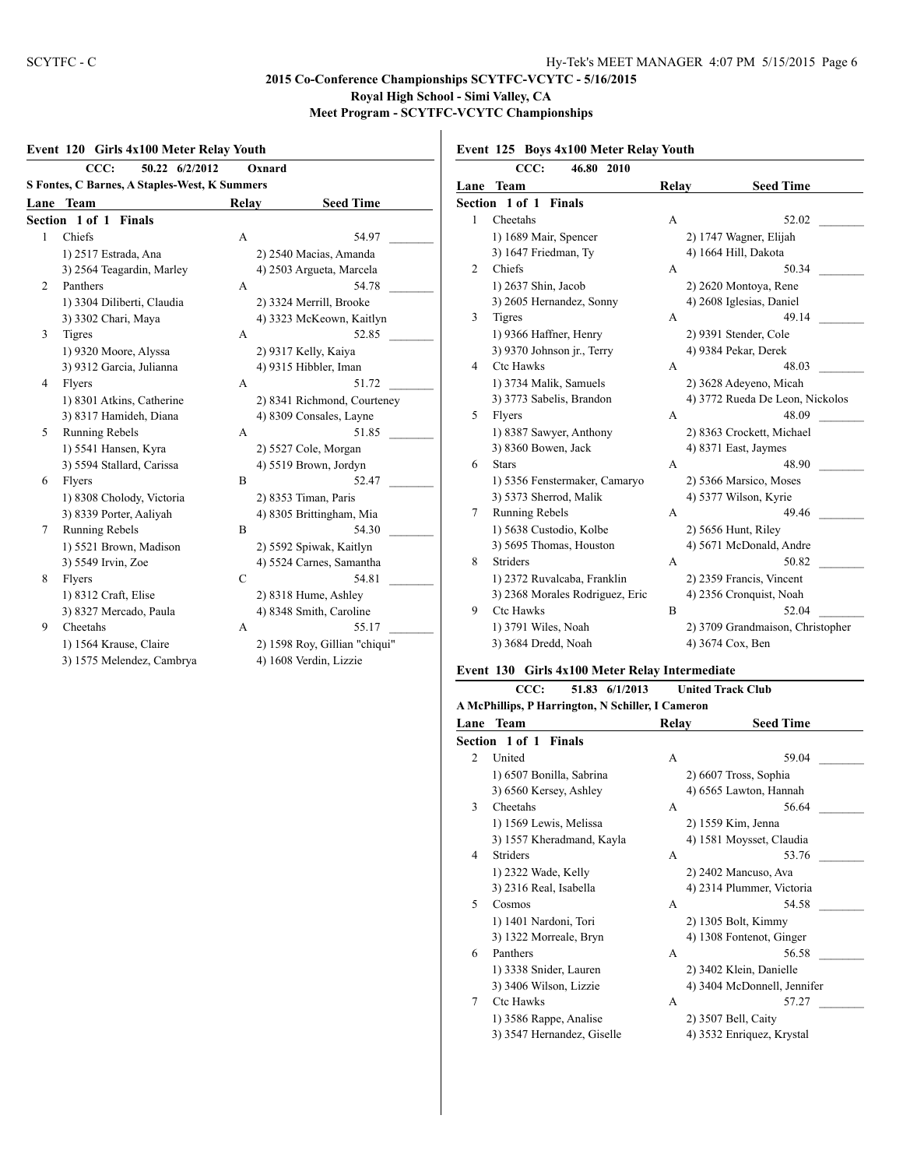$\mathbf{I}$ 

## **Event 120 Girls 4x100 Meter Relay Youth**

|                                                      | CCC:<br>50.22 6/2/2012          |              | Oxnard                        |  |
|------------------------------------------------------|---------------------------------|--------------|-------------------------------|--|
| <b>S Fontes, C Barnes, A Staples-West, K Summers</b> |                                 |              |                               |  |
| Lane                                                 | <b>Team</b>                     | <b>Relay</b> | <b>Seed Time</b>              |  |
|                                                      | Section 1 of 1<br><b>Finals</b> |              |                               |  |
| 1                                                    | Chiefs                          | A            | 54.97                         |  |
|                                                      | 1) 2517 Estrada, Ana            |              | 2) 2540 Macias, Amanda        |  |
|                                                      | 3) 2564 Teagardin, Marley       |              | 4) 2503 Argueta, Marcela      |  |
| 2                                                    | Panthers                        | A            | 54.78                         |  |
|                                                      | 1) 3304 Diliberti, Claudia      |              | 2) 3324 Merrill, Brooke       |  |
|                                                      | 3) 3302 Chari, Maya             |              | 4) 3323 McKeown, Kaitlyn      |  |
| 3                                                    | <b>Tigres</b>                   | A            | 52.85                         |  |
|                                                      | 1) 9320 Moore, Alyssa           |              | 2) 9317 Kelly, Kaiya          |  |
|                                                      | 3) 9312 Garcia, Julianna        |              | 4) 9315 Hibbler, Iman         |  |
| 4                                                    | Flyers                          | А            | 51.72                         |  |
|                                                      | 1) 8301 Atkins, Catherine       |              | 2) 8341 Richmond, Courteney   |  |
|                                                      | 3) 8317 Hamideh, Diana          |              | 4) 8309 Consales, Layne       |  |
| 5                                                    | Running Rebels                  | A            | 51.85                         |  |
|                                                      | 1) 5541 Hansen, Kyra            |              | 2) 5527 Cole, Morgan          |  |
|                                                      | 3) 5594 Stallard, Carissa       |              | 4) 5519 Brown, Jordyn         |  |
| 6                                                    | Flyers                          | B            | 52.47                         |  |
|                                                      | 1) 8308 Cholody, Victoria       |              | 2) 8353 Timan, Paris          |  |
|                                                      | 3) 8339 Porter, Aaliyah         |              | 4) 8305 Brittingham, Mia      |  |
| 7                                                    | Running Rebels                  | B            | 54.30                         |  |
|                                                      | 1) 5521 Brown, Madison          |              | 2) 5592 Spiwak, Kaitlyn       |  |
|                                                      | 3) 5549 Irvin, Zoe              |              | 4) 5524 Carnes, Samantha      |  |
| 8                                                    | Flyers                          | C            | 54.81                         |  |
|                                                      | 1) 8312 Craft, Elise            |              | 2) 8318 Hume, Ashley          |  |
|                                                      | 3) 8327 Mercado, Paula          |              | 4) 8348 Smith, Caroline       |  |
| 9                                                    | Cheetahs                        | A            | 55.17                         |  |
|                                                      | 1) 1564 Krause, Claire          |              | 2) 1598 Roy, Gillian "chiqui" |  |
|                                                      | 3) 1575 Melendez, Cambrya       |              | 4) 1608 Verdin, Lizzie        |  |
|                                                      |                                 |              |                               |  |

## **Event 125 Boys 4x100 Meter Relay Youth**

|      | CCC:<br>46.80<br><b>2010</b>    |       |                                  |
|------|---------------------------------|-------|----------------------------------|
| Lane | <b>Team</b>                     | Relay | <b>Seed Time</b>                 |
|      | <b>Section 1 of 1 Finals</b>    |       |                                  |
| 1    | Cheetahs                        | A     | 52.02                            |
|      | 1) 1689 Mair, Spencer           |       | 2) 1747 Wagner, Elijah           |
|      | 3) 1647 Friedman, Ty            |       | 4) 1664 Hill, Dakota             |
| 2    | Chiefs                          | А     | 50.34                            |
|      | 1) 2637 Shin, Jacob             |       | 2) 2620 Montoya, Rene            |
|      | 3) 2605 Hernandez, Sonny        |       | 4) 2608 Iglesias, Daniel         |
| 3    | <b>Tigres</b>                   | А     | 49.14                            |
|      | 1) 9366 Haffner, Henry          |       | 2) 9391 Stender, Cole            |
|      | 3) 9370 Johnson jr., Terry      |       | 4) 9384 Pekar, Derek             |
| 4    | <b>Ctc Hawks</b>                | A     | 48.03                            |
|      | 1) 3734 Malik, Samuels          |       | 2) 3628 Adeyeno, Micah           |
|      | 3) 3773 Sabelis, Brandon        |       | 4) 3772 Rueda De Leon, Nickolos  |
| 5    | Flyers                          | А     | 48.09                            |
|      | 1) 8387 Sawyer, Anthony         |       | 2) 8363 Crockett, Michael        |
|      | 3) 8360 Bowen, Jack             |       | 4) 8371 East, Jaymes             |
| 6    | <b>Stars</b>                    | A     | 48.90                            |
|      | 1) 5356 Fenstermaker, Camaryo   |       | 2) 5366 Marsico, Moses           |
|      | 3) 5373 Sherrod, Malik          |       | 4) 5377 Wilson, Kyrie            |
| 7    | Running Rebels                  | A     | 49.46                            |
|      | 1) 5638 Custodio, Kolbe         |       | 2) 5656 Hunt, Riley              |
|      | 3) 5695 Thomas, Houston         |       | 4) 5671 McDonald, Andre          |
| 8    | <b>Striders</b>                 | A     | 50.82                            |
|      | 1) 2372 Ruvalcaba, Franklin     |       | 2) 2359 Francis, Vincent         |
|      | 3) 2368 Morales Rodriguez, Eric |       | 4) 2356 Cronquist, Noah          |
| 9    | <b>Ctc Hawks</b>                | B     | 52.04                            |
|      | 1) 3791 Wiles, Noah             |       | 2) 3709 Grandmaison, Christopher |
|      | 3) 3684 Dredd, Noah             |       | 4) 3674 Cox, Ben                 |

#### **Event 130 Girls 4x100 Meter Relay Intermediate**

| CCC:<br>51.83 6/1/2013 |                                                   | <b>United Track Club</b> |                             |  |
|------------------------|---------------------------------------------------|--------------------------|-----------------------------|--|
|                        | A McPhillips, P Harrington, N Schiller, I Cameron |                          |                             |  |
| Lane                   | <b>Team</b>                                       | Relay                    | <b>Seed Time</b>            |  |
|                        | Section 1 of 1 Finals                             |                          |                             |  |
| 2                      | United                                            | A                        | 59.04                       |  |
|                        | 1) 6507 Bonilla, Sabrina                          |                          | 2) 6607 Tross, Sophia       |  |
|                        | 3) 6560 Kersey, Ashley                            |                          | 4) 6565 Lawton, Hannah      |  |
| 3                      | Cheetahs                                          | A                        | 56.64                       |  |
|                        | 1) 1569 Lewis, Melissa                            |                          | 2) 1559 Kim, Jenna          |  |
|                        | 3) 1557 Kheradmand, Kayla                         |                          | 4) 1581 Moysset, Claudia    |  |
| 4                      | <b>Striders</b>                                   | A                        | 53.76                       |  |
|                        | 1) 2322 Wade, Kelly                               |                          | 2) 2402 Mancuso, Ava        |  |
|                        | 3) 2316 Real, Isabella                            |                          | 4) 2314 Plummer, Victoria   |  |
| 5                      | Cosmos                                            | A                        | 54.58                       |  |
|                        | 1) 1401 Nardoni, Tori                             |                          | 2) 1305 Bolt, Kimmy         |  |
|                        | 3) 1322 Morreale, Bryn                            |                          | 4) 1308 Fontenot, Ginger    |  |
| 6                      | Panthers                                          | A                        | 56.58                       |  |
|                        | 1) 3338 Snider, Lauren                            |                          | 2) 3402 Klein, Danielle     |  |
|                        | 3) 3406 Wilson, Lizzie                            |                          | 4) 3404 McDonnell, Jennifer |  |
| 7                      | <b>Ctc Hawks</b>                                  | A                        | 57.27                       |  |
|                        | 1) 3586 Rappe, Analise                            |                          | 2) 3507 Bell, Caity         |  |
|                        | 3) 3547 Hernandez, Giselle                        |                          | 4) 3532 Enriquez, Krystal   |  |
|                        |                                                   |                          |                             |  |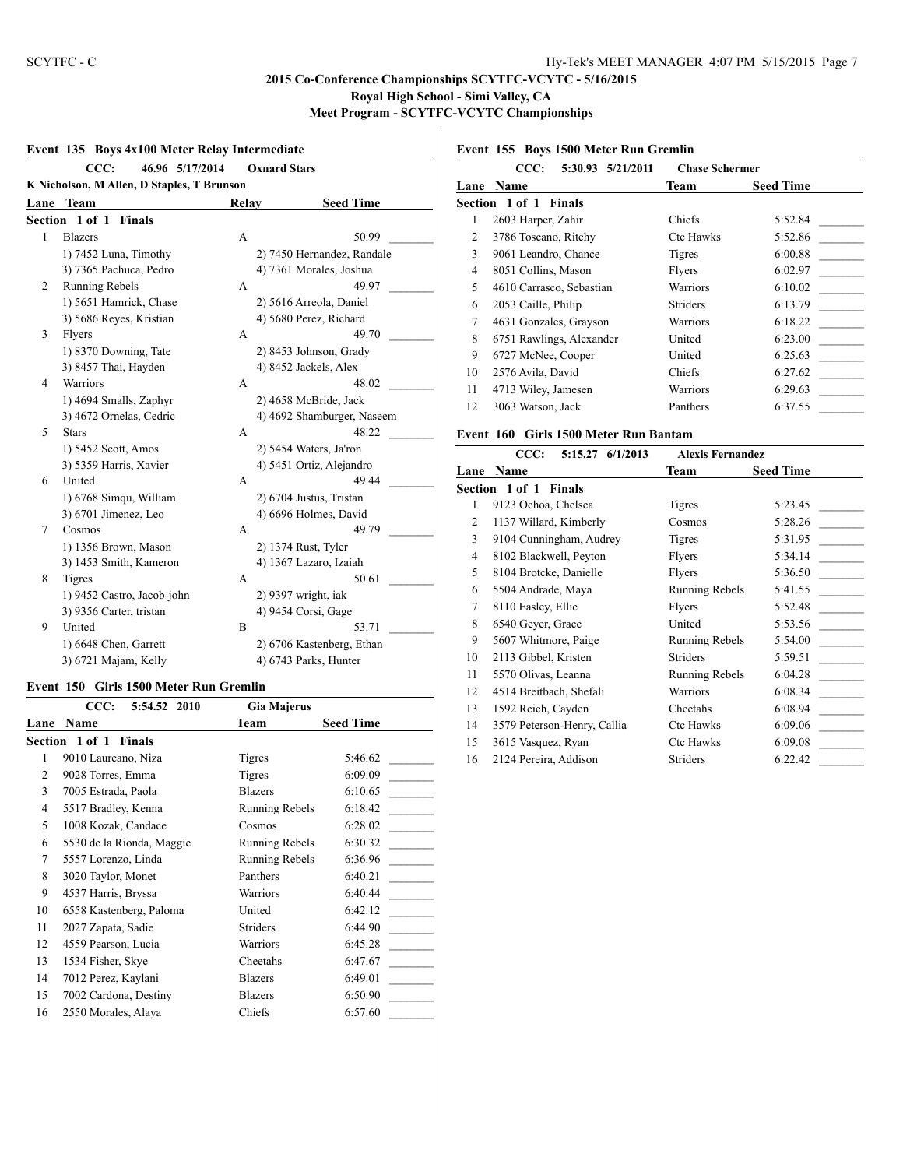## **Event 135 Boys 4x100 Meter Relay Intermediate**

|                                            | CCC:<br>46.96 5/17/2014    |       | <b>Oxnard Stars</b>        |  |  |  |
|--------------------------------------------|----------------------------|-------|----------------------------|--|--|--|
| K Nicholson, M Allen, D Staples, T Brunson |                            |       |                            |  |  |  |
| Lane                                       | <b>Team</b>                | Relay | <b>Seed Time</b>           |  |  |  |
| Section 1 of 1 Finals                      |                            |       |                            |  |  |  |
| 1                                          | <b>Blazers</b>             | A     | 50.99                      |  |  |  |
|                                            | 1) 7452 Luna, Timothy      |       | 2) 7450 Hernandez, Randale |  |  |  |
|                                            | 3) 7365 Pachuca, Pedro     |       | 4) 7361 Morales, Joshua    |  |  |  |
| 2                                          | Running Rebels             | A     | 49.97                      |  |  |  |
|                                            | 1) 5651 Hamrick, Chase     |       | 2) 5616 Arreola, Daniel    |  |  |  |
|                                            | 3) 5686 Reyes, Kristian    |       | 4) 5680 Perez, Richard     |  |  |  |
| 3                                          | Flyers                     | A     | 49.70                      |  |  |  |
|                                            | 1) 8370 Downing, Tate      |       | 2) 8453 Johnson, Grady     |  |  |  |
|                                            | 3) 8457 Thai, Hayden       |       | 4) 8452 Jackels, Alex      |  |  |  |
| $\overline{4}$                             | <b>Warriors</b>            | A     | 48.02                      |  |  |  |
|                                            | 1) 4694 Smalls, Zaphyr     |       | 2) 4658 McBride, Jack      |  |  |  |
|                                            | 3) 4672 Ornelas, Cedric    |       | 4) 4692 Shamburger, Naseem |  |  |  |
| 5                                          | <b>Stars</b>               | A     | 48.22                      |  |  |  |
|                                            | 1) 5452 Scott, Amos        |       | 2) 5454 Waters, Ja'ron     |  |  |  |
|                                            | 3) 5359 Harris, Xavier     |       | 4) 5451 Ortiz, Alejandro   |  |  |  |
| 6                                          | United                     | A     | 49.44                      |  |  |  |
|                                            | 1) 6768 Simqu, William     |       | 2) 6704 Justus, Tristan    |  |  |  |
|                                            | 3) 6701 Jimenez, Leo       |       | 4) 6696 Holmes, David      |  |  |  |
| 7                                          | Cosmos                     | A     | 49.79                      |  |  |  |
|                                            | 1) 1356 Brown, Mason       |       | 2) 1374 Rust, Tyler        |  |  |  |
|                                            | 3) 1453 Smith, Kameron     |       | 4) 1367 Lazaro, Izaiah     |  |  |  |
| 8                                          | <b>Tigres</b>              | A     | 50.61                      |  |  |  |
|                                            | 1) 9452 Castro, Jacob-john |       | 2) 9397 wright, iak        |  |  |  |
|                                            | 3) 9356 Carter, tristan    |       | 4) 9454 Corsi, Gage        |  |  |  |
| 9                                          | United                     | B     | 53.71                      |  |  |  |
|                                            | 1) 6648 Chen, Garrett      |       | 2) 6706 Kastenberg, Ethan  |  |  |  |
|                                            | 3) 6721 Majam, Kelly       |       | 4) 6743 Parks, Hunter      |  |  |  |

#### **Event 150 Girls 1500 Meter Run Gremlin**

|      | CCC:<br>5:54.52 2010            | <b>Gia Majerus</b> |                  |
|------|---------------------------------|--------------------|------------------|
| Lane | Name                            | Team               | <b>Seed Time</b> |
|      | Section 1 of 1<br><b>Finals</b> |                    |                  |
| 1    | 9010 Laureano, Niza             | <b>Tigres</b>      | 5:46.62          |
| 2    | 9028 Torres, Emma               | Tigres             | 6:09.09          |
| 3    | 7005 Estrada, Paola             | <b>Blazers</b>     | 6:10.65          |
| 4    | 5517 Bradley, Kenna             | Running Rebels     | 6:18.42          |
| 5    | 1008 Kozak, Candace             | Cosmos             | 6:28.02          |
| 6    | 5530 de la Rionda, Maggie       | Running Rebels     | 6:30.32          |
| 7    | 5557 Lorenzo, Linda             | Running Rebels     | 6:36.96          |
| 8    | 3020 Taylor, Monet              | Panthers           | 6:40.21          |
| 9    | 4537 Harris, Bryssa             | Warriors           | 6:40.44          |
| 10   | 6558 Kastenberg, Paloma         | United             | 6:42.12          |
| 11   | 2027 Zapata, Sadie              | <b>Striders</b>    | 6:44.90          |
| 12   | 4559 Pearson, Lucia             | Warriors           | 6:45.28          |
| 13   | 1534 Fisher, Skye               | Cheetahs           | 6:47.67          |
| 14   | 7012 Perez, Kaylani             | <b>Blazers</b>     | 6:49.01          |
| 15   | 7002 Cardona, Destiny           | <b>Blazers</b>     | 6:50.90          |
| 16   | 2550 Morales, Alaya             | Chiefs             | 6:57.60          |

## **Event 155 Boys 1500 Meter Run Gremlin**

|      | CCC:<br>5:30.93 5/21/2011    | <b>Chase Schermer</b> |                  |
|------|------------------------------|-----------------------|------------------|
| Lane | <b>Name</b>                  | Team                  | <b>Seed Time</b> |
|      | <b>Section 1 of 1 Finals</b> |                       |                  |
| 1    | 2603 Harper, Zahir           | Chiefs                | 5:52.84          |
| 2    | 3786 Toscano, Ritchy         | Ctc Hawks             | 5:52.86          |
| 3    | 9061 Leandro, Chance         | <b>Tigres</b>         | 6:00.88          |
| 4    | 8051 Collins, Mason          | Flyers                | 6:02.97          |
| 5    | 4610 Carrasco, Sebastian     | Warriors              | 6:10.02          |
| 6    | 2053 Caille, Philip          | <b>Striders</b>       | 6:13.79          |
| 7    | 4631 Gonzales, Grayson       | Warriors              | 6:18.22          |
| 8    | 6751 Rawlings, Alexander     | United                | 6:23.00          |
| 9    | 6727 McNee, Cooper           | United                | 6:25.63          |
| 10   | 2576 Avila, David            | Chiefs                | 6:27.62          |
| 11   | 4713 Wiley, Jamesen          | Warriors              | 6:29.63          |
| 12   | 3063 Watson, Jack            | Panthers              | 6:37.55          |

#### **Event 160 Girls 1500 Meter Run Bantam**

|      | CCC:<br>5:15.27 6/1/2013     | <b>Alexis Fernandez</b> |                  |
|------|------------------------------|-------------------------|------------------|
| Lane | <b>Name</b>                  | Team                    | <b>Seed Time</b> |
|      | <b>Section 1 of 1 Finals</b> |                         |                  |
| 1    | 9123 Ochoa, Chelsea          | Tigres                  | 5:23.45          |
| 2    | 1137 Willard, Kimberly       | Cosmos                  | 5:28.26          |
| 3    | 9104 Cunningham, Audrey      | Tigres                  | 5:31.95          |
| 4    | 8102 Blackwell, Peyton       | Flyers                  | 5:34.14          |
| 5    | 8104 Brotcke, Danielle       | Flyers                  | 5:36.50          |
| 6    | 5504 Andrade, Maya           | Running Rebels          | 5:41.55          |
| 7    | 8110 Easley, Ellie           | Flyers                  | 5:52.48          |
| 8    | 6540 Geyer, Grace            | United                  | 5:53.56          |
| 9    | 5607 Whitmore, Paige         | Running Rebels          | 5:54.00          |
| 10   | 2113 Gibbel, Kristen         | <b>Striders</b>         | 5:59.51          |
| 11   | 5570 Olivas, Leanna          | <b>Running Rebels</b>   | 6:04.28          |
| 12   | 4514 Breitbach, Shefali      | <b>Warriors</b>         | 6:08.34          |
| 13   | 1592 Reich, Cayden           | Cheetahs                | 6:08.94          |
| 14   | 3579 Peterson-Henry, Callia  | Ctc Hawks               | 6:09.06          |
| 15   | 3615 Vasquez, Ryan           | Ctc Hawks               | 6:09.08          |
| 16   | 2124 Pereira, Addison        | Striders                | 6:22.42          |
|      |                              |                         |                  |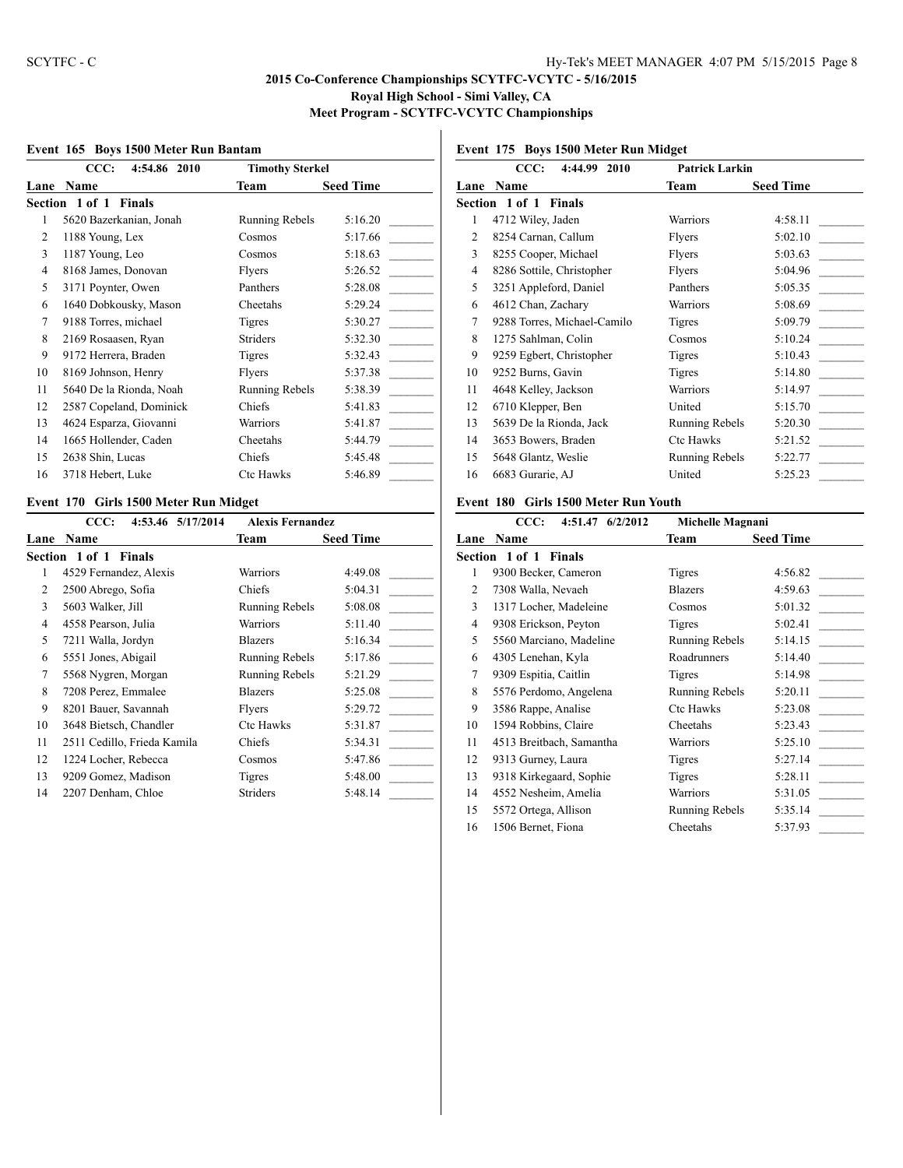#### **Event 165 Boys 1500 Meter Run Bantam**

| CCC:<br>4:54.86 2010               | <b>Timothy Sterkel</b> |                  |
|------------------------------------|------------------------|------------------|
| Name                               | Team                   | <b>Seed Time</b> |
| 1 of 1<br><b>Finals</b><br>Section |                        |                  |
| 5620 Bazerkanian, Jonah            | Running Rebels         | 5:16.20          |
| 1188 Young, Lex                    | Cosmos                 | 5:17.66          |
| 1187 Young, Leo                    | Cosmos                 | 5:18.63          |
| 8168 James, Donovan                | Flyers                 | 5:26.52          |
| 3171 Poynter, Owen                 | Panthers               | 5:28.08          |
| 1640 Dobkousky, Mason              | Cheetahs               | 5:29.24          |
| 9188 Torres, michael               | Tigres                 | 5:30.27          |
| 2169 Rosaasen, Ryan                | Striders               | 5:32.30          |
| 9172 Herrera, Braden               | <b>Tigres</b>          | 5:32.43          |
| 8169 Johnson, Henry                | Flyers                 | 5:37.38          |
| 5640 De la Rionda, Noah            | Running Rebels         | 5:38.39          |
| 2587 Copeland, Dominick            | Chiefs                 | 5:41.83          |
| 4624 Esparza, Giovanni             | Warriors               | 5:41.87          |
| 1665 Hollender, Caden              | Cheetahs               | 5:44.79          |
| 2638 Shin, Lucas                   | Chiefs                 | 5:45.48          |
| 3718 Hebert, Luke                  | <b>Ctc Hawks</b>       | 5:46.89          |
|                                    |                        |                  |

# **CCC: 4:44.99 2010 Patrick Larkin**

**Event 175 Boys 1500 Meter Run Midget**

|    | UU.                         | 1 au na Lai Nill |                  |
|----|-----------------------------|------------------|------------------|
|    | Lane Name                   | Team             | <b>Seed Time</b> |
|    | Section 1 of 1 Finals       |                  |                  |
| 1  | 4712 Wiley, Jaden           | Warriors         | 4:58.11          |
| 2  | 8254 Carnan, Callum         | Flyers           | 5:02.10          |
| 3  | 8255 Cooper, Michael        | Flyers           | 5:03.63          |
| 4  | 8286 Sottile, Christopher   | Flyers           | 5:04.96          |
| 5  | 3251 Appleford, Daniel      | Panthers         | 5:05.35          |
| 6  | 4612 Chan, Zachary          | Warriors         | 5:08.69          |
| 7  | 9288 Torres, Michael-Camilo | Tigres           | 5:09.79          |
| 8  | 1275 Sahlman, Colin         | Cosmos           | 5:10.24          |
| 9  | 9259 Egbert, Christopher    | Tigres           | 5:10.43          |
| 10 | 9252 Burns, Gavin           | <b>Tigres</b>    | 5:14.80          |
| 11 | 4648 Kelley, Jackson        | Warriors         | 5:14.97          |
| 12 | 6710 Klepper, Ben           | United           | 5:15.70          |
| 13 | 5639 De la Rionda, Jack     | Running Rebels   | 5:20.30          |
| 14 | 3653 Bowers, Braden         | Ctc Hawks        | 5:21.52          |
| 15 | 5648 Glantz, Weslie         | Running Rebels   | 5:22.77          |
| 16 | 6683 Gurarie, AJ            | United           | 5:25.23          |
|    |                             |                  |                  |

## **Event 170 Girls 1500 Meter Run Midget**

|      | CCC:<br>4:53.46 5/17/2014       | <b>Alexis Fernandez</b> |                  |
|------|---------------------------------|-------------------------|------------------|
| Lane | <b>Name</b>                     | Team                    | <b>Seed Time</b> |
|      | Section 1 of 1<br><b>Finals</b> |                         |                  |
| 1    | 4529 Fernandez, Alexis          | Warriors                | 4:49.08          |
| 2    | 2500 Abrego, Sofia              | Chiefs                  | 5:04.31          |
| 3    | 5603 Walker, Jill               | <b>Running Rebels</b>   | 5:08.08          |
| 4    | 4558 Pearson, Julia             | Warriors                | 5:11.40          |
| 5    | 7211 Walla, Jordyn              | <b>Blazers</b>          | 5:16.34          |
| 6    | 5551 Jones, Abigail             | Running Rebels          | 5:17.86          |
| 7    | 5568 Nygren, Morgan             | Running Rebels          | 5:21.29          |
| 8    | 7208 Perez, Emmalee             | <b>Blazers</b>          | 5:25.08          |
| 9    | 8201 Bauer, Savannah            | Flyers                  | 5:29.72          |
| 10   | 3648 Bietsch, Chandler          | <b>Ctc Hawks</b>        | 5:31.87          |
| 11   | 2511 Cedillo, Frieda Kamila     | <b>Chiefs</b>           | 5:34.31          |
| 12   | 1224 Locher, Rebecca            | Cosmos                  | 5:47.86          |
| 13   | 9209 Gomez, Madison             | Tigres                  | 5:48.00          |
| 14   | 2207 Denham, Chloe              | <b>Striders</b>         | 5:48.14          |
|      |                                 |                         |                  |

#### **Event 180 Girls 1500 Meter Run Youth**

|      | CCC:<br>4:51.47 6/2/2012     | Michelle Magnani      |                  |
|------|------------------------------|-----------------------|------------------|
| Lane | <b>Name</b>                  | Team                  | <b>Seed Time</b> |
|      | <b>Section 1 of 1 Finals</b> |                       |                  |
| 1    | 9300 Becker, Cameron         | Tigres                | 4:56.82          |
| 2    | 7308 Walla, Nevaeh           | <b>Blazers</b>        | 4:59.63          |
| 3    | 1317 Locher, Madeleine       | Cosmos                | 5:01.32          |
| 4    | 9308 Erickson, Peyton        | Tigres                | 5:02.41          |
| 5    | 5560 Marciano, Madeline      | <b>Running Rebels</b> | 5:14.15          |
| 6    | 4305 Lenehan, Kyla           | Roadrunners           | 5:14.40          |
| 7    | 9309 Espitia, Caitlin        | Tigres                | 5:14.98          |
| 8    | 5576 Perdomo, Angelena       | Running Rebels        | 5:20.11          |
| 9    | 3586 Rappe, Analise          | Ctc Hawks             | 5:23.08          |
| 10   | 1594 Robbins, Claire         | Cheetahs              | 5:23.43          |
| 11   | 4513 Breitbach, Samantha     | <b>Warriors</b>       | 5:25.10          |
| 12   | 9313 Gurney, Laura           | Tigres                | 5:27.14          |
| 13   | 9318 Kirkegaard, Sophie      | Tigres                | 5:28.11          |
| 14   | 4552 Nesheim, Amelia         | <b>Warriors</b>       | 5:31.05          |
| 15   | 5572 Ortega, Allison         | Running Rebels        | 5:35.14          |
| 16   | 1506 Bernet, Fiona           | Cheetahs              | 5:37.93          |
|      |                              |                       |                  |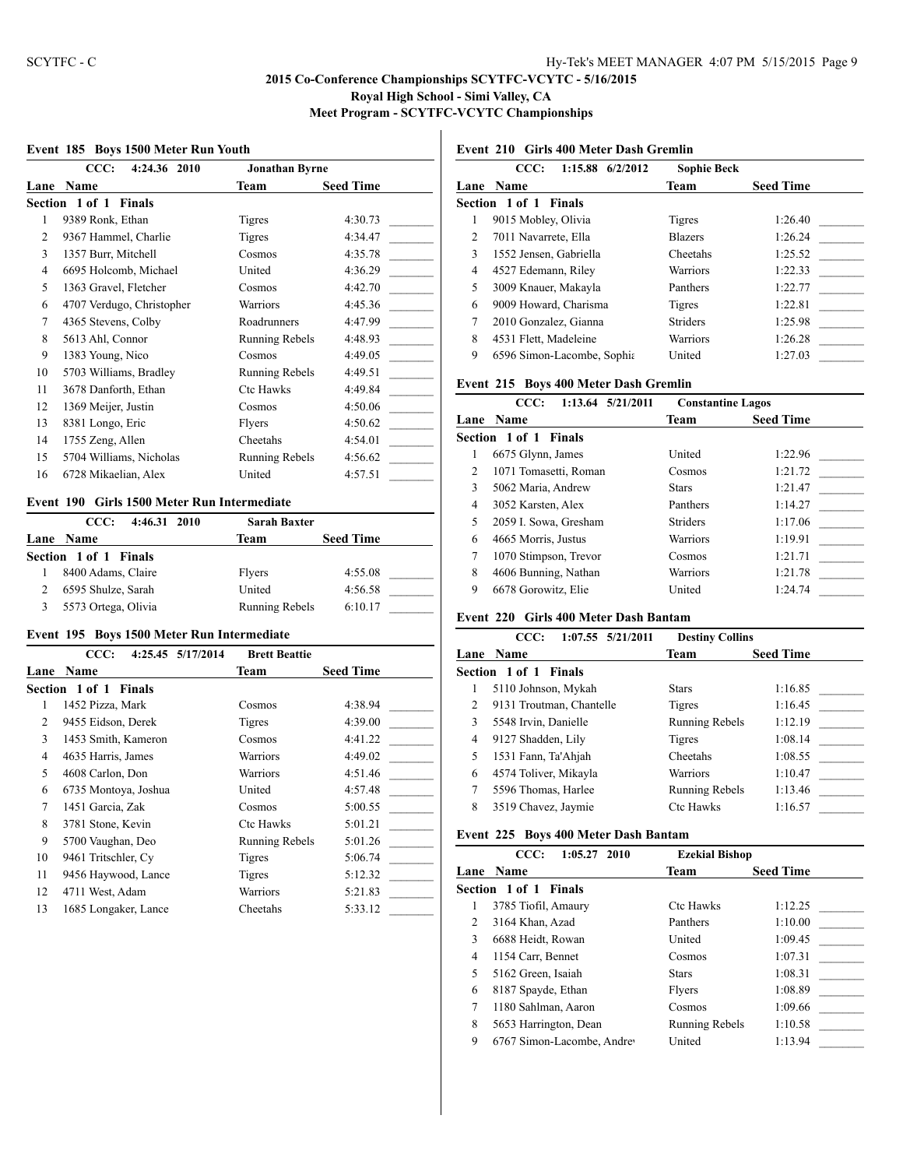#### **Event 185 Boys 1500 Meter Run Youth**

|      | CCC:<br>4:24.36 2010            | <b>Jonathan Byrne</b> |                  |
|------|---------------------------------|-----------------------|------------------|
| Lane | Name                            | Team                  | <b>Seed Time</b> |
|      | Section 1 of 1<br><b>Finals</b> |                       |                  |
| 1    | 9389 Ronk, Ethan                | <b>Tigres</b>         | 4:30.73          |
| 2    | 9367 Hammel, Charlie            | Tigres                | 4:34.47          |
| 3    | 1357 Burr, Mitchell             | Cosmos                | 4:35.78          |
| 4    | 6695 Holcomb, Michael           | United                | 4:36.29          |
| 5    | 1363 Gravel, Fletcher           | Cosmos                | 4:42.70          |
| 6    | 4707 Verdugo, Christopher       | Warriors              | 4:45.36          |
| 7    | 4365 Stevens, Colby             | Roadrunners           | 4:47.99          |
| 8    | 5613 Ahl, Connor                | Running Rebels        | 4:48.93          |
| 9    | 1383 Young, Nico                | Cosmos                | 4:49.05          |
| 10   | 5703 Williams, Bradley          | Running Rebels        | 4:49.51          |
| 11   | 3678 Danforth, Ethan            | Ctc Hawks             | 4:49.84          |
| 12   | 1369 Meijer, Justin             | Cosmos                | 4:50.06          |
| 13   | 8381 Longo, Eric                | Flyers                | 4:50.62          |
| 14   | 1755 Zeng, Allen                | Cheetahs              | 4:54.01          |
| 15   | 5704 Williams, Nicholas         | <b>Running Rebels</b> | 4:56.62          |
| 16   | 6728 Mikaelian, Alex            | United                | 4:57.51          |

#### **Event 190 Girls 1500 Meter Run Intermediate**

| 4:46.31 2010<br>CCC:  | <b>Sarah Baxter</b> |                  |
|-----------------------|---------------------|------------------|
| Lane Name             | Team                | <b>Seed Time</b> |
| Section 1 of 1 Finals |                     |                  |
| 8400 Adams, Claire    | Flyers              | 4:55.08          |
| 6595 Shulze, Sarah    | United              | 4:56.58          |
| 5573 Ortega, Olivia   | Running Rebels      | 6:10.17          |

#### **Event 195 Boys 1500 Meter Run Intermediate**

|      | CCC:                            | 4:25.45 5/17/2014 | <b>Brett Beattie</b>  |                  |
|------|---------------------------------|-------------------|-----------------------|------------------|
| Lane | <b>Name</b>                     |                   | Team                  | <b>Seed Time</b> |
|      | Section 1 of 1<br><b>Finals</b> |                   |                       |                  |
| 1    | 1452 Pizza, Mark                |                   | Cosmos                | 4:38.94          |
| 2    | 9455 Eidson, Derek              |                   | Tigres                | 4:39.00          |
| 3    | 1453 Smith, Kameron             |                   | Cosmos                | 4:41.22          |
| 4    | 4635 Harris, James              |                   | Warriors              | 4:49.02          |
| 5    | 4608 Carlon, Don                |                   | Warriors              | 4:51.46          |
| 6    | 6735 Montoya, Joshua            |                   | United                | 4:57.48          |
| 7    | 1451 Garcia, Zak                |                   | Cosmos                | 5:00.55          |
| 8    | 3781 Stone, Kevin               |                   | <b>Ctc Hawks</b>      | 5:01.21          |
| 9    | 5700 Vaughan, Deo               |                   | <b>Running Rebels</b> | 5:01.26          |
| 10   | 9461 Tritschler, Cy             |                   | Tigres                | 5:06.74          |
| 11   | 9456 Haywood, Lance             |                   | Tigres                | 5:12.32          |
| 12   | 4711 West, Adam                 |                   | Warriors              | 5:21.83          |
| 13   | 1685 Longaker, Lance            |                   | Cheetahs              | 5:33.12          |

# **Event 210 Girls 400 Meter Dash Gremlin**

|      | $1:15.88$ 6/2/2012<br>CCC: | <b>Sophie Beck</b> |                  |
|------|----------------------------|--------------------|------------------|
| Lane | <b>Name</b>                | Team               | <b>Seed Time</b> |
|      | Section 1 of 1 Finals      |                    |                  |
| 1    | 9015 Mobley, Olivia        | Tigres             | 1:26.40          |
| 2    | 7011 Navarrete, Ella       | <b>Blazers</b>     | 1:26.24          |
| 3    | 1552 Jensen, Gabriella     | Cheetahs           | 1:25.52          |
| 4    | 4527 Edemann, Riley        | Warriors           | 1:22.33          |
| 5    | 3009 Knauer, Makayla       | Panthers           | 1:22.77          |
| 6    | 9009 Howard, Charisma      | Tigres             | 1:22.81          |
| 7    | 2010 Gonzalez, Gianna      | <b>Striders</b>    | 1:25.98          |
| 8    | 4531 Flett, Madeleine      | Warriors           | 1:26.28          |
| 9    | 6596 Simon-Lacombe, Sophia | United             | 1:27.03          |
|      |                            |                    |                  |

#### **Event 215 Boys 400 Meter Dash Gremlin**

|                | 1:13.64 5/21/2011<br>CCC: | <b>Constantine Lagos</b> |                  |
|----------------|---------------------------|--------------------------|------------------|
|                | Lane Name                 | Team                     | <b>Seed Time</b> |
|                | Section 1 of 1<br>Finals  |                          |                  |
|                | 6675 Glynn, James         | United                   | 1:22.96          |
| $\mathfrak{D}$ | 1071 Tomasetti, Roman     | Cosmos                   | 1:21.72          |
| 3              | 5062 Maria, Andrew        | <b>Stars</b>             | 1:21.47          |
| 4              | 3052 Karsten, Alex        | Panthers                 | 1:14.27          |
| 5              | 2059 I. Sowa, Gresham     | <b>Striders</b>          | 1:17.06          |
| 6              | 4665 Morris, Justus       | <b>Warriors</b>          | 1:19.91          |
| 7              | 1070 Stimpson, Trevor     | Cosmos                   | 1:21.71          |
| 8              | 4606 Bunning, Nathan      | Warriors                 | 1:21.78          |
| 9              | 6678 Gorowitz, Elie       | United                   | 1:24.74          |

## **Event 220 Girls 400 Meter Dash Bantam**

|   | $1:07.55$ $5/21/2011$<br>CCC: | <b>Destiny Collins</b> |                  |
|---|-------------------------------|------------------------|------------------|
|   | <b>Lane Name</b>              | Team                   | <b>Seed Time</b> |
|   | Section 1 of 1 Finals         |                        |                  |
|   | 5110 Johnson, Mykah           | <b>Stars</b>           | 1:16.85          |
| 2 | 9131 Troutman, Chantelle      | Tigres                 | 1:16.45          |
| 3 | 5548 Irvin, Danielle          | <b>Running Rebels</b>  | 1:12.19          |
| 4 | 9127 Shadden, Lily            | Tigres                 | 1:08.14          |
| 5 | 1531 Fann, Ta'Ahjah           | Cheetahs               | 1:08.55          |
| 6 | 4574 Toliver, Mikayla         | <b>Warriors</b>        | 1:10.47          |
|   | 5596 Thomas, Harlee           | Running Rebels         | 1:13.46          |
| 8 | 3519 Chavez, Jaymie           | <b>Ctc Hawks</b>       | 1:16.57          |

## **Event 225 Boys 400 Meter Dash Bantam**

|              | CCC:<br>$1:05.27$ 2010     | <b>Ezekial Bishop</b> |                  |
|--------------|----------------------------|-----------------------|------------------|
| Lane         | <b>Name</b>                | <b>Team</b>           | <b>Seed Time</b> |
|              | Section 1 of 1 Finals      |                       |                  |
| 1            | 3785 Tiofil, Amaury        | <b>Ctc Hawks</b>      | 1:12.25          |
| 2            | 3164 Khan, Azad            | Panthers              | 1:10.00          |
| $\mathbf{3}$ | 6688 Heidt, Rowan          | United                | 1:09.45          |
| 4            | 1154 Carr, Bennet          | Cosmos                | 1:07.31          |
| 5            | 5162 Green, Isaiah         | <b>Stars</b>          | 1:08.31          |
| 6            | 8187 Spayde, Ethan         | Flyers                | 1:08.89          |
|              | 1180 Sahlman, Aaron        | Cosmos                | 1:09.66          |
| 8            | 5653 Harrington, Dean      | Running Rebels        | 1:10.58          |
| 9            | 6767 Simon-Lacombe, Andrey | United                | 1:13.94          |
|              |                            |                       |                  |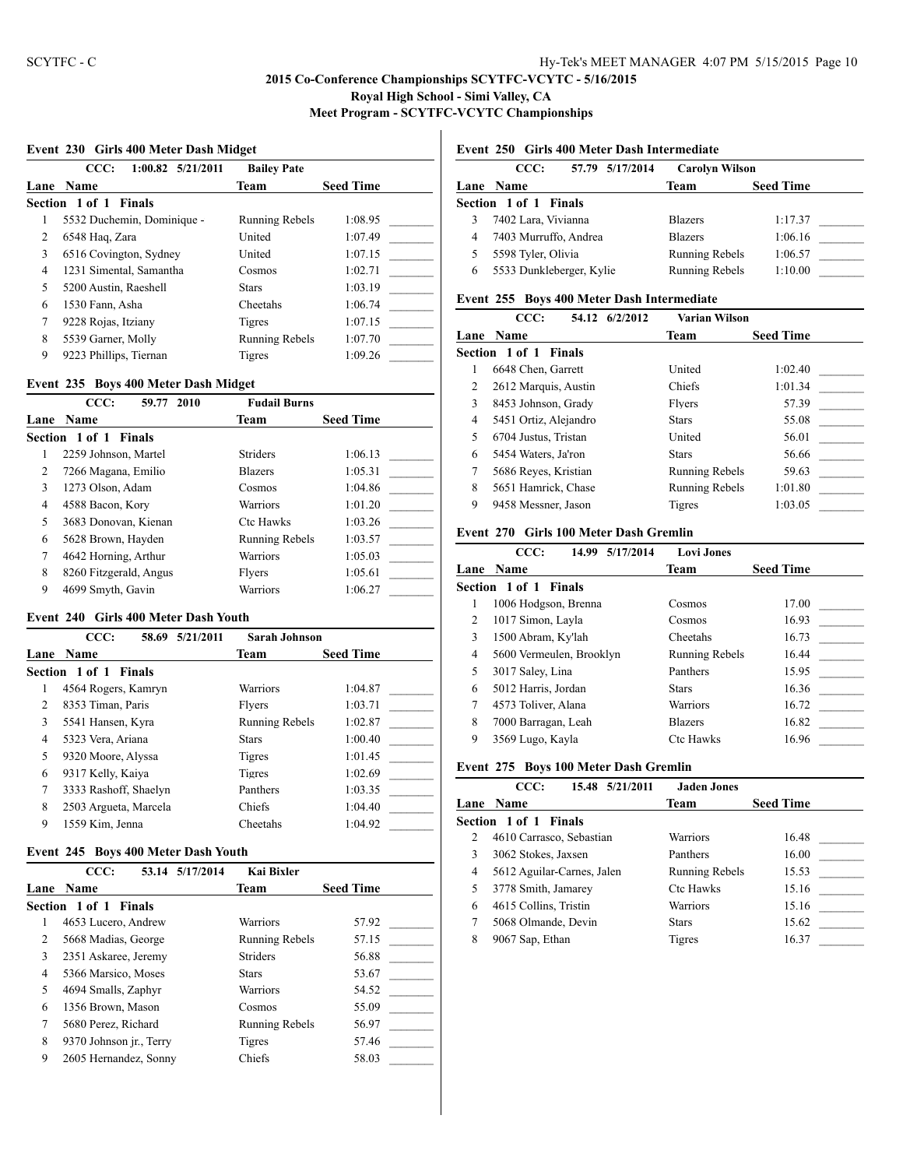#### **Event 230 Girls 400 Meter Dash Midget**

|   | CCC:<br>$1:00.82$ $5/21/2011$ | <b>Bailey Pate</b>    |                  |
|---|-------------------------------|-----------------------|------------------|
|   | Lane Name                     | Team                  | <b>Seed Time</b> |
|   | Section 1 of 1 Finals         |                       |                  |
|   | 5532 Duchemin, Dominique -    | <b>Running Rebels</b> | 1:08.95          |
| 2 | 6548 Haq, Zara                | United                | 1:07.49          |
| 3 | 6516 Covington, Sydney        | United                | 1:07.15          |
| 4 | 1231 Simental, Samantha       | Cosmos                | 1:02.71          |
| 5 | 5200 Austin, Raeshell         | <b>Stars</b>          | 1:03.19          |
| 6 | 1530 Fann, Asha               | Cheetahs              | 1:06.74          |
| 7 | 9228 Rojas, Itziany           | Tigres                | 1:07.15          |
| 8 | 5539 Garner, Molly            | <b>Running Rebels</b> | 1:07.70          |
| 9 | 9223 Phillips, Tiernan        | Tigres                | 1:09.26          |

#### **Event 235 Boys 400 Meter Dash Midget**

|                | CCC:<br>59.77 2010     | <b>Fudail Burns</b>   |                  |
|----------------|------------------------|-----------------------|------------------|
| Lane           | <b>Name</b>            | Team                  | <b>Seed Time</b> |
|                | Section 1 of 1 Finals  |                       |                  |
|                | 2259 Johnson, Martel   | <b>Striders</b>       | 1:06.13          |
| $\overline{c}$ | 7266 Magana, Emilio    | <b>Blazers</b>        | 1:05.31          |
| 3              | 1273 Olson, Adam       | Cosmos                | 1:04.86          |
| 4              | 4588 Bacon, Kory       | Warriors              | 1:01.20          |
| 5              | 3683 Donovan, Kienan   | <b>Ctc Hawks</b>      | 1:03.26          |
| 6              | 5628 Brown, Hayden     | <b>Running Rebels</b> | 1:03.57          |
| 7              | 4642 Horning, Arthur   | Warriors              | 1:05.03          |
| 8              | 8260 Fitzgerald, Angus | Flyers                | 1:05.61          |
| 9              | 4699 Smyth, Gavin      | Warriors              | 1:06.27          |

#### **Event 240 Girls 400 Meter Dash Youth**

|      | CCC:<br>58.69         | 5/21/2011 | Sarah Johnson         |                  |
|------|-----------------------|-----------|-----------------------|------------------|
| Lane | <b>Name</b>           |           | <b>Team</b>           | <b>Seed Time</b> |
|      | Section 1 of 1 Finals |           |                       |                  |
|      | 4564 Rogers, Kamryn   |           | Warriors              | 1:04.87          |
| 2    | 8353 Timan, Paris     |           | Flyers                | 1:03.71          |
| 3    | 5541 Hansen, Kyra     |           | <b>Running Rebels</b> | 1:02.87          |
| 4    | 5323 Vera, Ariana     |           | <b>Stars</b>          | 1:00.40          |
| 5    | 9320 Moore, Alyssa    |           | Tigres                | 1:01.45          |
| 6    | 9317 Kelly, Kaiya     |           | Tigres                | 1:02.69          |
| 7    | 3333 Rashoff, Shaelyn |           | Panthers              | 1:03.35          |
| 8    | 2503 Argueta, Marcela |           | Chiefs                | 1:04.40          |
| 9    | 1559 Kim, Jenna       |           | Cheetahs              | 1:04.92          |

#### **Event 245 Boys 400 Meter Dash Youth**

|   | CCC:                    | 53.14 5/17/2014 | Kai Bixler            |                  |  |
|---|-------------------------|-----------------|-----------------------|------------------|--|
|   | <b>Lane Name</b>        |                 | Team                  | <b>Seed Time</b> |  |
|   | Section 1 of 1 Finals   |                 |                       |                  |  |
|   | 4653 Lucero, Andrew     |                 | Warriors              | 57.92            |  |
| 2 | 5668 Madias, George     |                 | <b>Running Rebels</b> | 57.15            |  |
| 3 | 2351 Askaree, Jeremy    |                 | <b>Striders</b>       | 56.88            |  |
| 4 | 5366 Marsico, Moses     |                 | <b>Stars</b>          | 53.67            |  |
| 5 | 4694 Smalls, Zaphyr     |                 | Warriors              | 54.52            |  |
| 6 | 1356 Brown, Mason       |                 | Cosmos                | 55.09            |  |
| 7 | 5680 Perez, Richard     |                 | <b>Running Rebels</b> | 56.97            |  |
| 8 | 9370 Johnson jr., Terry |                 | Tigres                | 57.46            |  |
| 9 | 2605 Hernandez, Sonny   |                 | Chiefs                | 58.03            |  |

## **Event 250 Girls 400 Meter Dash Intermediate**

| CCC:      | <b>Carolyn Wilson</b>                                                                                                   |                  |
|-----------|-------------------------------------------------------------------------------------------------------------------------|------------------|
| Lane Name | Team                                                                                                                    | <b>Seed Time</b> |
|           |                                                                                                                         |                  |
|           | <b>Blazers</b>                                                                                                          | 1:17.37          |
|           | <b>Blazers</b>                                                                                                          | 1:06.16          |
| 5         | Running Rebels                                                                                                          | 1:06.57          |
|           | Running Rebels                                                                                                          | 1:10.00          |
|           | Section 1 of 1 Finals<br>7402 Lara, Vivianna<br>7403 Murruffo, Andrea<br>5598 Tyler, Olivia<br>5533 Dunkleberger, Kylie | 57.79 5/17/2014  |

## **Event 255 Boys 400 Meter Dash Intermediate**

| CCC:<br>54.12 6/2/2012 |                       |  | Varian Wilson  |                  |
|------------------------|-----------------------|--|----------------|------------------|
|                        | Lane Name             |  | Team           | <b>Seed Time</b> |
|                        | Section 1 of 1 Finals |  |                |                  |
| 1                      | 6648 Chen, Garrett    |  | United         | 1:02.40          |
| 2                      | 2612 Marquis, Austin  |  | Chiefs         | 1:01.34          |
| 3                      | 8453 Johnson, Grady   |  | Flyers         | 57.39            |
| $\overline{4}$         | 5451 Ortiz, Alejandro |  | <b>Stars</b>   | 55.08            |
| 5                      | 6704 Justus, Tristan  |  | United         | 56.01            |
| 6                      | 5454 Waters, Ja'ron   |  | <b>Stars</b>   | 56.66            |
| 7                      | 5686 Reyes, Kristian  |  | Running Rebels | 59.63            |
| 8                      | 5651 Hamrick, Chase   |  | Running Rebels | 1:01.80          |
| 9                      | 9458 Messner, Jason   |  | Tigres         | 1:03.05          |
|                        |                       |  |                |                  |

#### **Event 270 Girls 100 Meter Dash Gremlin**

|   | 5/17/2014<br>CCC:<br>14.99 | <b>Lovi Jones</b>     |                  |
|---|----------------------------|-----------------------|------------------|
|   | <b>Lane Name</b>           | Team                  | <b>Seed Time</b> |
|   | Section 1 of 1<br>Finals   |                       |                  |
|   | 1006 Hodgson, Brenna       | Cosmos                | 17.00            |
| 2 | 1017 Simon, Layla          | Cosmos                | 16.93            |
| 3 | 1500 Abram, Ky'lah         | Cheetahs              | 16.73            |
| 4 | 5600 Vermeulen, Brooklyn   | <b>Running Rebels</b> | 16.44            |
| 5 | 3017 Saley, Lina           | Panthers              | 15.95            |
| 6 | 5012 Harris, Jordan        | <b>Stars</b>          | 16.36            |
| 7 | 4573 Toliver, Alana        | <b>Warriors</b>       | 16.72            |
| 8 | 7000 Barragan, Leah        | <b>Blazers</b>        | 16.82            |
| 9 | 3569 Lugo, Kayla           | Ctc Hawks             | 16.96            |

#### **Event 275 Boys 100 Meter Dash Gremlin**

|   | CCC:<br>15.48 5/21/2011      | <b>Jaden Jones</b>    |                  |
|---|------------------------------|-----------------------|------------------|
|   | <b>Lane Name</b>             | Team                  | <b>Seed Time</b> |
|   | <b>Section 1 of 1 Finals</b> |                       |                  |
| 2 | 4610 Carrasco, Sebastian     | Warriors              | 16.48            |
|   | 3062 Stokes, Jaxsen          | Panthers              | 16.00            |
| 4 | 5612 Aguilar-Carnes, Jalen   | <b>Running Rebels</b> | 15.53            |
| 5 | 3778 Smith, Jamarey          | Ctc Hawks             | 15.16            |
| 6 | 4615 Collins, Tristin        | Warriors              | 15.16            |
|   | 5068 Olmande, Devin          | <b>Stars</b>          | 15.62            |
| 8 | 9067 Sap, Ethan              | Tigres                | 16.37            |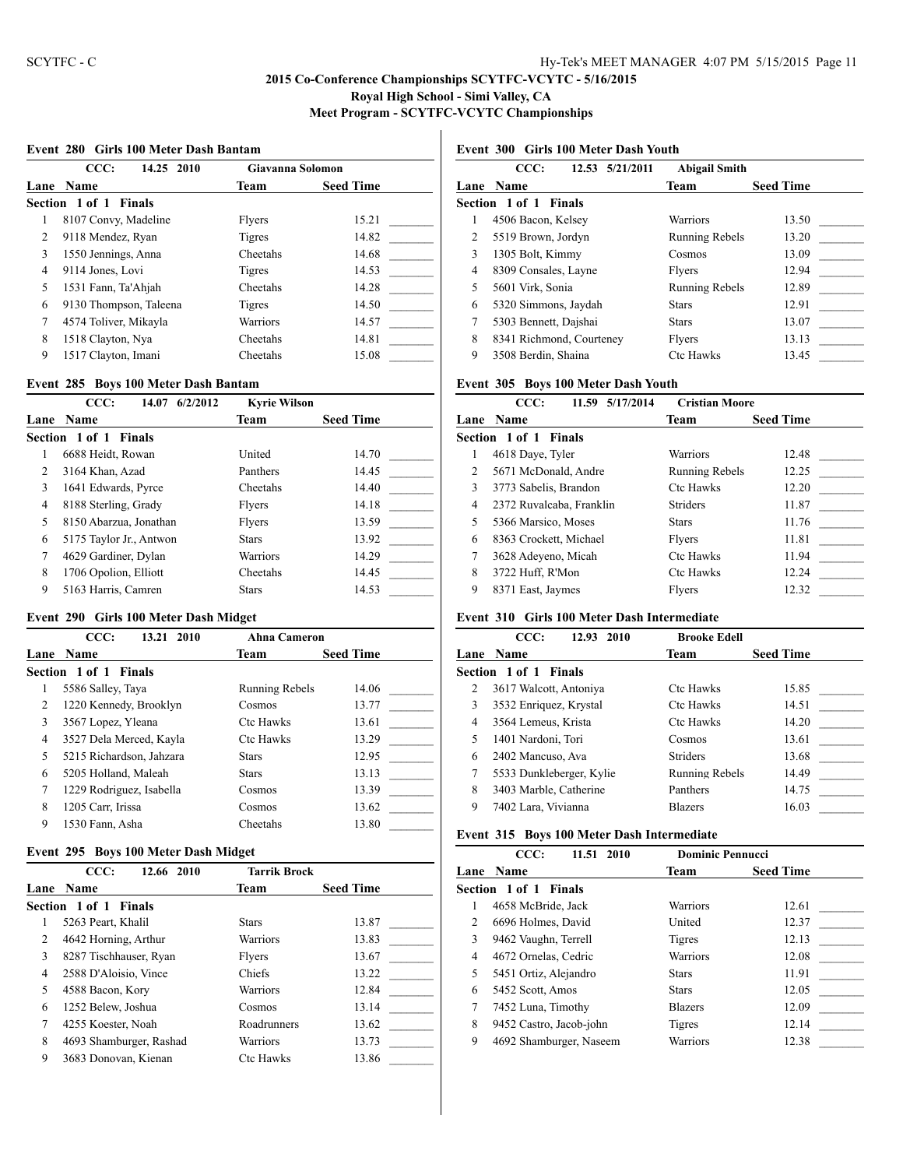#### **Event 280 Girls 100 Meter Dash Bantam**

|                | CCC:<br>14.25 2010     | Giavanna Solomon |                  |
|----------------|------------------------|------------------|------------------|
|                | Lane Name              | <b>Team</b>      | <b>Seed Time</b> |
|                | Section 1 of 1 Finals  |                  |                  |
| 1              | 8107 Convy, Madeline   | Flyers           | 15.21            |
| $\overline{c}$ | 9118 Mendez, Ryan      | Tigres           | 14.82            |
| 3              | 1550 Jennings, Anna    | Cheetahs         | 14.68            |
| 4              | 9114 Jones, Lovi       | Tigres           | 14.53            |
| 5              | 1531 Fann, Ta'Ahjah    | Cheetahs         | 14.28            |
| 6              | 9130 Thompson, Taleena | Tigres           | 14.50            |
| 7              | 4574 Toliver, Mikayla  | <b>Warriors</b>  | 14.57            |
| 8              | 1518 Clayton, Nya      | Cheetahs         | 14.81            |
| 9              | 1517 Clayton, Imani    | Cheetahs         | 15.08            |

#### **Event 285 Boys 100 Meter Dash Bantam**

|                | CCC:<br>14.07<br>6/2/2012 | <b>Kyrie Wilson</b> |                  |
|----------------|---------------------------|---------------------|------------------|
| Lane           | <b>Name</b>               | <b>Team</b>         | <b>Seed Time</b> |
|                | Section 1 of 1 Finals     |                     |                  |
|                | 6688 Heidt, Rowan         | United              | 14.70            |
| $\overline{c}$ | 3164 Khan, Azad           | Panthers            | 14.45            |
| 3              | 1641 Edwards, Pyrce       | Cheetahs            | 14.40            |
| 4              | 8188 Sterling, Grady      | Flyers              | 14.18            |
| 5              | 8150 Abarzua, Jonathan    | <b>Flvers</b>       | 13.59            |
| 6              | 5175 Taylor Jr., Antwon   | <b>Stars</b>        | 13.92            |
| 7              | 4629 Gardiner, Dylan      | Warriors            | 14.29            |
| 8              | 1706 Opolion, Elliott     | Cheetahs            | 14.45            |
| 9              | 5163 Harris, Camren       | <b>Stars</b>        | 14.53            |

#### **Event 290 Girls 100 Meter Dash Midget**

|   | CCC:<br>13.21 2010       | <b>Ahna Cameron</b>   |                  |
|---|--------------------------|-----------------------|------------------|
|   | <b>Lane Name</b>         | Team                  | <b>Seed Time</b> |
|   | Section 1 of 1 Finals    |                       |                  |
|   | 5586 Salley, Taya        | <b>Running Rebels</b> | 14.06            |
| 2 | 1220 Kennedy, Brooklyn   | Cosmos                | 13.77            |
| 3 | 3567 Lopez, Yleana       | <b>Ctc Hawks</b>      | 13.61            |
| 4 | 3527 Dela Merced, Kayla  | <b>Ctc Hawks</b>      | 13.29            |
| 5 | 5215 Richardson, Jahzara | <b>Stars</b>          | 12.95            |
| 6 | 5205 Holland, Maleah     | <b>Stars</b>          | 13.13            |
| 7 | 1229 Rodriguez, Isabella | Cosmos                | 13.39            |
| 8 | 1205 Carr, Irissa        | Cosmos                | 13.62            |
| 9 | 1530 Fann, Asha          | Cheetahs              | 13.80            |

#### **Event 295 Boys 100 Meter Dash Midget**

|      | <b>Tarrik Brock</b><br>CCC:<br>12.66 2010 |                  |                  |
|------|-------------------------------------------|------------------|------------------|
| Lane | <b>Name</b>                               | Team             | <b>Seed Time</b> |
|      | Section 1 of 1 Finals                     |                  |                  |
|      | 5263 Peart, Khalil                        | <b>Stars</b>     | 13.87            |
| 2    | 4642 Horning, Arthur                      | Warriors         | 13.83            |
| 3    | 8287 Tischhauser, Ryan                    | Flyers           | 13.67            |
| 4    | 2588 D'Aloisio, Vince                     | Chiefs           | 13.22            |
| 5    | 4588 Bacon, Kory                          | Warriors         | 12.84            |
| 6    | 1252 Belew, Joshua                        | Cosmos           | 13.14            |
| 7    | 4255 Koester, Noah                        | Roadrunners      | 13.62            |
| 8    | 4693 Shamburger, Rashad                   | Warriors         | 13.73            |
| 9    | 3683 Donovan, Kienan                      | <b>Ctc Hawks</b> | 13.86            |

# **Event 300 Girls 100 Meter Dash Youth**

| Team<br>Lane Name<br>Section 1 of 1 Finals<br>Warriors<br>4506 Bacon, Kelsey<br>5519 Brown, Jordyn<br><b>Running Rebels</b><br>2<br>3<br>1305 Bolt, Kimmy<br>Cosmos |                  |
|---------------------------------------------------------------------------------------------------------------------------------------------------------------------|------------------|
|                                                                                                                                                                     | <b>Seed Time</b> |
|                                                                                                                                                                     |                  |
|                                                                                                                                                                     | 13.50            |
|                                                                                                                                                                     | 13.20            |
|                                                                                                                                                                     | 13.09            |
| 8309 Consales, Layne<br>4<br>Flyers                                                                                                                                 | 12.94            |
| 5<br>5601 Virk, Sonia<br><b>Running Rebels</b>                                                                                                                      | 12.89            |
| 5320 Simmons, Jaydah<br>6<br><b>Stars</b>                                                                                                                           | 12.91            |
| 7<br>5303 Bennett, Daishai<br><b>Stars</b>                                                                                                                          | 13.07            |
| 8<br>8341 Richmond, Courteney<br>Flyers                                                                                                                             | 13.13            |
| 9<br><b>Ctc Hawks</b><br>3508 Berdin, Shaina                                                                                                                        | 13.45            |

## **Event 305 Boys 100 Meter Dash Youth**

|      | CCC:<br>11.59 5/17/2014      | <b>Cristian Moore</b> |                  |
|------|------------------------------|-----------------------|------------------|
| Lane | <b>Name</b>                  | Team                  | <b>Seed Time</b> |
|      | <b>Section 1 of 1 Finals</b> |                       |                  |
|      | 4618 Daye, Tyler             | <b>Warriors</b>       | 12.48            |
| 2    | 5671 McDonald, Andre         | <b>Running Rebels</b> | 12.25            |
| 3    | 3773 Sabelis, Brandon        | <b>Ctc Hawks</b>      | 12.20            |
| 4    | 2372 Ruvalcaba, Franklin     | <b>Striders</b>       | 11.87            |
| 5    | 5366 Marsico, Moses          | <b>Stars</b>          | 11.76            |
| 6    | 8363 Crockett, Michael       | Flyers                | 11.81            |
| 7    | 3628 Adeyeno, Micah          | <b>Ctc Hawks</b>      | 11.94            |
| 8    | 3722 Huff, R'Mon             | <b>Ctc Hawks</b>      | 12.24            |
| 9    | 8371 East, Jaymes            | Flvers                | 12.32            |

# **Event 310 Girls 100 Meter Dash Intermediate**

|      | CCC:<br>12.93 2010       | <b>Brooke Edell</b>   |                  |
|------|--------------------------|-----------------------|------------------|
| Lane | <b>Name</b>              | Team                  | <b>Seed Time</b> |
|      | Section 1 of 1 Finals    |                       |                  |
| 2    | 3617 Walcott, Antoniya   | <b>Ctc Hawks</b>      | 15.85            |
| 3    | 3532 Enriquez, Krystal   | <b>Ctc Hawks</b>      | 14.51            |
| 4    | 3564 Lemeus, Krista      | <b>Ctc Hawks</b>      | 14.20            |
| 5    | 1401 Nardoni, Tori       | Cosmos                | 13.61            |
| 6    | 2402 Mancuso, Ava        | <b>Striders</b>       | 13.68            |
| 7    | 5533 Dunkleberger, Kylie | <b>Running Rebels</b> | 14.49            |
| 8    | 3403 Marble, Catherine   | Panthers              | 14.75            |
| 9    | 7402 Lara, Vivianna      | <b>Blazers</b>        | 16.03            |

## **Event 315 Boys 100 Meter Dash Intermediate**

|      | CCC:<br>11.51 2010      | <b>Dominic Pennucci</b> |                  |
|------|-------------------------|-------------------------|------------------|
| Lane | <b>Name</b>             | Team                    | <b>Seed Time</b> |
|      | Section 1 of 1 Finals   |                         |                  |
| 1    | 4658 McBride, Jack      | Warriors                | 12.61            |
| 2    | 6696 Holmes, David      | United                  | 12.37            |
| 3    | 9462 Vaughn, Terrell    | Tigres                  | 12.13            |
| 4    | 4672 Ornelas, Cedric    | Warriors                | 12.08            |
| 5    | 5451 Ortiz, Alejandro   | <b>Stars</b>            | 11.91            |
| 6    | 5452 Scott, Amos        | <b>Stars</b>            | 12.05            |
| 7    | 7452 Luna, Timothy      | <b>Blazers</b>          | 12.09            |
| 8    | 9452 Castro, Jacob-john | Tigres                  | 12.14            |
| 9    | 4692 Shamburger, Naseem | Warriors                | 12.38            |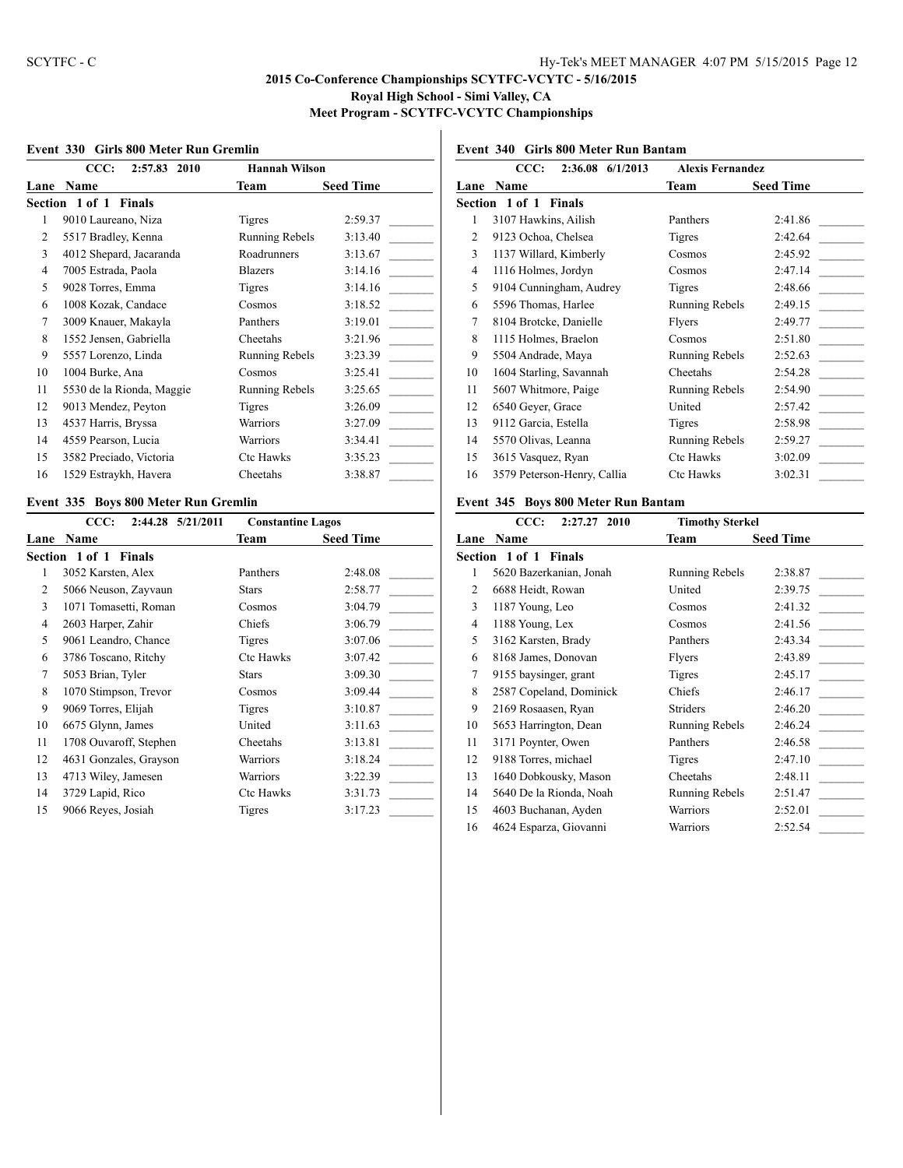#### **Event 330 Girls 800 Meter Run Gremlin**

| CCC:<br>2:57.83<br>2010 |                           | <b>Hannah Wilson</b>  |                  |
|-------------------------|---------------------------|-----------------------|------------------|
| Lane                    | <b>Name</b>               | Team                  | <b>Seed Time</b> |
|                         | Section 1 of 1 Finals     |                       |                  |
| 1                       | 9010 Laureano, Niza       | Tigres                | 2:59.37          |
| 2                       | 5517 Bradley, Kenna       | Running Rebels        | 3:13.40          |
| 3                       | 4012 Shepard, Jacaranda   | Roadrunners           | 3:13.67          |
| 4                       | 7005 Estrada, Paola       | <b>Blazers</b>        | 3:14.16          |
| 5                       | 9028 Torres, Emma         | Tigres                | 3:14.16          |
| 6                       | 1008 Kozak, Candace       | Cosmos                | 3:18.52          |
| 7                       | 3009 Knauer, Makayla      | Panthers              | 3:19.01          |
| 8                       | 1552 Jensen, Gabriella    | Cheetahs              | 3:21.96          |
| 9                       | 5557 Lorenzo, Linda       | <b>Running Rebels</b> | 3:23.39          |
| 10                      | 1004 Burke, Ana           | Cosmos                | 3:25.41          |
| 11                      | 5530 de la Rionda, Maggie | Running Rebels        | 3:25.65          |
| 12                      | 9013 Mendez, Peyton       | Tigres                | 3:26.09          |
| 13                      | 4537 Harris, Bryssa       | Warriors              | 3:27.09          |
| 14                      | 4559 Pearson, Lucia       | Warriors              | 3:34.41          |
| 15                      | 3582 Preciado, Victoria   | Ctc Hawks             | 3:35.23          |
| 16                      | 1529 Estraykh, Havera     | Cheetahs              | 3:38.87          |

## **Event 335 Boys 800 Meter Run Gremlin**

|      | CCC:<br>2:44.28 5/21/2011       | <b>Constantine Lagos</b> |                  |
|------|---------------------------------|--------------------------|------------------|
| Lane | Name                            | <b>Team</b>              | <b>Seed Time</b> |
|      | Section 1 of 1<br><b>Finals</b> |                          |                  |
| 1    | 3052 Karsten, Alex              | Panthers                 | 2:48.08          |
| 2    | 5066 Neuson, Zayvaun            | <b>Stars</b>             | 2:58.77          |
| 3    | 1071 Tomasetti, Roman           | Cosmos                   | 3:04.79          |
| 4    | 2603 Harper, Zahir              | Chiefs                   | 3:06.79          |
| 5    | 9061 Leandro, Chance            | Tigres                   | 3:07.06          |
| 6    | 3786 Toscano, Ritchy            | <b>Ctc Hawks</b>         | 3:07.42          |
| 7    | 5053 Brian, Tyler               | Stars                    | 3:09.30          |
| 8    | 1070 Stimpson, Trevor           | Cosmos                   | 3:09.44          |
| 9    | 9069 Torres, Elijah             | <b>Tigres</b>            | 3:10.87          |
| 10   | 6675 Glynn, James               | United                   | 3:11.63          |
| 11   | 1708 Ouvaroff, Stephen          | Cheetahs                 | 3:13.81          |
| 12   | 4631 Gonzales, Grayson          | Warriors                 | 3:18.24          |
| 13   | 4713 Wiley, Jamesen             | Warriors                 | 3:22.39          |
| 14   | 3729 Lapid, Rico                | <b>Ctc Hawks</b>         | 3:31.73          |
| 15   | 9066 Reyes, Josiah              | Tigres                   | 3:17.23          |
|      |                                 |                          |                  |

# **Event 340 Girls 800 Meter Run Bantam**

|                | CCC:<br>2:36.08 6/1/2013    | <b>Alexis Fernandez</b> |                  |
|----------------|-----------------------------|-------------------------|------------------|
|                | Lane Name                   | Team                    | <b>Seed Time</b> |
|                | Section 1 of 1 Finals       |                         |                  |
| 1              | 3107 Hawkins, Ailish        | Panthers                | 2:41.86          |
| $\overline{c}$ | 9123 Ochoa, Chelsea         | Tigres                  | 2:42.64          |
| 3              | 1137 Willard, Kimberly      | Cosmos                  | 2:45.92          |
| $\overline{4}$ | 1116 Holmes, Jordyn         | Cosmos                  | 2:47.14          |
| 5              | 9104 Cunningham, Audrey     | Tigres                  | 2:48.66          |
| 6              | 5596 Thomas, Harlee         | Running Rebels          | 2:49.15          |
| 7              | 8104 Brotcke, Danielle      | Flyers                  | 2:49.77          |
| 8              | 1115 Holmes, Braelon        | Cosmos                  | 2:51.80          |
| 9              | 5504 Andrade, Maya          | Running Rebels          | 2:52.63          |
| 10             | 1604 Starling, Savannah     | Cheetahs                | 2:54.28          |
| 11             | 5607 Whitmore, Paige        | Running Rebels          | 2:54.90          |
| 12             | 6540 Geyer, Grace           | United                  | 2:57.42          |
| 13             | 9112 Garcia, Estella        | Tigres                  | 2:58.98          |
| 14             | 5570 Olivas, Leanna         | Running Rebels          | 2:59.27          |
| 15             | 3615 Vasquez, Ryan          | Ctc Hawks               | 3:02.09          |
| 16             | 3579 Peterson-Henry, Callia | Ctc Hawks               | 3:02.31          |
|                |                             |                         |                  |

## **Event 345 Boys 800 Meter Run Bantam**

|      | CCC:<br>2:27.27 2010    | <b>Timothy Sterkel</b> |                  |
|------|-------------------------|------------------------|------------------|
| Lane | Name                    | Team                   | <b>Seed Time</b> |
|      | Section 1 of 1 Finals   |                        |                  |
| 1    | 5620 Bazerkanian, Jonah | Running Rebels         | 2:38.87          |
| 2    | 6688 Heidt, Rowan       | United                 | 2:39.75          |
| 3    | 1187 Young, Leo         | Cosmos                 | 2:41.32          |
| 4    | 1188 Young, Lex         | Cosmos                 | 2:41.56          |
| 5    | 3162 Karsten, Brady     | Panthers               | 2:43.34          |
| 6    | 8168 James, Donovan     | Flyers                 | 2:43.89          |
| 7    | 9155 baysinger, grant   | Tigres                 | 2:45.17          |
| 8    | 2587 Copeland, Dominick | Chiefs                 | 2:46.17          |
| 9    | 2169 Rosaasen, Ryan     | <b>Striders</b>        | 2:46.20          |
| 10   | 5653 Harrington, Dean   | Running Rebels         | 2:46.24          |
| 11   | 3171 Poynter, Owen      | Panthers               | 2:46.58          |
| 12   | 9188 Torres, michael    | Tigres                 | 2:47.10          |
| 13   | 1640 Dobkousky, Mason   | Cheetahs               | 2:48.11          |
| 14   | 5640 De la Rionda, Noah | <b>Running Rebels</b>  | 2:51.47          |
| 15   | 4603 Buchanan, Ayden    | Warriors               | 2:52.01          |
| 16   | 4624 Esparza, Giovanni  | Warriors               | 2:52.54          |
|      |                         |                        |                  |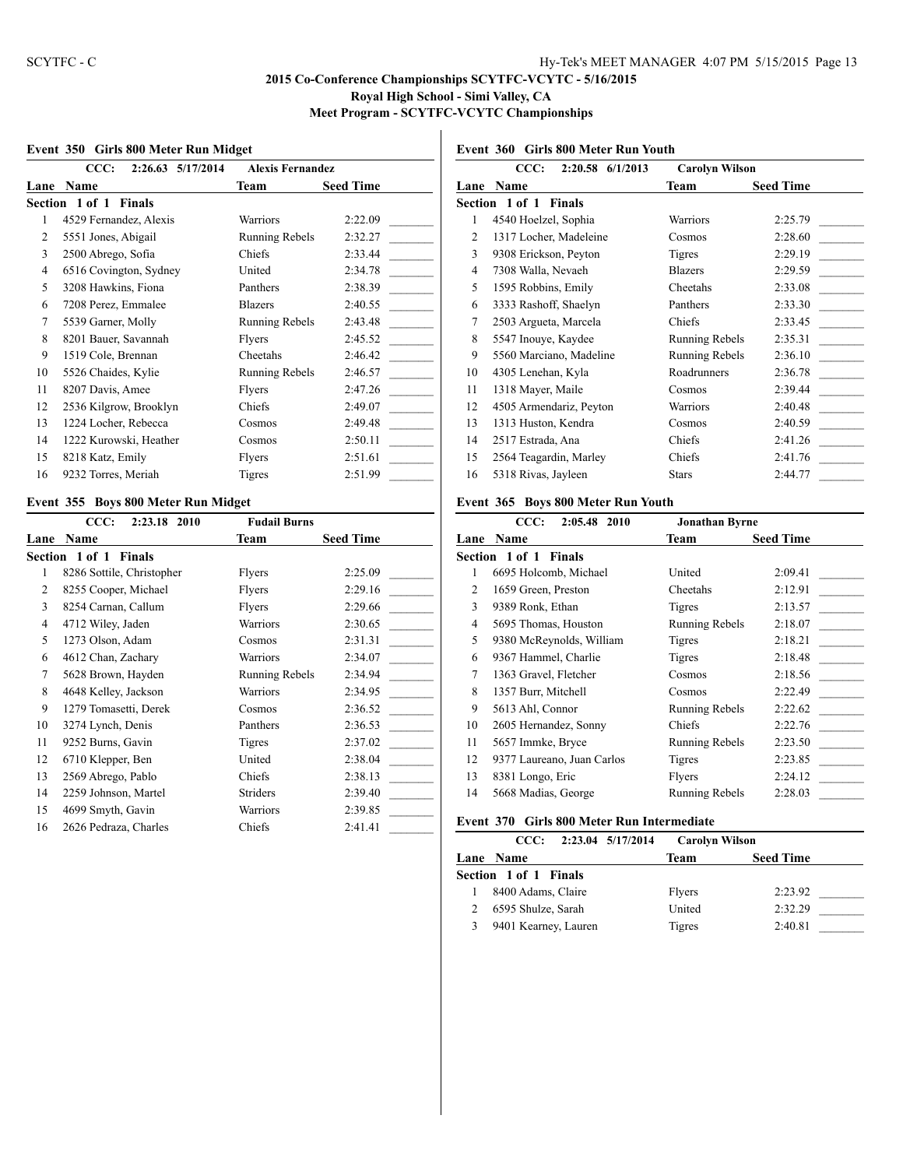## **Event 350 Girls 800 Meter Run Midget**

|      | CCC:<br>2:26.63 5/17/2014       | <b>Alexis Fernandez</b> |                  |
|------|---------------------------------|-------------------------|------------------|
| Lane | <b>Name</b>                     | Team                    | <b>Seed Time</b> |
|      | Section 1 of 1<br><b>Finals</b> |                         |                  |
| 1    | 4529 Fernandez, Alexis          | Warriors                | 2:22.09          |
| 2    | 5551 Jones, Abigail             | Running Rebels          | 2:32.27          |
| 3    | 2500 Abrego, Sofia              | Chiefs                  | 2:33.44          |
| 4    | 6516 Covington, Sydney          | United                  | 2:34.78          |
| 5    | 3208 Hawkins, Fiona             | Panthers                | 2:38.39          |
| 6    | 7208 Perez, Emmalee             | <b>Blazers</b>          | 2:40.55          |
| 7    | 5539 Garner, Molly              | Running Rebels          | 2:43.48          |
| 8    | 8201 Bauer, Savannah            | Flyers                  | 2:45.52          |
| 9    | 1519 Cole, Brennan              | Cheetahs                | 2:46.42          |
| 10   | 5526 Chaides, Kylie             | <b>Running Rebels</b>   | 2:46.57          |
| 11   | 8207 Davis, Amee                | Flyers                  | 2:47.26          |
| 12   | 2536 Kilgrow, Brooklyn          | Chiefs                  | 2:49.07          |
| 13   | 1224 Locher, Rebecca            | Cosmos                  | 2:49.48          |
| 14   | 1222 Kurowski, Heather          | Cosmos                  | 2:50.11          |
| 15   | 8218 Katz, Emily                | Flyers                  | 2:51.61          |
| 16   | 9232 Torres, Meriah             | Tigres                  | 2:51.99          |

## **Event 355 Boys 800 Meter Run Midget**

|      | CCC:<br>2:23.18 2010      | <b>Fudail Burns</b> |                  |
|------|---------------------------|---------------------|------------------|
| Lane | Name                      | Team                | <b>Seed Time</b> |
|      | Section 1 of 1 Finals     |                     |                  |
| 1    | 8286 Sottile, Christopher | Flyers              | 2:25.09          |
| 2    | 8255 Cooper, Michael      | Flyers              | 2:29.16          |
| 3    | 8254 Carnan, Callum       | Flyers              | 2:29.66          |
| 4    | 4712 Wiley, Jaden         | Warriors            | 2:30.65          |
| 5    | 1273 Olson, Adam          | Cosmos              | 2:31.31          |
| 6    | 4612 Chan, Zachary        | Warriors            | 2:34.07          |
| 7    | 5628 Brown, Hayden        | Running Rebels      | 2:34.94          |
| 8    | 4648 Kelley, Jackson      | Warriors            | 2:34.95          |
| 9    | 1279 Tomasetti, Derek     | Cosmos              | 2:36.52          |
| 10   | 3274 Lynch, Denis         | Panthers            | 2:36.53          |
| 11   | 9252 Burns, Gavin         | Tigres              | 2:37.02          |
| 12   | 6710 Klepper, Ben         | United              | 2:38.04          |
| 13   | 2569 Abrego, Pablo        | Chiefs              | 2:38.13          |
| 14   | 2259 Johnson, Martel      | <b>Striders</b>     | 2:39.40          |
| 15   | 4699 Smyth, Gavin         | Warriors            | 2:39.85          |
| 16   | 2626 Pedraza, Charles     | Chiefs              | 2:41.41          |
|      |                           |                     |                  |

# **Event 360 Girls 800 Meter Run Youth**

|      | CCC:<br>2:20.58 6/1/2013 | <b>Carolyn Wilson</b> |                  |
|------|--------------------------|-----------------------|------------------|
| Lane | Name                     | Team                  | <b>Seed Time</b> |
|      | Section 1 of 1 Finals    |                       |                  |
| 1    | 4540 Hoelzel, Sophia     | <b>Warriors</b>       | 2:25.79          |
| 2    | 1317 Locher, Madeleine   | Cosmos                | 2:28.60          |
| 3    | 9308 Erickson, Peyton    | Tigres                | 2:29.19          |
| 4    | 7308 Walla, Nevaeh       | <b>Blazers</b>        | 2:29.59          |
| 5    | 1595 Robbins, Emily      | Cheetahs              | 2:33.08          |
| 6    | 3333 Rashoff, Shaelyn    | Panthers              | 2:33.30          |
| 7    | 2503 Argueta, Marcela    | Chiefs                | 2:33.45          |
| 8    | 5547 Inouye, Kaydee      | Running Rebels        | 2:35.31          |
| 9    | 5560 Marciano, Madeline  | Running Rebels        | 2:36.10          |
| 10   | 4305 Lenehan, Kyla       | Roadrunners           | 2:36.78          |
| 11   | 1318 Mayer, Maile        | Cosmos                | 2:39.44          |
| 12   | 4505 Armendariz, Peyton  | Warriors              | 2:40.48          |
| 13   | 1313 Huston, Kendra      | Cosmos                | 2:40.59          |
| 14   | 2517 Estrada, Ana        | Chiefs                | 2:41.26          |
| 15   | 2564 Teagardin, Marley   | Chiefs                | 2:41.76          |
| 16   | 5318 Rivas, Jayleen      | <b>Stars</b>          | 2:44.77          |

## **Event 365 Boys 800 Meter Run Youth**

|    | CCC:<br>2:05.48 2010       | <b>Jonathan Byrne</b> |                  |
|----|----------------------------|-----------------------|------------------|
|    | Lane Name                  | Team                  | <b>Seed Time</b> |
|    | Section 1 of 1 Finals      |                       |                  |
| 1  | 6695 Holcomb, Michael      | United                | 2:09.41          |
| 2  | 1659 Green, Preston        | Cheetahs              | 2:12.91          |
| 3  | 9389 Ronk, Ethan           | Tigres                | 2:13.57          |
| 4  | 5695 Thomas, Houston       | Running Rebels        | 2:18.07          |
| 5  | 9380 McReynolds, William   | Tigres                | 2:18.21          |
| 6  | 9367 Hammel, Charlie       | Tigres                | 2:18.48          |
| 7  | 1363 Gravel, Fletcher      | Cosmos                | 2:18.56          |
| 8  | 1357 Burr, Mitchell        | Cosmos                | 2:22.49          |
| 9  | 5613 Ahl, Connor           | Running Rebels        | 2:22.62          |
| 10 | 2605 Hernandez, Sonny      | Chiefs                | 2:22.76          |
| 11 | 5657 Immke, Bryce          | Running Rebels        | 2:23.50          |
| 12 | 9377 Laureano, Juan Carlos | Tigres                | 2:23.85          |
| 13 | 8381 Longo, Eric           | Flyers                | 2:24.12          |
| 14 | 5668 Madias, George        | Running Rebels        | 2:28.03          |
|    |                            |                       |                  |

## **Event 370 Girls 800 Meter Run Intermediate**

| CCC:                  | 2:23.04 5/17/2014 | <b>Carolyn Wilson</b> |                  |  |
|-----------------------|-------------------|-----------------------|------------------|--|
| Lane Name             |                   | Team                  | <b>Seed Time</b> |  |
| Section 1 of 1 Finals |                   |                       |                  |  |
| 8400 Adams, Claire    |                   | Flyers                | 2:23.92          |  |
| 6595 Shulze, Sarah    |                   | United                | 2:32.29          |  |
| 9401 Kearney, Lauren  |                   | Tigres                | 2:40.81          |  |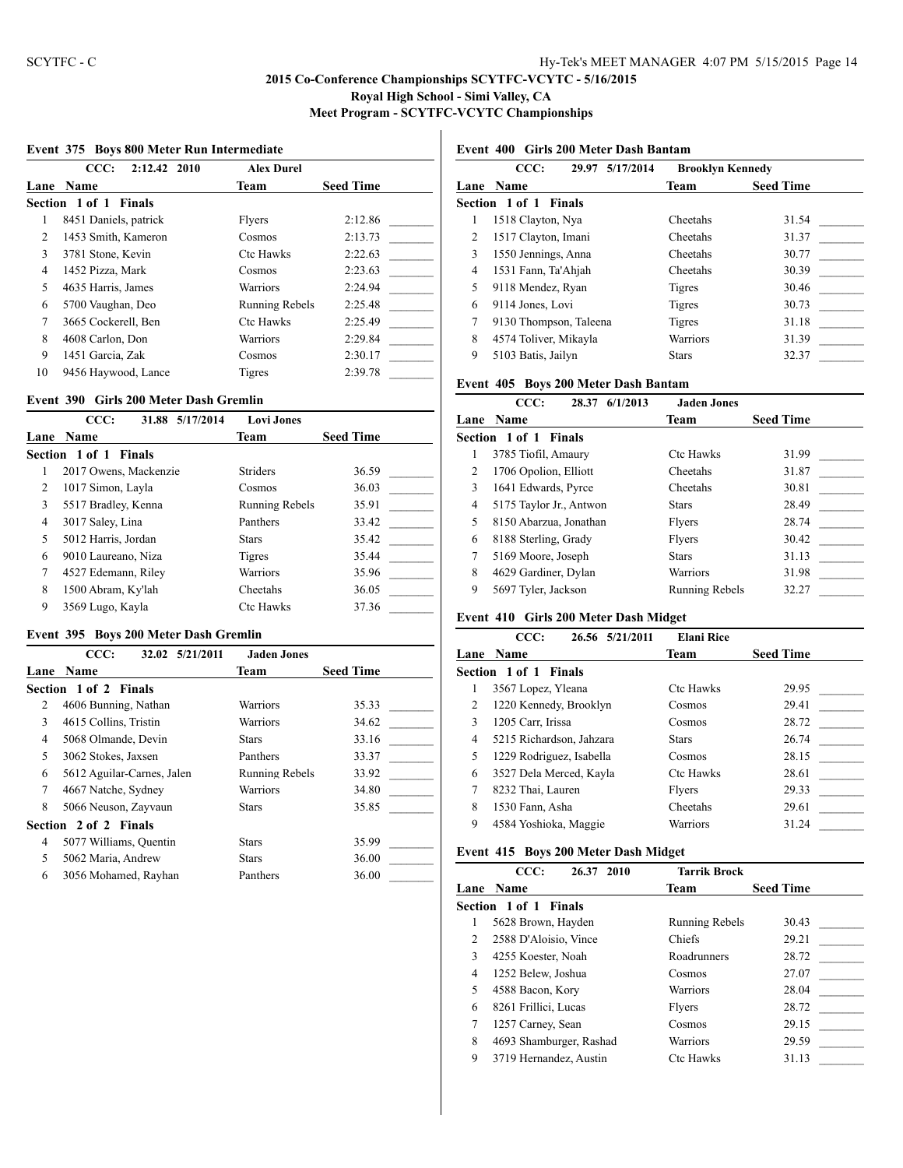#### **Event 375 Boys 800 Meter Run Intermediate**

|                | CCC:<br>2:12.42 2010  | <b>Alex Durel</b>     |                  |
|----------------|-----------------------|-----------------------|------------------|
|                | Lane Name             | Team                  | <b>Seed Time</b> |
|                | Section 1 of 1 Finals |                       |                  |
|                | 8451 Daniels, patrick | Flyers                | 2:12.86          |
| 2              | 1453 Smith, Kameron   | Cosmos                | 2:13.73          |
| 3              | 3781 Stone, Kevin     | <b>Ctc Hawks</b>      | 2:22.63          |
| 4              | 1452 Pizza, Mark      | Cosmos                | 2:23.63          |
| 5              | 4635 Harris, James    | Warriors              | 2:24.94          |
| 6              | 5700 Vaughan, Deo     | <b>Running Rebels</b> | 2:25.48          |
| $\overline{7}$ | 3665 Cockerell, Ben   | <b>Ctc Hawks</b>      | 2:25.49          |
| 8              | 4608 Carlon, Don      | Warriors              | 2:29.84          |
| 9              | 1451 Garcia, Zak      | Cosmos                | 2:30.17          |
| 10             | 9456 Haywood, Lance   | Tigres                | 2:39.78          |

#### **Event 390 Girls 200 Meter Dash Gremlin**

|                | CCC:<br>31.88 5/17/2014 | <b>Lovi Jones</b> |                  |
|----------------|-------------------------|-------------------|------------------|
| Lane           | <b>Name</b>             | Team              | <b>Seed Time</b> |
|                | Section 1 of 1 Finals   |                   |                  |
|                | 2017 Owens, Mackenzie   | <b>Striders</b>   | 36.59            |
| $\mathfrak{D}$ | 1017 Simon, Layla       | Cosmos            | 36.03            |
| 3              | 5517 Bradley, Kenna     | Running Rebels    | 35.91            |
| 4              | 3017 Saley, Lina        | Panthers          | 33.42            |
| 5              | 5012 Harris, Jordan     | <b>Stars</b>      | 35.42            |
| 6              | 9010 Laureano, Niza     | Tigres            | 35.44            |
| 7              | 4527 Edemann, Riley     | Warriors          | 35.96            |
| 8              | 1500 Abram, Ky'lah      | Cheetahs          | 36.05            |
| 9              | 3569 Lugo, Kayla        | <b>Ctc Hawks</b>  | 37.36            |

#### **Event 395 Boys 200 Meter Dash Gremlin**

|      | CCC:<br>32.02 5/21/2011    | <b>Jaden Jones</b> |                  |
|------|----------------------------|--------------------|------------------|
| Lane | <b>Name</b>                | Team               | <b>Seed Time</b> |
|      | Section 1 of 2 Finals      |                    |                  |
| 2    | 4606 Bunning, Nathan       | Warriors           | 35.33            |
| 3    | 4615 Collins, Tristin      | Warriors           | 34.62            |
| 4    | 5068 Olmande, Devin        | <b>Stars</b>       | 33.16            |
| 5.   | 3062 Stokes, Jaxsen        | Panthers           | 33.37            |
| 6    | 5612 Aguilar-Carnes, Jalen | Running Rebels     | 33.92            |
| 7    | 4667 Natche, Sydney        | Warriors           | 34.80            |
| 8    | 5066 Neuson, Zayvaun       | <b>Stars</b>       | 35.85            |
|      | Section 2 of 2 Finals      |                    |                  |
| 4    | 5077 Williams, Quentin     | <b>Stars</b>       | 35.99            |
| 5    | 5062 Maria, Andrew         | <b>Stars</b>       | 36.00            |
| 6    | 3056 Mohamed, Rayhan       | Panthers           | 36.00            |

# **Event 400 Girls 200 Meter Dash Bantam**

|   | CCC:<br>29.97 5/17/2014      | <b>Brooklyn Kennedy</b> |                  |
|---|------------------------------|-------------------------|------------------|
|   | <b>Lane Name</b>             | Team                    | <b>Seed Time</b> |
|   | <b>Section 1 of 1 Finals</b> |                         |                  |
| 1 | 1518 Clayton, Nya            | Cheetahs                | 31.54            |
| 2 | 1517 Clayton, Imani          | Cheetahs                | 31.37            |
| 3 | 1550 Jennings, Anna          | Cheetahs                | 30.77            |
| 4 | 1531 Fann, Ta'Ahjah          | Cheetahs                | 30.39            |
| 5 | 9118 Mendez, Ryan            | Tigres                  | 30.46            |
| 6 | 9114 Jones, Lovi             | Tigres                  | 30.73            |
| 7 | 9130 Thompson, Taleena       | <b>Tigres</b>           | 31.18            |
| 8 | 4574 Toliver, Mikayla        | Warriors                | 31.39            |
| 9 | 5103 Batis, Jailyn           | <b>Stars</b>            | 32.37            |
|   |                              |                         |                  |

#### **Event 405 Boys 200 Meter Dash Bantam**

|      | CCC:<br>28.37                | 6/1/2013<br><b>Jaden Jones</b> |                  |
|------|------------------------------|--------------------------------|------------------|
| Lane | <b>Name</b>                  | Team                           | <b>Seed Time</b> |
|      | <b>Section 1 of 1 Finals</b> |                                |                  |
|      | 3785 Tiofil, Amaury          | <b>Ctc Hawks</b>               | 31.99            |
| 2    | 1706 Opolion, Elliott        | Cheetahs                       | 31.87            |
| 3    | 1641 Edwards, Pyrce          | Cheetahs                       | 30.81            |
| 4    | 5175 Taylor Jr., Antwon      | <b>Stars</b>                   | 28.49            |
| 5    | 8150 Abarzua, Jonathan       | Flyers                         | 28.74            |
| 6    | 8188 Sterling, Grady         | Flyers                         | 30.42            |
| 7    | 5169 Moore, Joseph           | <b>Stars</b>                   | 31.13            |
| 8    | 4629 Gardiner, Dylan         | <b>Warriors</b>                | 31.98            |
| 9    | 5697 Tyler, Jackson          | <b>Running Rebels</b>          | 32.27            |

## **Event 410 Girls 200 Meter Dash Midget**

|   | CCC:<br>26.56 5/21/2011      | <b>Elani Rice</b> |                  |
|---|------------------------------|-------------------|------------------|
|   | <b>Lane Name</b>             | Team              | <b>Seed Time</b> |
|   | <b>Section 1 of 1 Finals</b> |                   |                  |
|   | 3567 Lopez, Yleana           | <b>Ctc Hawks</b>  | 29.95            |
| 2 | 1220 Kennedy, Brooklyn       | Cosmos            | 29.41            |
| 3 | 1205 Carr, Irissa            | Cosmos            | 28.72            |
| 4 | 5215 Richardson, Jahzara     | <b>Stars</b>      | 26.74            |
| 5 | 1229 Rodriguez, Isabella     | Cosmos            | 28.15            |
| 6 | 3527 Dela Merced, Kayla      | <b>Ctc Hawks</b>  | 28.61            |
|   | 8232 Thai, Lauren            | Flyers            | 29.33            |
| 8 | 1530 Fann, Asha              | Cheetahs          | 29.61            |
| 9 | 4584 Yoshioka, Maggie        | Warriors          | 31.24            |
|   |                              |                   |                  |

#### **Event 415 Boys 200 Meter Dash Midget**

|      | CCC:<br>26.37 2010      | <b>Tarrik Brock</b> |                  |
|------|-------------------------|---------------------|------------------|
| Lane | <b>Name</b>             | Team                | <b>Seed Time</b> |
|      | Section 1 of 1 Finals   |                     |                  |
| 1    | 5628 Brown, Hayden      | Running Rebels      | 30.43            |
| 2    | 2588 D'Aloisio, Vince   | Chiefs              | 29.21            |
| 3    | 4255 Koester, Noah      | Roadrunners         | 28.72            |
| 4    | 1252 Belew, Joshua      | Cosmos              | 27.07            |
| 5    | 4588 Bacon, Kory        | <b>Warriors</b>     | 28.04            |
| 6    | 8261 Frillici, Lucas    | Flvers              | 28.72            |
| 7    | 1257 Carney, Sean       | Cosmos              | 29.15            |
| 8    | 4693 Shamburger, Rashad | Warriors            | 29.59            |
| 9    | 3719 Hernandez, Austin  | <b>Ctc Hawks</b>    | 31.13            |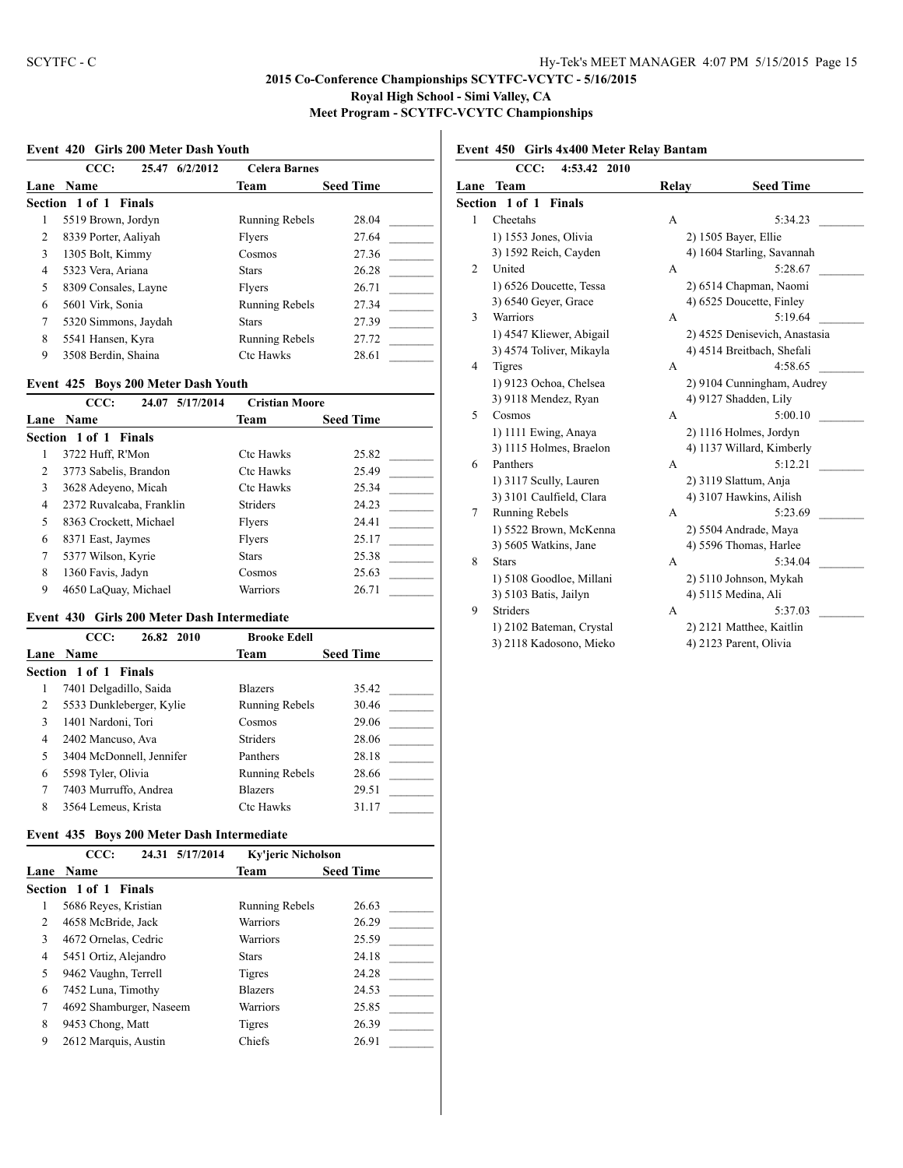#### **Event 420 Girls 200 Meter Dash Youth**

|   | CCC:<br>6/2/2012<br>25.47 | <b>Celera Barnes</b>  |                  |
|---|---------------------------|-----------------------|------------------|
|   | Lane Name                 | <b>Team</b>           | <b>Seed Time</b> |
|   | Section 1 of 1 Finals     |                       |                  |
| 1 | 5519 Brown, Jordyn        | <b>Running Rebels</b> | 28.04            |
| 2 | 8339 Porter, Aaliyah      | Flyers                | 27.64            |
| 3 | 1305 Bolt, Kimmy          | Cosmos                | 27.36            |
| 4 | 5323 Vera, Ariana         | <b>Stars</b>          | 26.28            |
| 5 | 8309 Consales, Layne      | <b>Flvers</b>         | 26.71            |
| 6 | 5601 Virk, Sonia          | <b>Running Rebels</b> | 27.34            |
| 7 | 5320 Simmons, Jaydah      | <b>Stars</b>          | 27.39            |
| 8 | 5541 Hansen, Kyra         | <b>Running Rebels</b> | 27.72            |
| 9 | 3508 Berdin, Shaina       | <b>Ctc Hawks</b>      | 28.61            |

#### **Event 425 Boys 200 Meter Dash Youth**

|                | CCC:<br>5/17/2014<br>24.07 | <b>Cristian Moore</b> |                  |  |  |
|----------------|----------------------------|-----------------------|------------------|--|--|
| Lane           | <b>Name</b>                | Team                  | <b>Seed Time</b> |  |  |
|                | Section 1 of 1 Finals      |                       |                  |  |  |
|                | 3722 Huff, R'Mon           | <b>Ctc Hawks</b>      | 25.82            |  |  |
| $\overline{c}$ | 3773 Sabelis, Brandon      | <b>Ctc Hawks</b>      | 25.49            |  |  |
| 3              | 3628 Adeyeno, Micah        | <b>Ctc Hawks</b>      | 25.34            |  |  |
| 4              | 2372 Ruvalcaba, Franklin   | <b>Striders</b>       | 24.23            |  |  |
| 5              | 8363 Crockett, Michael     | Flyers                | 24.41            |  |  |
| 6              | 8371 East, Jaymes          | Flyers                | 25.17            |  |  |
| 7              | 5377 Wilson, Kyrie         | <b>Stars</b>          | 25.38            |  |  |
| 8              | 1360 Favis, Jadyn          | Cosmos                | 25.63            |  |  |
| 9              | 4650 LaQuay, Michael       | Warriors              | 26.71            |  |  |

## **Event 430 Girls 200 Meter Dash Intermediate**

|   | CCC:<br>26.82 2010       | <b>Brooke Edell</b>   |                  |
|---|--------------------------|-----------------------|------------------|
|   | Lane Name                | Team                  | <b>Seed Time</b> |
|   | Section 1 of 1 Finals    |                       |                  |
|   | 7401 Delgadillo, Saida   | <b>Blazers</b>        | 35.42            |
| 2 | 5533 Dunkleberger, Kylie | <b>Running Rebels</b> | 30.46            |
| 3 | 1401 Nardoni, Tori       | Cosmos                | 29.06            |
| 4 | 2402 Mancuso, Ava        | <b>Striders</b>       | 28.06            |
| 5 | 3404 McDonnell, Jennifer | Panthers              | 28.18            |
| 6 | 5598 Tyler, Olivia       | <b>Running Rebels</b> | 28.66            |
| 7 | 7403 Murruffo, Andrea    | <b>Blazers</b>        | 29.51            |
| 8 | 3564 Lemeus, Krista      | <b>Ctc Hawks</b>      | 31.17            |

## **Event 435 Boys 200 Meter Dash Intermediate**

| CCC:                  |                      | Ky'jeric Nicholson                                                  |                  |
|-----------------------|----------------------|---------------------------------------------------------------------|------------------|
| Lane Name             |                      | Team                                                                | <b>Seed Time</b> |
| Section 1 of 1 Finals |                      |                                                                     |                  |
| 5686 Reyes, Kristian  |                      | <b>Running Rebels</b>                                               | 26.63            |
| 4658 McBride, Jack    |                      | Warriors                                                            | 26.29            |
| 4672 Ornelas, Cedric  |                      | Warriors                                                            | 25.59            |
|                       |                      | <b>Stars</b>                                                        | 24.18            |
| 9462 Vaughn, Terrell  |                      | Tigres                                                              | 24.28            |
| 7452 Luna, Timothy    |                      | <b>Blazers</b>                                                      | 24.53            |
|                       |                      | Warriors                                                            | 25.85            |
| 9453 Chong, Matt      |                      | Tigres                                                              | 26.39            |
|                       |                      | Chiefs                                                              | 26.91            |
|                       | 2612 Marquis, Austin | 24.31 5/17/2014<br>5451 Ortiz, Alejandro<br>4692 Shamburger, Naseem |                  |

# **Event 450 Girls 4x400 Meter Relay Bantam**

|                | CCC:<br>4:53.42 2010     |       |                               |
|----------------|--------------------------|-------|-------------------------------|
| Lane           | Team                     | Relay | <b>Seed Time</b>              |
|                | Section 1 of 1 Finals    |       |                               |
| 1              | Cheetahs                 | A     | 5:34.23                       |
|                | 1) 1553 Jones, Olivia    |       | 2) 1505 Bayer, Ellie          |
|                | 3) 1592 Reich, Cayden    |       | 4) 1604 Starling, Savannah    |
| $\overline{2}$ | United                   | A     | 5:28.67                       |
|                | 1) 6526 Doucette, Tessa  |       | 2) 6514 Chapman, Naomi        |
|                | 3) 6540 Geyer, Grace     |       | 4) 6525 Doucette, Finley      |
| 3              | <b>Warriors</b>          | A     | 5:19.64                       |
|                | 1) 4547 Kliewer, Abigail |       | 2) 4525 Denisevich, Anastasia |
|                | 3) 4574 Toliver, Mikayla |       | 4) 4514 Breitbach, Shefali    |
| 4              | <b>Tigres</b>            | A     | 4:58.65                       |
|                | 1) 9123 Ochoa, Chelsea   |       | 2) 9104 Cunningham, Audrey    |
|                | 3) 9118 Mendez, Ryan     |       | 4) 9127 Shadden, Lily         |
| 5              | Cosmos                   | A     | 5:00.10                       |
|                | 1) 1111 Ewing, Anaya     |       | 2) 1116 Holmes, Jordyn        |
|                | 3) 1115 Holmes, Braelon  |       | 4) 1137 Willard, Kimberly     |
| 6              | Panthers                 | A     | 5:12.21                       |
|                | 1) 3117 Scully, Lauren   |       | 2) 3119 Slattum, Anja         |
|                | 3) 3101 Caulfield, Clara |       | 4) 3107 Hawkins, Ailish       |
| 7              | Running Rebels           | A     | 5:23.69                       |
|                | 1) 5522 Brown, McKenna   |       | 2) 5504 Andrade, Maya         |
|                | 3) 5605 Watkins, Jane    |       | 4) 5596 Thomas, Harlee        |
| 8              | <b>Stars</b>             | A     | 5:34.04                       |
|                | 1) 5108 Goodloe, Millani |       | 2) 5110 Johnson, Mykah        |
|                | 3) 5103 Batis, Jailyn    |       | 4) 5115 Medina, Ali           |
| 9              | <b>Striders</b>          | A     | 5:37.03                       |
|                | 1) 2102 Bateman, Crystal |       | 2) 2121 Matthee, Kaitlin      |
|                | 3) 2118 Kadosono, Mieko  |       | 4) 2123 Parent, Olivia        |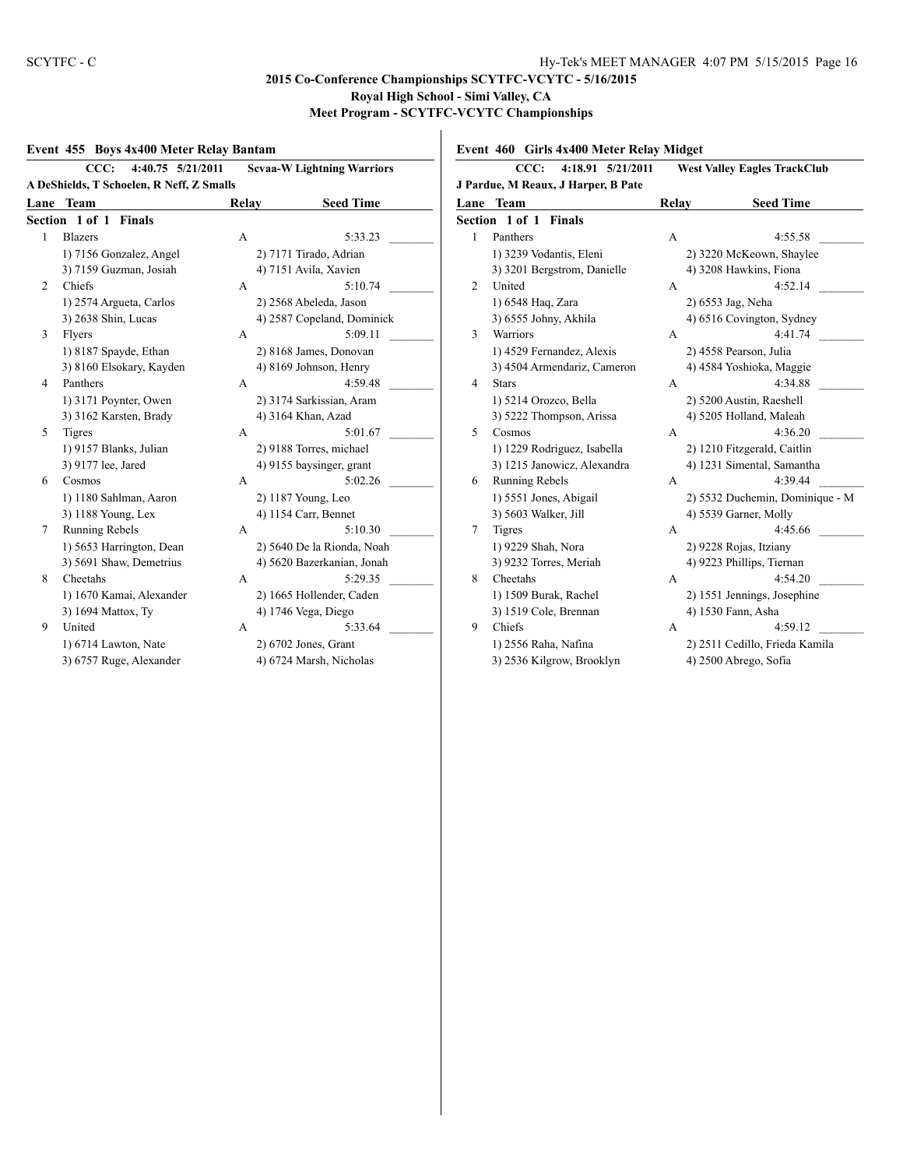## **2015 Co-Conference Championships SCYTFC-VCYTC - 5/16/2015 Royal High School - Simi Valley, CA Meet Program - SCYTFC-VCYTC Championships**

#### **Event 455 Boys 4x400 Meter Relay Bantam**

|                | CCC:                                                                                                                                                                                                                                                                                                                                                                                                                                                                                                                                                                                                                                                                                                                                                                                                                                                                                                                                                                                                                                                                                                                                                                                                                                                                                                                                      |   |                          |        |
|----------------|-------------------------------------------------------------------------------------------------------------------------------------------------------------------------------------------------------------------------------------------------------------------------------------------------------------------------------------------------------------------------------------------------------------------------------------------------------------------------------------------------------------------------------------------------------------------------------------------------------------------------------------------------------------------------------------------------------------------------------------------------------------------------------------------------------------------------------------------------------------------------------------------------------------------------------------------------------------------------------------------------------------------------------------------------------------------------------------------------------------------------------------------------------------------------------------------------------------------------------------------------------------------------------------------------------------------------------------------|---|--------------------------|--------|
|                | <b>Scvaa-W Lightning Warriors</b><br>4:40.75 5/21/2011<br>A DeShields, T Schoelen, R Neff, Z Smalls<br>J Pardu<br>Team<br><b>Seed Time</b><br>Relay<br>Lane<br><b>Section</b><br>5:33.23<br><b>Blazers</b><br>A<br>1<br>F<br>1) 7156 Gonzalez, Angel<br>2) 7171 Tirado, Adrian<br>1<br>4) 7151 Avila, Xavien<br>3<br>3) 7159 Guzman, Josiah<br>Chiefs<br>5:10.74<br>2<br>A<br>ι<br>1) 2574 Argueta, Carlos<br>2) 2568 Abeleda, Jason<br>1<br>3<br>3) 2638 Shin, Lucas<br>4) 2587 Copeland, Dominick<br>5:09.11<br>Flyers<br>3<br>A<br>1) 8187 Spayde, Ethan<br>2) 8168 James, Donovan<br>1<br>3<br>3) 8160 Elsokary, Kayden<br>4) 8169 Johnson, Henry<br>S<br>Panthers<br>4:59.48<br>A<br>4<br>1) 3171 Poynter, Owen<br>2) 3174 Sarkissian, Aram<br>1<br>3<br>3) 3162 Karsten, Brady<br>4) 3164 Khan, Azad<br>5<br>5:01.67<br><b>Tigres</b><br>$\mathsf{A}$<br>C<br>1) 9157 Blanks, Julian<br>2) 9188 Torres, michael<br>3) 9177 lee, Jared<br>4) 9155 baysinger, grant<br>3<br>5:02.26<br>F<br>Cosmos<br>6<br>A<br>1) 1180 Sahlman, Aaron<br>2) 1187 Young, Leo<br>1<br>3) 1188 Young, Lex<br>4) 1154 Carr, Bennet<br>3<br><b>Running Rebels</b><br>5:10.30<br>7<br>Ί<br>A<br>1) 5653 Harrington, Dean<br>2) 5640 De la Rionda, Noah<br>3) 5691 Shaw, Demetrius<br>3<br>4) 5620 Bazerkanian, Jonah<br>8<br>5:29.35<br>Cheetahs<br>C<br>A |   |                          |        |
| Lane           |                                                                                                                                                                                                                                                                                                                                                                                                                                                                                                                                                                                                                                                                                                                                                                                                                                                                                                                                                                                                                                                                                                                                                                                                                                                                                                                                           |   |                          |        |
|                | Section 1 of 1 Finals                                                                                                                                                                                                                                                                                                                                                                                                                                                                                                                                                                                                                                                                                                                                                                                                                                                                                                                                                                                                                                                                                                                                                                                                                                                                                                                     |   |                          |        |
| 1              |                                                                                                                                                                                                                                                                                                                                                                                                                                                                                                                                                                                                                                                                                                                                                                                                                                                                                                                                                                                                                                                                                                                                                                                                                                                                                                                                           |   |                          |        |
|                |                                                                                                                                                                                                                                                                                                                                                                                                                                                                                                                                                                                                                                                                                                                                                                                                                                                                                                                                                                                                                                                                                                                                                                                                                                                                                                                                           |   |                          |        |
|                |                                                                                                                                                                                                                                                                                                                                                                                                                                                                                                                                                                                                                                                                                                                                                                                                                                                                                                                                                                                                                                                                                                                                                                                                                                                                                                                                           |   |                          |        |
| $\overline{c}$ |                                                                                                                                                                                                                                                                                                                                                                                                                                                                                                                                                                                                                                                                                                                                                                                                                                                                                                                                                                                                                                                                                                                                                                                                                                                                                                                                           |   |                          |        |
|                |                                                                                                                                                                                                                                                                                                                                                                                                                                                                                                                                                                                                                                                                                                                                                                                                                                                                                                                                                                                                                                                                                                                                                                                                                                                                                                                                           |   |                          |        |
|                |                                                                                                                                                                                                                                                                                                                                                                                                                                                                                                                                                                                                                                                                                                                                                                                                                                                                                                                                                                                                                                                                                                                                                                                                                                                                                                                                           |   |                          |        |
| 3              |                                                                                                                                                                                                                                                                                                                                                                                                                                                                                                                                                                                                                                                                                                                                                                                                                                                                                                                                                                                                                                                                                                                                                                                                                                                                                                                                           |   |                          |        |
|                |                                                                                                                                                                                                                                                                                                                                                                                                                                                                                                                                                                                                                                                                                                                                                                                                                                                                                                                                                                                                                                                                                                                                                                                                                                                                                                                                           |   |                          |        |
|                |                                                                                                                                                                                                                                                                                                                                                                                                                                                                                                                                                                                                                                                                                                                                                                                                                                                                                                                                                                                                                                                                                                                                                                                                                                                                                                                                           |   |                          |        |
| 4              |                                                                                                                                                                                                                                                                                                                                                                                                                                                                                                                                                                                                                                                                                                                                                                                                                                                                                                                                                                                                                                                                                                                                                                                                                                                                                                                                           |   |                          |        |
|                |                                                                                                                                                                                                                                                                                                                                                                                                                                                                                                                                                                                                                                                                                                                                                                                                                                                                                                                                                                                                                                                                                                                                                                                                                                                                                                                                           |   |                          |        |
|                |                                                                                                                                                                                                                                                                                                                                                                                                                                                                                                                                                                                                                                                                                                                                                                                                                                                                                                                                                                                                                                                                                                                                                                                                                                                                                                                                           |   |                          |        |
| 5              |                                                                                                                                                                                                                                                                                                                                                                                                                                                                                                                                                                                                                                                                                                                                                                                                                                                                                                                                                                                                                                                                                                                                                                                                                                                                                                                                           |   |                          |        |
|                |                                                                                                                                                                                                                                                                                                                                                                                                                                                                                                                                                                                                                                                                                                                                                                                                                                                                                                                                                                                                                                                                                                                                                                                                                                                                                                                                           |   |                          |        |
|                |                                                                                                                                                                                                                                                                                                                                                                                                                                                                                                                                                                                                                                                                                                                                                                                                                                                                                                                                                                                                                                                                                                                                                                                                                                                                                                                                           |   |                          |        |
| 6              |                                                                                                                                                                                                                                                                                                                                                                                                                                                                                                                                                                                                                                                                                                                                                                                                                                                                                                                                                                                                                                                                                                                                                                                                                                                                                                                                           |   |                          |        |
|                |                                                                                                                                                                                                                                                                                                                                                                                                                                                                                                                                                                                                                                                                                                                                                                                                                                                                                                                                                                                                                                                                                                                                                                                                                                                                                                                                           |   |                          |        |
|                |                                                                                                                                                                                                                                                                                                                                                                                                                                                                                                                                                                                                                                                                                                                                                                                                                                                                                                                                                                                                                                                                                                                                                                                                                                                                                                                                           |   |                          |        |
| 7              |                                                                                                                                                                                                                                                                                                                                                                                                                                                                                                                                                                                                                                                                                                                                                                                                                                                                                                                                                                                                                                                                                                                                                                                                                                                                                                                                           |   |                          |        |
|                |                                                                                                                                                                                                                                                                                                                                                                                                                                                                                                                                                                                                                                                                                                                                                                                                                                                                                                                                                                                                                                                                                                                                                                                                                                                                                                                                           |   |                          |        |
|                |                                                                                                                                                                                                                                                                                                                                                                                                                                                                                                                                                                                                                                                                                                                                                                                                                                                                                                                                                                                                                                                                                                                                                                                                                                                                                                                                           |   |                          |        |
| 8              |                                                                                                                                                                                                                                                                                                                                                                                                                                                                                                                                                                                                                                                                                                                                                                                                                                                                                                                                                                                                                                                                                                                                                                                                                                                                                                                                           |   |                          |        |
|                | 1) 1670 Kamai, Alexander                                                                                                                                                                                                                                                                                                                                                                                                                                                                                                                                                                                                                                                                                                                                                                                                                                                                                                                                                                                                                                                                                                                                                                                                                                                                                                                  |   | 2) 1665 Hollender, Caden | 1      |
|                | 3) 1694 Mattox, Ty                                                                                                                                                                                                                                                                                                                                                                                                                                                                                                                                                                                                                                                                                                                                                                                                                                                                                                                                                                                                                                                                                                                                                                                                                                                                                                                        |   | 4) 1746 Vega, Diego      | 3      |
| 9              | United                                                                                                                                                                                                                                                                                                                                                                                                                                                                                                                                                                                                                                                                                                                                                                                                                                                                                                                                                                                                                                                                                                                                                                                                                                                                                                                                    | A | 5:33.64                  | 9<br>( |
|                | 1) 6714 Lawton, Nate                                                                                                                                                                                                                                                                                                                                                                                                                                                                                                                                                                                                                                                                                                                                                                                                                                                                                                                                                                                                                                                                                                                                                                                                                                                                                                                      |   | 2) 6702 Jones, Grant     |        |
|                | 3) 6757 Ruge, Alexander                                                                                                                                                                                                                                                                                                                                                                                                                                                                                                                                                                                                                                                                                                                                                                                                                                                                                                                                                                                                                                                                                                                                                                                                                                                                                                                   |   | 4) 6724 Marsh, Nicholas  | 3      |

# **Event 460 Girls 4x400 Meter Relay Midget**

| CCC:<br>4:18.91 5/21/2011 |                                     | <b>West Valley Eagles TrackClub</b> |                                 |  |
|---------------------------|-------------------------------------|-------------------------------------|---------------------------------|--|
|                           | J Pardue, M Reaux, J Harper, B Pate |                                     |                                 |  |
| Lane                      | Team                                | Relay                               | <b>Seed Time</b>                |  |
|                           | <b>Section 1 of 1 Finals</b>        |                                     |                                 |  |
| 1                         | Panthers                            | A                                   | 4:55.58                         |  |
|                           | 1) 3239 Vodantis, Eleni             |                                     | 2) 3220 McKeown, Shaylee        |  |
|                           | 3) 3201 Bergstrom, Danielle         |                                     | 4) 3208 Hawkins, Fiona          |  |
| 2                         | United                              | A                                   | 4:52.14                         |  |
|                           | 1) 6548 Haq, Zara                   |                                     | 2) 6553 Jag, Neha               |  |
|                           | 3) 6555 Johny, Akhila               |                                     | 4) 6516 Covington, Sydney       |  |
| 3                         | Warriors                            | А                                   | 4:41.74                         |  |
|                           | 1) 4529 Fernandez, Alexis           |                                     | 2) 4558 Pearson, Julia          |  |
|                           | 3) 4504 Armendariz, Cameron         |                                     | 4) 4584 Yoshioka, Maggie        |  |
| 4                         | <b>Stars</b>                        | A                                   | 4:34.88                         |  |
|                           | 1) 5214 Orozco, Bella               |                                     | 2) 5200 Austin, Raeshell        |  |
|                           | 3) 5222 Thompson, Arissa            |                                     | 4) 5205 Holland, Maleah         |  |
| 5                         | Cosmos                              | A                                   | 4:36.20                         |  |
|                           | 1) 1229 Rodriguez, Isabella         |                                     | 2) 1210 Fitzgerald, Caitlin     |  |
|                           | 3) 1215 Janowicz, Alexandra         |                                     | 4) 1231 Simental, Samantha      |  |
| 6                         | Running Rebels                      | A                                   | 4:39.44                         |  |
|                           | 1) 5551 Jones, Abigail              |                                     | 2) 5532 Duchemin, Dominique - M |  |
|                           | 3) 5603 Walker, Jill                |                                     | 4) 5539 Garner, Molly           |  |
| 7                         | Tigres                              | A                                   | 4:45.66                         |  |
|                           | 1) 9229 Shah, Nora                  |                                     | 2) 9228 Rojas, Itziany          |  |
|                           | 3) 9232 Torres, Meriah              |                                     | 4) 9223 Phillips, Tiernan       |  |
| 8                         | Cheetahs                            | A                                   | 4:54.20                         |  |
|                           | 1) 1509 Burak, Rachel               |                                     | 2) 1551 Jennings, Josephine     |  |
|                           | 3) 1519 Cole, Brennan               |                                     | 4) 1530 Fann, Asha              |  |
| 9                         | Chiefs                              | A                                   | 4:59.12                         |  |
|                           | 1) 2556 Raha, Nafina                |                                     | 2) 2511 Cedillo, Frieda Kamila  |  |
|                           | 3) 2536 Kilgrow, Brooklyn           |                                     | 4) 2500 Abrego, Sofia           |  |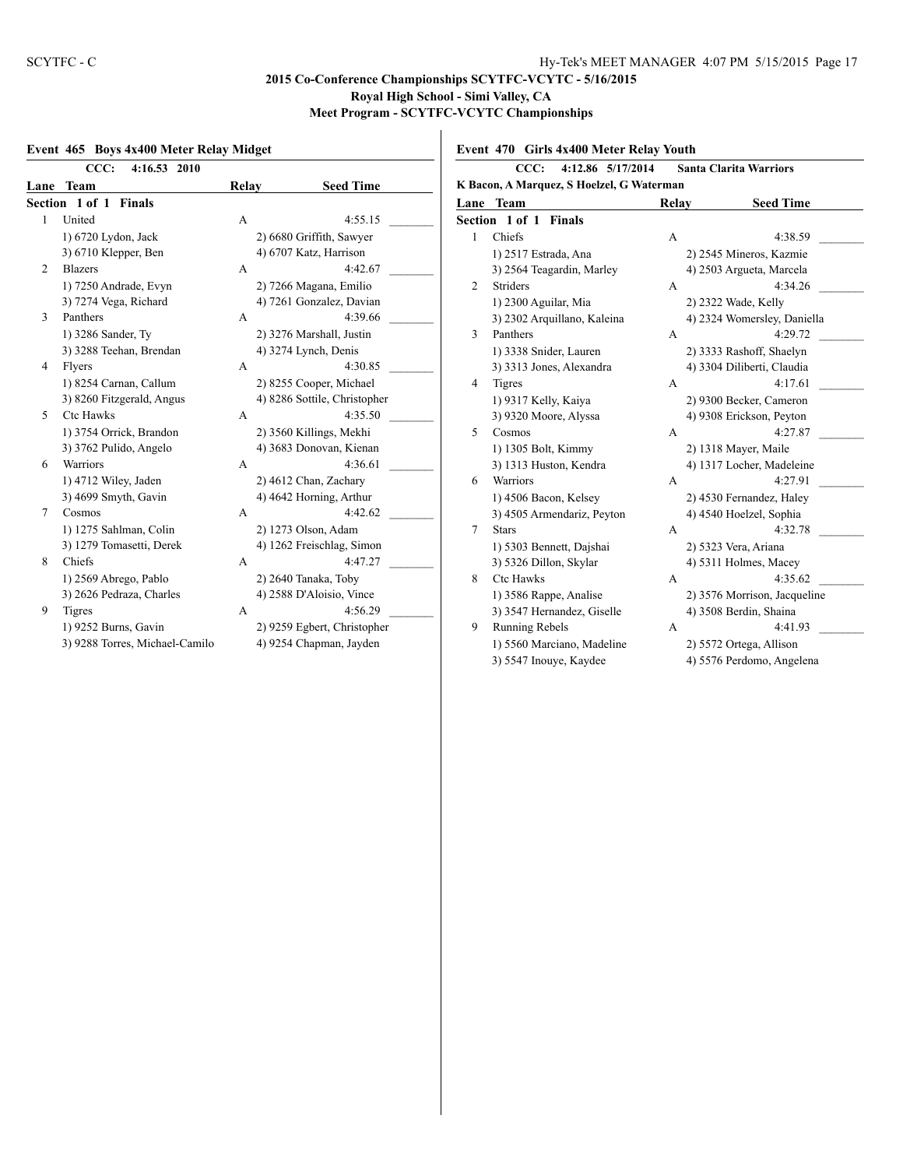## **Event 465 Boys 4x400 Meter Relay Midget**

|                | CCC:<br>4:16.53 2010           |              |                              |
|----------------|--------------------------------|--------------|------------------------------|
| Lane           | Team                           | Relay        | <b>Seed Time</b>             |
|                | Section 1 of 1 Finals          |              |                              |
| 1              | United                         | A            | 4:55.15                      |
|                | 1) 6720 Lydon, Jack            |              | 2) 6680 Griffith, Sawyer     |
|                | 3) 6710 Klepper, Ben           |              | 4) 6707 Katz, Harrison       |
| $\overline{c}$ | <b>Blazers</b>                 | A            | 4:42.67                      |
|                | 1) 7250 Andrade, Evyn          |              | 2) 7266 Magana, Emilio       |
|                | 3) 7274 Vega, Richard          |              | 4) 7261 Gonzalez, Davian     |
| 3              | Panthers                       | A            | 4:39.66                      |
|                | 1) 3286 Sander, Ty             |              | 2) 3276 Marshall, Justin     |
|                | 3) 3288 Teehan, Brendan        |              | 4) 3274 Lynch, Denis         |
| 4              | Flyers                         | $\mathsf{A}$ | 4:30.85                      |
|                | 1) 8254 Carnan, Callum         |              | 2) 8255 Cooper, Michael      |
|                | 3) 8260 Fitzgerald, Angus      |              | 4) 8286 Sottile, Christopher |
| 5              | Ctc Hawks                      | $\mathsf{A}$ | 4:35.50                      |
|                | 1) 3754 Orrick, Brandon        |              | 2) 3560 Killings, Mekhi      |
|                | 3) 3762 Pulido, Angelo         |              | 4) 3683 Donovan, Kienan      |
| 6              | <b>Warriors</b>                | A            | 4:36.61                      |
|                | 1) 4712 Wiley, Jaden           |              | 2) 4612 Chan, Zachary        |
|                | 3) 4699 Smyth, Gavin           |              | 4) 4642 Horning, Arthur      |
| $\tau$         | Cosmos                         | $\mathsf{A}$ | 4:42.62                      |
|                | 1) 1275 Sahlman, Colin         |              | 2) 1273 Olson, Adam          |
|                | 3) 1279 Tomasetti, Derek       |              | 4) 1262 Freischlag, Simon    |
| 8              | Chiefs                         | $\mathsf{A}$ | 4:47.27                      |
|                | 1) 2569 Abrego, Pablo          |              | 2) 2640 Tanaka, Toby         |
|                | 3) 2626 Pedraza, Charles       |              | 4) 2588 D'Aloisio, Vince     |
| 9              | <b>Tigres</b>                  | A            | 4:56.29                      |
|                | 1) 9252 Burns, Gavin           |              | 2) 9259 Egbert, Christopher  |
|                | 3) 9288 Torres, Michael-Camilo |              | 4) 9254 Chapman, Jayden      |
|                |                                |              |                              |

**Event 470 Girls 4x400 Meter Relay Youth**

|                                           | 4:12.86 5/17/2014<br>CCC:<br><b>Santa Clarita Warriors</b> |       |                              |  |  |
|-------------------------------------------|------------------------------------------------------------|-------|------------------------------|--|--|
| K Bacon, A Marquez, S Hoelzel, G Waterman |                                                            |       |                              |  |  |
| Lane                                      | Team                                                       | Relay | <b>Seed Time</b>             |  |  |
|                                           | <b>Section 1 of 1 Finals</b>                               |       |                              |  |  |
| 1                                         | Chiefs                                                     | A     | 4:38.59                      |  |  |
|                                           | 1) 2517 Estrada, Ana                                       |       | 2) 2545 Mineros, Kazmie      |  |  |
|                                           | 3) 2564 Teagardin, Marley                                  |       | 4) 2503 Argueta, Marcela     |  |  |
| 2                                         | <b>Striders</b>                                            | A     | 4:34.26                      |  |  |
|                                           | 1) 2300 Aguilar, Mia                                       |       | 2) 2322 Wade, Kelly          |  |  |
|                                           | 3) 2302 Arquillano, Kaleina                                |       | 4) 2324 Womersley, Daniella  |  |  |
| 3                                         | Panthers                                                   | A     | 4:29.72                      |  |  |
|                                           | 1) 3338 Snider, Lauren                                     |       | 2) 3333 Rashoff, Shaelyn     |  |  |
|                                           | 3) 3313 Jones, Alexandra                                   |       | 4) 3304 Diliberti, Claudia   |  |  |
| 4                                         | <b>Tigres</b>                                              | A     | 4:17.61                      |  |  |
|                                           | 1) 9317 Kelly, Kaiya                                       |       | 2) 9300 Becker, Cameron      |  |  |
|                                           | 3) 9320 Moore, Alyssa                                      |       | 4) 9308 Erickson, Peyton     |  |  |
| 5                                         | Cosmos                                                     | A     | 4:27.87                      |  |  |
|                                           | 1) 1305 Bolt, Kimmy                                        |       | 2) 1318 Mayer, Maile         |  |  |
|                                           | 3) 1313 Huston, Kendra                                     |       | 4) 1317 Locher, Madeleine    |  |  |
| 6                                         | Warriors                                                   | A     | 4:27.91                      |  |  |
|                                           | 1) 4506 Bacon, Kelsey                                      |       | 2) 4530 Fernandez, Haley     |  |  |
|                                           | 3) 4505 Armendariz, Peyton                                 |       | 4) 4540 Hoelzel, Sophia      |  |  |
| 7                                         | <b>Stars</b>                                               | A     | 4:32.78                      |  |  |
|                                           | 1) 5303 Bennett, Dajshai                                   |       | 2) 5323 Vera, Ariana         |  |  |
|                                           | 3) 5326 Dillon, Skylar                                     |       | 4) 5311 Holmes, Macey        |  |  |
| 8                                         | <b>Ctc Hawks</b>                                           | A     | 4:35.62                      |  |  |
|                                           | 1) 3586 Rappe, Analise                                     |       | 2) 3576 Morrison, Jacqueline |  |  |
|                                           | 3) 3547 Hernandez, Giselle                                 |       | 4) 3508 Berdin, Shaina       |  |  |
| 9                                         | Running Rebels                                             | A     | 4:41.93                      |  |  |
|                                           | 1) 5560 Marciano, Madeline                                 |       | 2) 5572 Ortega, Allison      |  |  |
|                                           | 3) 5547 Inouye, Kaydee                                     |       | 4) 5576 Perdomo, Angelena    |  |  |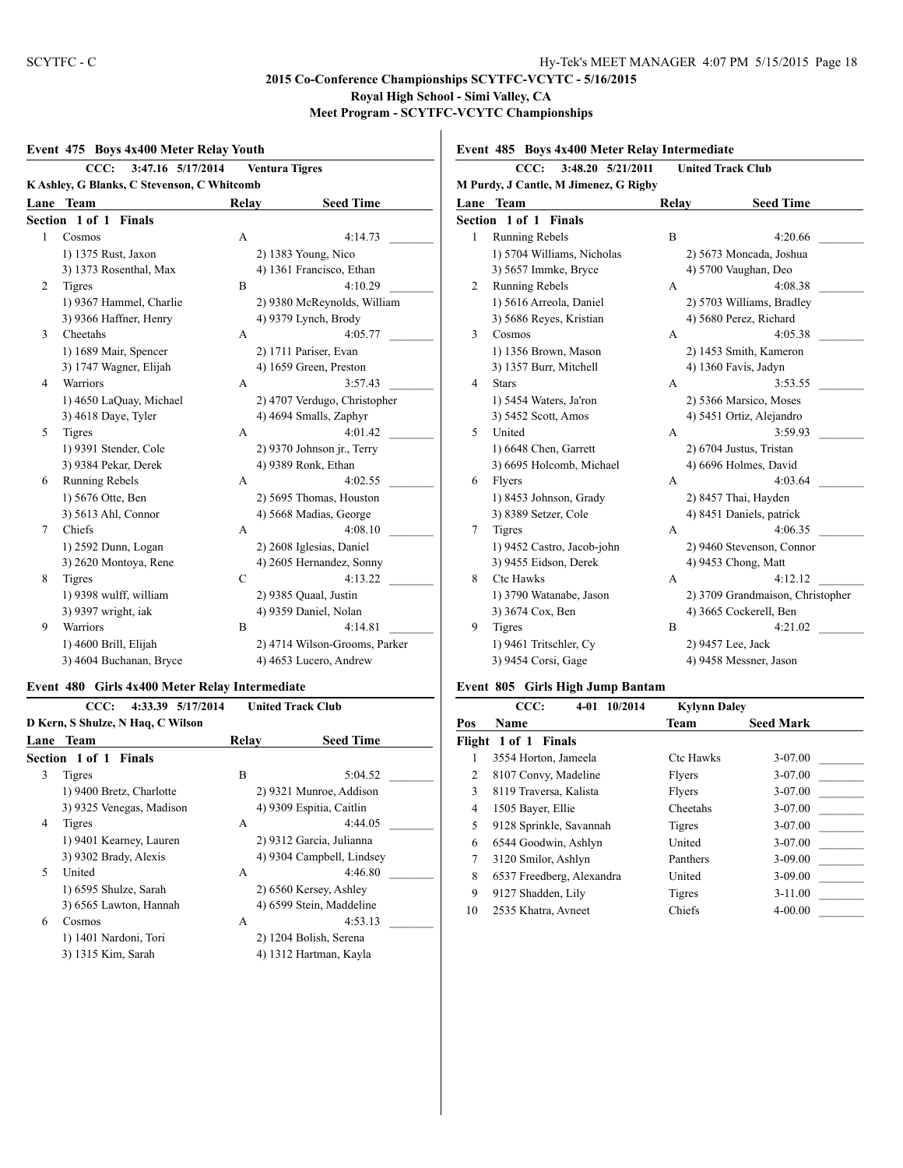#### **Event 475 Boys 4x400 Meter Relay Youth**

|                                             | 3:47.16 5/17/2014<br>CCC: |       | <b>Ventura Tigres</b>         |  |  |
|---------------------------------------------|---------------------------|-------|-------------------------------|--|--|
| K Ashley, G Blanks, C Stevenson, C Whitcomb |                           |       |                               |  |  |
| Lane                                        | <b>Team</b>               | Relay | <b>Seed Time</b>              |  |  |
| Section 1 of 1<br><b>Finals</b>             |                           |       |                               |  |  |
| 1                                           | Cosmos                    | A     | 4:14.73                       |  |  |
|                                             | 1) 1375 Rust, Jaxon       |       | 2) 1383 Young, Nico           |  |  |
|                                             | 3) 1373 Rosenthal, Max    |       | 4) 1361 Francisco, Ethan      |  |  |
| 2                                           | <b>Tigres</b>             | B     | 4:10.29                       |  |  |
|                                             | 1) 9367 Hammel, Charlie   |       | 2) 9380 McReynolds, William   |  |  |
|                                             | 3) 9366 Haffner, Henry    |       | 4) 9379 Lynch, Brody          |  |  |
| 3                                           | Cheetahs                  | A     | 4:05.77                       |  |  |
|                                             | 1) 1689 Mair, Spencer     |       | 2) 1711 Pariser, Evan         |  |  |
|                                             | 3) 1747 Wagner, Elijah    |       | 4) 1659 Green, Preston        |  |  |
| 4                                           | <b>Warriors</b>           | A     | 3:57.43                       |  |  |
|                                             | 1) 4650 LaQuay, Michael   |       | 2) 4707 Verdugo, Christopher  |  |  |
|                                             | 3) 4618 Daye, Tyler       |       | 4) 4694 Smalls, Zaphyr        |  |  |
| 5                                           | <b>Tigres</b>             | A     | 4:01.42                       |  |  |
|                                             | 1) 9391 Stender, Cole     |       | 2) 9370 Johnson jr., Terry    |  |  |
|                                             | 3) 9384 Pekar, Derek      |       | 4) 9389 Ronk, Ethan           |  |  |
| 6                                           | Running Rebels            | A     | 4:02.55                       |  |  |
|                                             | 1) 5676 Otte, Ben         |       | 2) 5695 Thomas, Houston       |  |  |
|                                             | 3) 5613 Ahl, Connor       |       | 4) 5668 Madias, George        |  |  |
| 7                                           | Chiefs                    | A     | 4:08.10                       |  |  |
|                                             | 1) 2592 Dunn, Logan       |       | 2) 2608 Iglesias, Daniel      |  |  |
|                                             | 3) 2620 Montoya, Rene     |       | 4) 2605 Hernandez, Sonny      |  |  |
| 8                                           | <b>Tigres</b>             | C     | 4:13.22                       |  |  |
|                                             | 1) 9398 wulff, william    |       | 2) 9385 Quaal, Justin         |  |  |
|                                             | 3) 9397 wright, iak       |       | 4) 9359 Daniel, Nolan         |  |  |
| 9                                           | <b>Warriors</b>           | B     | 4:14.81                       |  |  |
|                                             | 1) 4600 Brill, Elijah     |       | 2) 4714 Wilson-Grooms, Parker |  |  |
|                                             | 3) 4604 Buchanan, Bryce   |       | 4) 4653 Lucero, Andrew        |  |  |

## **Event 480 Girls 4x400 Meter Relay Intermediate**

|                                   | 4:33.39 5/17/2014<br>CCC: |       | <b>United Track Club</b>  |         |  |  |
|-----------------------------------|---------------------------|-------|---------------------------|---------|--|--|
| D Kern, S Shulze, N Haq, C Wilson |                           |       |                           |         |  |  |
|                                   | <b>Lane Team</b>          | Relay | <b>Seed Time</b>          |         |  |  |
| Section 1 of 1 Finals             |                           |       |                           |         |  |  |
| 3                                 | Tigres                    | B     |                           | 5:04.52 |  |  |
|                                   | 1) 9400 Bretz, Charlotte  |       | 2) 9321 Munroe, Addison   |         |  |  |
|                                   | 3) 9325 Venegas, Madison  |       | 4) 9309 Espitia, Caitlin  |         |  |  |
| 4                                 | Tigres                    | A     |                           | 4:44.05 |  |  |
|                                   | 1) 9401 Kearney, Lauren   |       | 2) 9312 Garcia, Julianna  |         |  |  |
|                                   | 3) 9302 Brady, Alexis     |       | 4) 9304 Campbell, Lindsey |         |  |  |
| 5                                 | United                    | A     |                           | 4:46.80 |  |  |
|                                   | 1) 6595 Shulze, Sarah     |       | 2) 6560 Kersey, Ashley    |         |  |  |
|                                   | 3) 6565 Lawton, Hannah    |       | 4) 6599 Stein, Maddeline  |         |  |  |
| 6                                 | Cosmos                    | A     |                           | 4:53.13 |  |  |
|                                   | 1) 1401 Nardoni, Tori     |       | 2) 1204 Bolish, Serena    |         |  |  |
|                                   | 3) 1315 Kim, Sarah        |       | 4) 1312 Hartman, Kayla    |         |  |  |

**Event 485 Boys 4x400 Meter Relay Intermediate**

|                                       | 3:48.20 5/21/2011<br><b>United Track Club</b><br>CCC: |       |                                  |  |  |
|---------------------------------------|-------------------------------------------------------|-------|----------------------------------|--|--|
| M Purdy, J Cantle, M Jimenez, G Rigby |                                                       |       |                                  |  |  |
| Lane                                  | <b>Team</b>                                           | Relay | <b>Seed Time</b>                 |  |  |
| Section 1 of 1 Finals                 |                                                       |       |                                  |  |  |
| $\mathbf{1}$                          | Running Rebels                                        | B     | 4:20.66                          |  |  |
|                                       | 1) 5704 Williams, Nicholas                            |       | 2) 5673 Moncada, Joshua          |  |  |
|                                       | 3) 5657 Immke, Bryce                                  |       | 4) 5700 Vaughan, Deo             |  |  |
| $\overline{2}$                        | <b>Running Rebels</b>                                 | A     | 4:08.38                          |  |  |
|                                       | 1) 5616 Arreola, Daniel                               |       | 2) 5703 Williams, Bradley        |  |  |
|                                       | 3) 5686 Reyes, Kristian                               |       | 4) 5680 Perez, Richard           |  |  |
| 3                                     | Cosmos                                                | A     | 4:05.38                          |  |  |
|                                       | 1) 1356 Brown, Mason                                  |       | 2) 1453 Smith, Kameron           |  |  |
|                                       | 3) 1357 Burr, Mitchell                                |       | 4) 1360 Favis, Jadyn             |  |  |
| 4                                     | <b>Stars</b>                                          | A     | 3:53.55                          |  |  |
|                                       | 1) 5454 Waters, Ja'ron                                |       | 2) 5366 Marsico, Moses           |  |  |
|                                       | 3) 5452 Scott, Amos                                   |       | 4) 5451 Ortiz, Alejandro         |  |  |
| 5                                     | United                                                | A     | 3:59.93                          |  |  |
|                                       | 1) 6648 Chen, Garrett                                 |       | 2) 6704 Justus, Tristan          |  |  |
|                                       | 3) 6695 Holcomb, Michael                              |       | 4) 6696 Holmes, David            |  |  |
| 6                                     | Flyers                                                | A     | 4:03.64                          |  |  |
|                                       | 1) 8453 Johnson, Grady                                |       | 2) 8457 Thai, Hayden             |  |  |
|                                       | 3) 8389 Setzer, Cole                                  |       | 4) 8451 Daniels, patrick         |  |  |
| 7                                     | <b>Tigres</b>                                         | A     | 4:06.35                          |  |  |
|                                       | 1) 9452 Castro, Jacob-john                            |       | 2) 9460 Stevenson, Connor        |  |  |
|                                       | 3) 9455 Eidson, Derek                                 |       | 4) 9453 Chong, Matt              |  |  |
| 8                                     | <b>Ctc Hawks</b>                                      | A     | 4:12.12                          |  |  |
|                                       | 1) 3790 Watanabe, Jason                               |       | 2) 3709 Grandmaison, Christopher |  |  |
|                                       | 3) 3674 Cox, Ben                                      |       | 4) 3665 Cockerell, Ben           |  |  |
| 9                                     | <b>Tigres</b>                                         | B     | 4:21.02                          |  |  |
|                                       | 1) 9461 Tritschler, Cy                                |       | 2) 9457 Lee, Jack                |  |  |
|                                       | 3) 9454 Corsi, Gage                                   |       | 4) 9458 Messner, Jason           |  |  |
|                                       |                                                       |       |                                  |  |  |

#### **Event 805 Girls High Jump Bantam**

|        | 10/2014<br>CCC:<br>$4 - 01$ | <b>Kylynn Daley</b> |                  |
|--------|-----------------------------|---------------------|------------------|
| Pos    | <b>Name</b>                 | Team                | <b>Seed Mark</b> |
| Flight | 1 of 1 Finals               |                     |                  |
| 1      | 3554 Horton, Jameela        | <b>Ctc Hawks</b>    | 3-07.00          |
| 2      | 8107 Convy, Madeline        | Flyers              | 3-07.00          |
| 3      | 8119 Traversa, Kalista      | Flyers              | 3-07.00          |
| 4      | 1505 Bayer, Ellie           | Cheetahs            | 3-07.00          |
| 5      | 9128 Sprinkle, Savannah     | Tigres              | 3-07.00          |
| 6      | 6544 Goodwin, Ashlyn        | United              | 3-07.00          |
| 7      | 3120 Smilor, Ashlyn         | Panthers            | $3-09.00$        |
| 8      | 6537 Freedberg, Alexandra   | United              | $3-09.00$        |
| 9      | 9127 Shadden, Lily          | Tigres              | $3 - 11.00$      |
| 10     | 2535 Khatra, Avneet         | Chiefs              | $4 - 00.00$      |
|        |                             |                     |                  |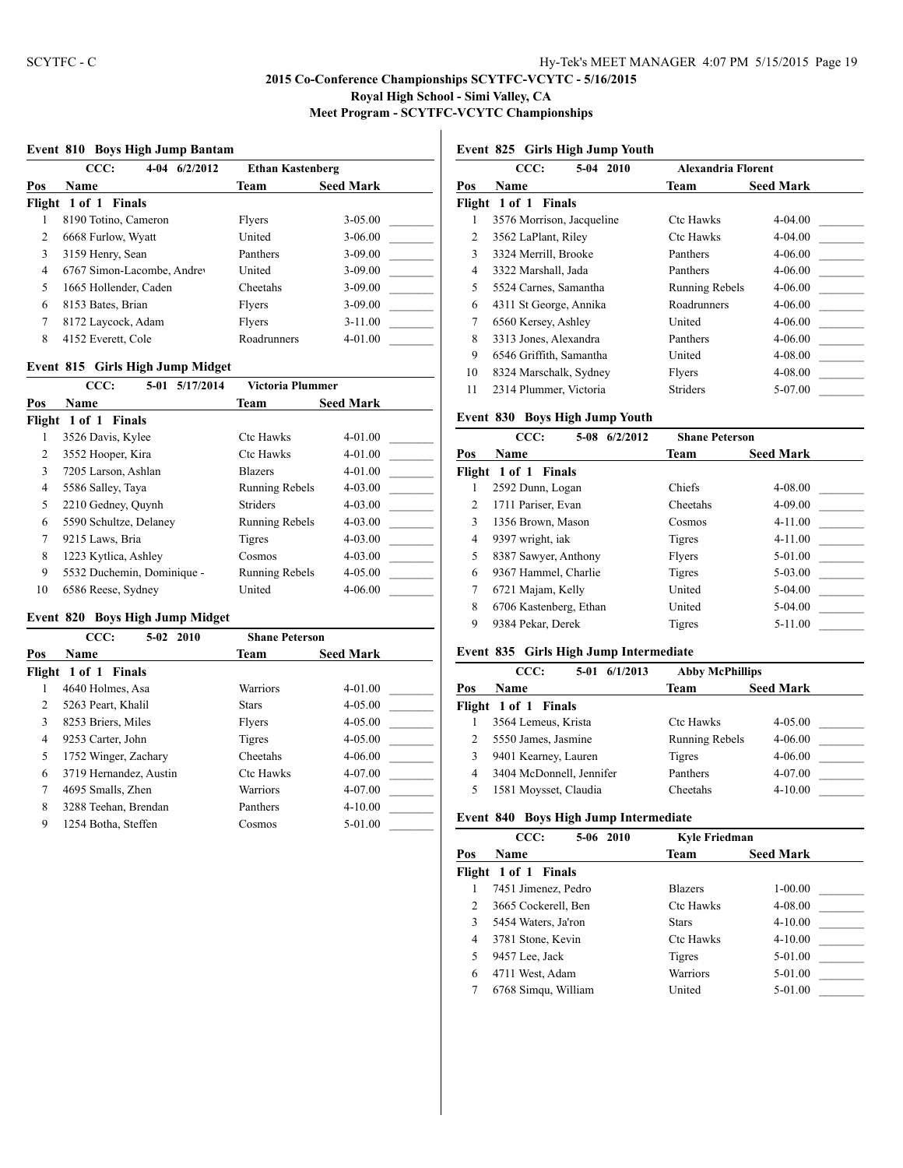#### **Event 810 Boys High Jump Bantam**

|     | CCC:<br>$4-04$ $6/2/2012$<br><b>Ethan Kastenberg</b> |             |                  |  |
|-----|------------------------------------------------------|-------------|------------------|--|
| Pos | <b>Name</b>                                          | Team        | <b>Seed Mark</b> |  |
|     | Flight 1 of 1 Finals                                 |             |                  |  |
|     | 8190 Totino, Cameron                                 | Flyers      | $3 - 05.00$      |  |
| 2   | 6668 Furlow, Wyatt                                   | United      | $3 - 06.00$      |  |
| 3   | 3159 Henry, Sean                                     | Panthers    | $3 - 09.00$      |  |
| 4   | 6767 Simon-Lacombe, Andrey                           | United      | $3 - 09.00$      |  |
| 5   | 1665 Hollender, Caden                                | Cheetahs    | $3 - 09.00$      |  |
| 6   | 8153 Bates, Brian                                    | Flyers      | $3 - 09.00$      |  |
| 7   | 8172 Laycock, Adam                                   | Flyers      | $3 - 11.00$      |  |
| 8   | 4152 Everett, Cole                                   | Roadrunners | $4 - 01.00$      |  |
|     |                                                      |             |                  |  |

#### **Event 815 Girls High Jump Midget**

|                | CCC:                       | 5/17/2014<br>5-01 | Victoria Plummer      |                  |
|----------------|----------------------------|-------------------|-----------------------|------------------|
| Pos            | <b>Name</b>                |                   | Team                  | <b>Seed Mark</b> |
|                | Flight 1 of 1 Finals       |                   |                       |                  |
|                | 3526 Davis, Kylee          |                   | <b>Ctc Hawks</b>      | $4 - 01.00$      |
| $\overline{c}$ | 3552 Hooper, Kira          |                   | <b>Ctc Hawks</b>      | $4 - 01.00$      |
| 3              | 7205 Larson, Ashlan        |                   | <b>Blazers</b>        | $4 - 01.00$      |
| 4              | 5586 Salley, Taya          |                   | <b>Running Rebels</b> | $4 - 03.00$      |
| 5              | 2210 Gedney, Quynh         |                   | <b>Striders</b>       | $4 - 03.00$      |
| 6              | 5590 Schultze, Delaney     |                   | <b>Running Rebels</b> | $4 - 03.00$      |
| 7              | 9215 Laws, Bria            |                   | Tigres                | $4 - 03.00$      |
| 8              | 1223 Kytlica, Ashley       |                   | Cosmos                | $4 - 03.00$      |
| 9              | 5532 Duchemin, Dominique - |                   | <b>Running Rebels</b> | $4 - 05.00$      |
| 10             | 6586 Reese, Sydney         |                   | United                | $4 - 06.00$      |

#### **Event 820 Boys High Jump Midget**

|     | CCC:<br>$5-02$ 2010    | <b>Shane Peterson</b> |                  |
|-----|------------------------|-----------------------|------------------|
| Pos | <b>Name</b>            | Team                  | <b>Seed Mark</b> |
|     | Flight 1 of 1 Finals   |                       |                  |
|     | 4640 Holmes, Asa       | Warriors              | $4 - 01.00$      |
| 2   | 5263 Peart, Khalil     | <b>Stars</b>          | $4 - 05.00$      |
| 3   | 8253 Briers, Miles     | Flyers                | $4 - 05.00$      |
| 4   | 9253 Carter, John      | Tigres                | $4 - 05.00$      |
| 5   | 1752 Winger, Zachary   | Cheetahs              | $4 - 06.00$      |
| 6   | 3719 Hernandez, Austin | <b>Ctc Hawks</b>      | 4-07.00          |
| 7   | 4695 Smalls, Zhen      | Warriors              | 4-07.00          |
| 8   | 3288 Teehan, Brendan   | Panthers              | $4 - 10.00$      |
| 9   | 1254 Botha, Steffen    | Cosmos                | 5-01.00          |

# **Event 825 Girls High Jump Youth**

|        | CCC:<br>5-04 2010         | <b>Alexandria Florent</b> |                  |
|--------|---------------------------|---------------------------|------------------|
| Pos    | Name                      | Team                      | <b>Seed Mark</b> |
| Flight | 1 of 1 Finals             |                           |                  |
| 1      | 3576 Morrison, Jacqueline | <b>Ctc Hawks</b>          | 4-04.00          |
| 2      | 3562 LaPlant, Riley       | Ctc Hawks                 | 4-04.00          |
| 3      | 3324 Merrill, Brooke      | Panthers                  | 4-06.00          |
| 4      | 3322 Marshall, Jada       | Panthers                  | 4-06.00          |
| 5      | 5524 Carnes, Samantha     | Running Rebels            | 4-06.00          |
| 6      | 4311 St George, Annika    | Roadrunners               | 4-06.00          |
| 7      | 6560 Kersey, Ashley       | United                    | 4-06.00          |
| 8      | 3313 Jones, Alexandra     | Panthers                  | 4-06.00          |
| 9      | 6546 Griffith, Samantha   | United                    | 4-08.00          |
| 10     | 8324 Marschalk, Sydney    | Flyers                    | 4-08.00          |
| 11     | 2314 Plummer, Victoria    | <b>Striders</b>           | 5-07.00          |

## **Event 830 Boys High Jump Youth**

|                | CCC:<br>6/2/2012<br>$5-08$ | <b>Shane Peterson</b> |                  |
|----------------|----------------------------|-----------------------|------------------|
| Pos            | Name                       | Team                  | <b>Seed Mark</b> |
|                | Flight 1 of 1 Finals       |                       |                  |
|                | 2592 Dunn, Logan           | Chiefs                | 4-08.00          |
| $\mathfrak{D}$ | 1711 Pariser, Evan         | Cheetahs              | 4-09.00          |
| 3              | 1356 Brown, Mason          | Cosmos                | 4-11.00          |
| 4              | 9397 wright, iak           | Tigres                | 4-11.00          |
| 5              | 8387 Sawyer, Anthony       | Flyers                | 5-01.00          |
| 6              | 9367 Hammel, Charlie       | Tigres                | 5-03.00          |
| 7              | 6721 Majam, Kelly          | United                | 5-04.00          |
| 8              | 6706 Kastenberg, Ethan     | United                | 5-04.00          |
| 9              | 9384 Pekar, Derek          | Tigres                | $5-11.00$        |
|                |                            |                       |                  |

## **Event 835 Girls High Jump Intermediate**

|     | CCC:                     | 5-01 6/1/2013 | <b>Abby McPhillips</b> |                  |  |
|-----|--------------------------|---------------|------------------------|------------------|--|
| Pos | <b>Name</b>              |               | Team                   | <b>Seed Mark</b> |  |
|     | Flight 1 of 1 Finals     |               |                        |                  |  |
|     | 3564 Lemeus, Krista      |               | <b>Ctc Hawks</b>       | 4-05.00          |  |
|     | 5550 James, Jasmine      |               | <b>Running Rebels</b>  | $4 - 06.00$      |  |
|     | 9401 Kearney, Lauren     |               | Tigres                 | $4 - 06.00$      |  |
| 4   | 3404 McDonnell, Jennifer |               | Panthers               | 4-07.00          |  |
|     | 1581 Moysset, Claudia    |               | Cheetahs               | $4 - 10.00$      |  |
|     |                          |               |                        |                  |  |

#### **Event 840 Boys High Jump Intermediate**

|     | CCC:<br>5-06 2010    | Kyle Friedman    |                  |
|-----|----------------------|------------------|------------------|
| Pos | <b>Name</b>          | Team             | <b>Seed Mark</b> |
|     | Flight 1 of 1 Finals |                  |                  |
|     | 7451 Jimenez, Pedro  | <b>Blazers</b>   | $1 - 00.00$      |
| 2   | 3665 Cockerell, Ben  | <b>Ctc Hawks</b> | 4-08.00          |
| 3   | 5454 Waters, Ja'ron  | <b>Stars</b>     | $4 - 10.00$      |
| 4   | 3781 Stone, Kevin    | Ctc Hawks        | $4 - 10.00$      |
| 5   | 9457 Lee, Jack       | Tigres           | 5-01.00          |
| 6   | 4711 West, Adam      | Warriors         | 5-01.00          |
|     | 6768 Simqu, William  | United           | 5-01.00          |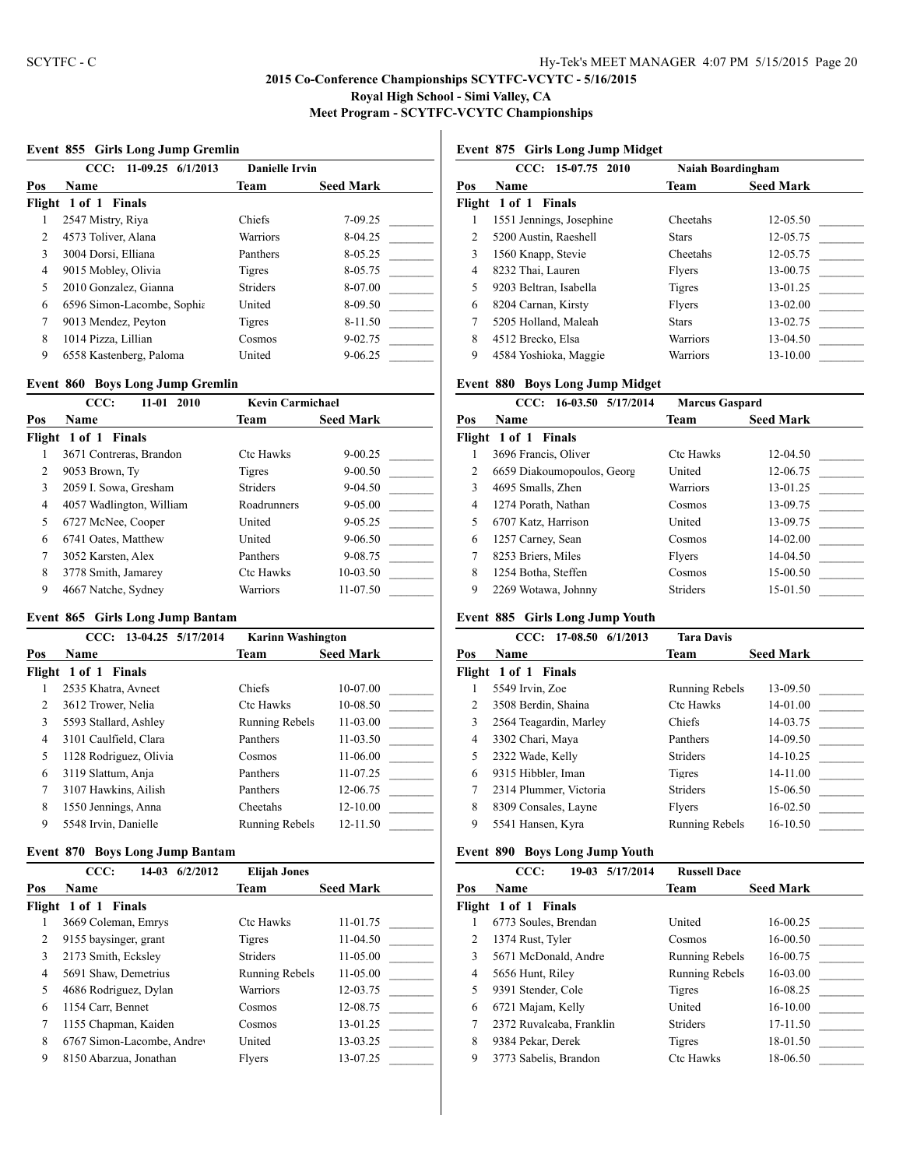## **Event 855 Girls Long Jump Gremlin**

|     | $11-09.25$ 6/1/2013<br>CCC: | <b>Danielle Irvin</b> |                  |
|-----|-----------------------------|-----------------------|------------------|
| Pos | <b>Name</b>                 | Team                  | <b>Seed Mark</b> |
|     | Flight 1 of 1 Finals        |                       |                  |
|     | 2547 Mistry, Riya           | Chiefs                | 7-09.25          |
| 2   | 4573 Toliver, Alana         | Warriors              | 8-04.25          |
| 3   | 3004 Dorsi, Elliana         | Panthers              | 8-05.25          |
| 4   | 9015 Mobley, Olivia         | Tigres                | 8-05.75          |
| 5   | 2010 Gonzalez, Gianna       | <b>Striders</b>       | 8-07.00          |
| 6   | 6596 Simon-Lacombe, Sophia  | United                | 8-09.50          |
| 7   | 9013 Mendez, Peyton         | Tigres                | 8-11.50          |
| 8   | 1014 Pizza, Lillian         | Cosmos                | $9 - 02.75$      |
| 9   | 6558 Kastenberg, Paloma     | United                | $9 - 06.25$      |

#### **Event 860 Boys Long Jump Gremlin**

|     | CCC:<br>$11 - 01$<br>2010 | <b>Kevin Carmichael</b> |                  |
|-----|---------------------------|-------------------------|------------------|
| Pos | <b>Name</b>               | Team                    | <b>Seed Mark</b> |
|     | Flight 1 of 1 Finals      |                         |                  |
|     | 3671 Contreras, Brandon   | <b>Ctc Hawks</b>        | $9 - 00.25$      |
| 2   | 9053 Brown, Ty            | Tigres                  | $9 - 00.50$      |
| 3   | 2059 I. Sowa, Gresham     | <b>Striders</b>         | $9 - 04.50$      |
| 4   | 4057 Wadlington, William  | Roadrunners             | $9 - 05.00$      |
| 5   | 6727 McNee, Cooper        | United                  | $9 - 05.25$      |
| 6   | 6741 Oates, Matthew       | United                  | $9 - 06.50$      |
| 7   | 3052 Karsten, Alex        | Panthers                | 9-08.75          |
| 8   | 3778 Smith, Jamarey       | <b>Ctc Hawks</b>        | 10-03.50         |
| 9   | 4667 Natche, Sydney       | Warriors                | 11-07.50         |

#### **Event 865 Girls Long Jump Bantam**

|                               | CCC: 13-04.25 5/17/2014 | <b>Karinn Washington</b> |                  |
|-------------------------------|-------------------------|--------------------------|------------------|
| Pos                           | <b>Name</b>             | Team                     | <b>Seed Mark</b> |
|                               | Flight 1 of 1 Finals    |                          |                  |
|                               | 2535 Khatra, Avneet     | Chiefs                   | 10-07.00         |
| $\mathfrak{D}_{\mathfrak{p}}$ | 3612 Trower, Nelia      | <b>Ctc Hawks</b>         | 10-08.50         |
| 3                             | 5593 Stallard, Ashley   | Running Rebels           | $11 - 03.00$     |
| 4                             | 3101 Caulfield, Clara   | Panthers                 | 11-03.50         |
| 5                             | 1128 Rodriguez, Olivia  | Cosmos                   | 11-06.00         |
| 6                             | 3119 Slattum, Anja      | Panthers                 | 11-07.25         |
| 7                             | 3107 Hawkins, Ailish    | Panthers                 | 12-06.75         |
| 8                             | 1550 Jennings, Anna     | Cheetahs                 | $12 - 10.00$     |
| 9                             | 5548 Irvin, Danielle    | <b>Running Rebels</b>    | 12-11.50         |

#### **Event 870 Boys Long Jump Bantam**

|        | CCC:<br>6/2/2012<br>$14-03$ | <b>Elijah Jones</b> |                  |
|--------|-----------------------------|---------------------|------------------|
| Pos    | Name                        | Team                | <b>Seed Mark</b> |
| Flight | 1 of 1 Finals               |                     |                  |
|        | 3669 Coleman, Emrys         | <b>Ctc Hawks</b>    | 11-01.75         |
| 2      | 9155 baysinger, grant       | Tigres              | 11-04.50         |
| 3      | 2173 Smith, Ecksley         | <b>Striders</b>     | 11-05.00         |
| 4      | 5691 Shaw, Demetrius        | Running Rebels      | 11-05.00         |
| 5      | 4686 Rodriguez, Dylan       | Warriors            | 12-03.75         |
| 6      | 1154 Carr, Bennet           | Cosmos              | 12-08.75         |
| 7      | 1155 Chapman, Kaiden        | Cosmos              | 13-01.25         |
| 8      | 6767 Simon-Lacombe, Andrey  | United              | 13-03.25         |
| 9      | 8150 Abarzua, Jonathan      | Flyers              | 13-07.25         |

# **Event 875 Girls Long Jump Midget**

|                | $CCC: 15-07.75 2010$     | Naiah Boardingham |                  |
|----------------|--------------------------|-------------------|------------------|
| Pos            | <b>Name</b>              | Team              | <b>Seed Mark</b> |
|                | Flight 1 of 1 Finals     |                   |                  |
|                | 1551 Jennings, Josephine | Cheetahs          | $12 - 05.50$     |
| $\mathfrak{D}$ | 5200 Austin, Raeshell    | <b>Stars</b>      | 12-05.75         |
| 3              | 1560 Knapp, Stevie       | Cheetahs          | 12-05.75         |
| 4              | 8232 Thai, Lauren        | Flyers            | 13-00.75         |
| 5              | 9203 Beltran, Isabella   | Tigres            | 13-01.25         |
| 6              | 8204 Carnan, Kirsty      | Flyers            | $13-02.00$       |
| 7              | 5205 Holland, Maleah     | <b>Stars</b>      | 13-02.75         |
| 8              | 4512 Brecko, Elsa        | Warriors          | 13-04.50         |
| 9              | 4584 Yoshioka, Maggie    | Warriors          | 13-10.00         |
|                |                          |                   |                  |

# **Event 880 Boys Long Jump Midget**

|     | CCC: 16-03.50 5/17/2014    | <b>Marcus Gaspard</b> |                  |
|-----|----------------------------|-----------------------|------------------|
| Pos | Name                       | Team                  | <b>Seed Mark</b> |
|     | Flight 1 of 1 Finals       |                       |                  |
|     | 3696 Francis, Oliver       | <b>Ctc Hawks</b>      | $12 - 04.50$     |
| 2   | 6659 Diakoumopoulos, Georg | United                | 12-06.75         |
| 3   | 4695 Smalls, Zhen          | <b>Warriors</b>       | 13-01.25         |
| 4   | 1274 Porath, Nathan        | Cosmos                | 13-09.75         |
| 5   | 6707 Katz, Harrison        | United                | 13-09.75         |
| 6   | 1257 Carney, Sean          | Cosmos                | 14-02.00         |
| 7   | 8253 Briers, Miles         | Flyers                | 14-04.50         |
| 8   | 1254 Botha, Steffen        | Cosmos                | 15-00.50         |
| 9   | 2269 Wotawa, Johnny        | <b>Striders</b>       | 15-01.50         |

## **Event 885 Girls Long Jump Youth**

|     | 17-08.50 6/1/2013<br>CCC: | <b>Tara Davis</b>     |                  |
|-----|---------------------------|-----------------------|------------------|
| Pos | <b>Name</b>               | Team                  | <b>Seed Mark</b> |
|     | Flight 1 of 1 Finals      |                       |                  |
|     | 5549 Irvin, Zoe           | <b>Running Rebels</b> | 13-09.50         |
| 2   | 3508 Berdin, Shaina       | <b>Ctc Hawks</b>      | 14-01.00         |
| 3   | 2564 Teagardin, Marley    | <b>Chiefs</b>         | 14-03.75         |
| 4   | 3302 Chari, Maya          | Panthers              | 14-09.50         |
| 5   | 2322 Wade, Kelly          | <b>Striders</b>       | 14-10.25         |
| 6   | 9315 Hibbler, Iman        | Tigres                | 14-11.00         |
| 7   | 2314 Plummer, Victoria    | <b>Striders</b>       | 15-06.50         |
| 8   | 8309 Consales, Layne      | Flyers                | 16-02.50         |
| 9   | 5541 Hansen, Kyra         | Running Rebels        | 16-10.50         |

## **Event 890 Boys Long Jump Youth**

|        | CCC:<br>19-03 5/17/2014  | <b>Russell Dace</b>   |                  |
|--------|--------------------------|-----------------------|------------------|
| Pos    | Name                     | Team                  | <b>Seed Mark</b> |
| Flight | 1 of 1 Finals            |                       |                  |
|        | 6773 Soules, Brendan     | United                | 16-00.25         |
| 2      | 1374 Rust, Tyler         | Cosmos                | 16-00.50         |
| 3      | 5671 McDonald, Andre     | <b>Running Rebels</b> | 16-00.75         |
| 4      | 5656 Hunt, Riley         | <b>Running Rebels</b> | 16-03.00         |
| 5      | 9391 Stender, Cole       | Tigres                | 16-08.25         |
| 6      | 6721 Majam, Kelly        | United                | 16-10.00         |
| 7      | 2372 Ruvalcaba, Franklin | <b>Striders</b>       | 17-11.50         |
| 8      | 9384 Pekar, Derek        | Tigres                | 18-01.50         |
| 9      | 3773 Sabelis, Brandon    | <b>Ctc Hawks</b>      | 18-06.50         |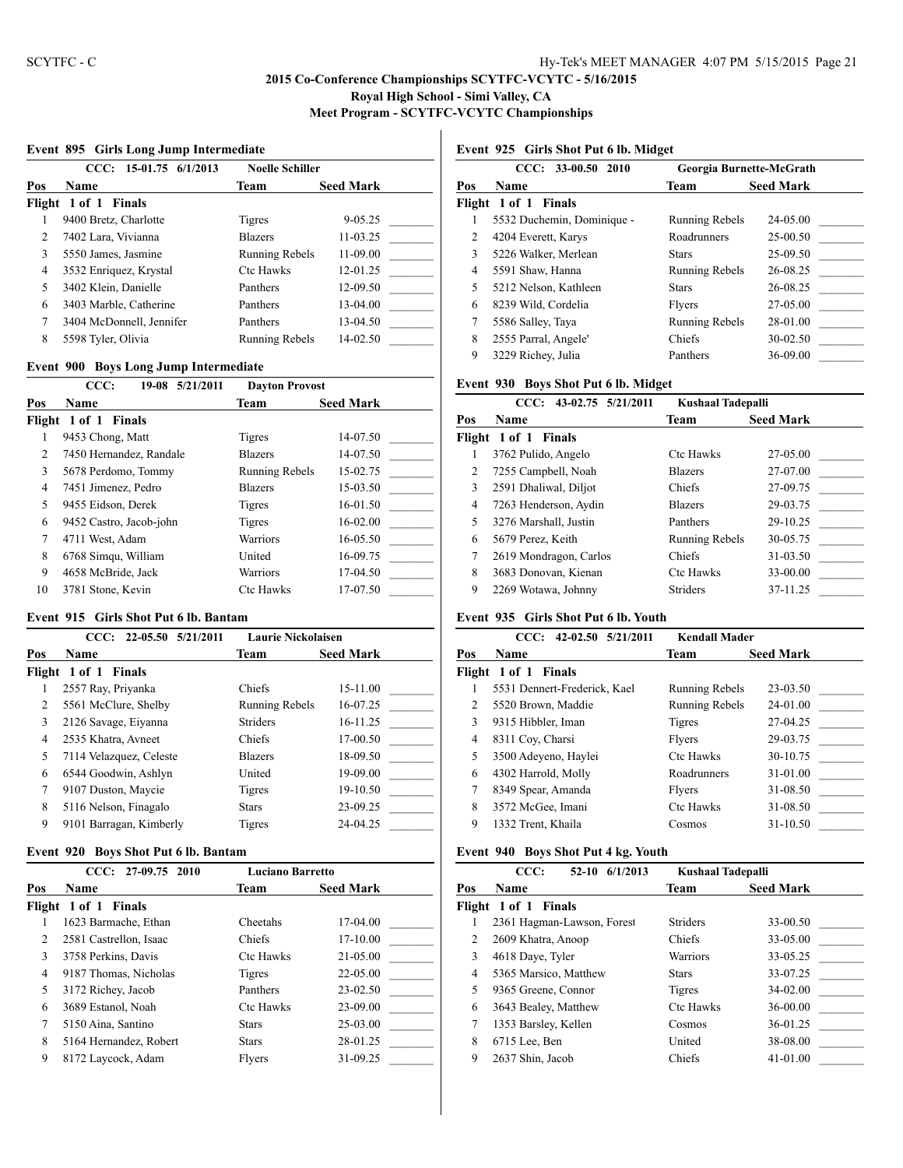## **Event 895 Girls Long Jump Intermediate**

|     | CCC: 15-01.75 6/1/2013   | <b>Noelle Schiller</b> |                  |
|-----|--------------------------|------------------------|------------------|
| Pos | <b>Name</b>              | Team                   | <b>Seed Mark</b> |
|     | Flight 1 of 1 Finals     |                        |                  |
|     | 9400 Bretz, Charlotte    | Tigres                 | $9 - 05.25$      |
| 2   | 7402 Lara, Vivianna      | <b>Blazers</b>         | $11 - 03.25$     |
| 3   | 5550 James, Jasmine      | Running Rebels         | 11-09.00         |
| 4   | 3532 Enriquez, Krystal   | <b>Ctc Hawks</b>       | $12 - 01.25$     |
| 5   | 3402 Klein, Danielle     | Panthers               | 12-09.50         |
| 6   | 3403 Marble, Catherine   | Panthers               | 13-04.00         |
| 7   | 3404 McDonnell, Jennifer | Panthers               | 13-04.50         |
| 8   | 5598 Tyler, Olivia       | <b>Running Rebels</b>  | $14 - 02.50$     |

#### **Event 900 Boys Long Jump Intermediate**

| CCC:                    | <b>Dayton Provost</b> |                  |
|-------------------------|-----------------------|------------------|
| <b>Name</b>             | Team                  | <b>Seed Mark</b> |
| Flight 1 of 1 Finals    |                       |                  |
| 9453 Chong, Matt        | Tigres                | 14-07.50         |
| 7450 Hernandez, Randale | <b>Blazers</b>        | 14-07.50         |
| 5678 Perdomo, Tommy     | <b>Running Rebels</b> | 15-02.75         |
| 7451 Jimenez, Pedro     | <b>Blazers</b>        | 15-03.50         |
| 9455 Eidson, Derek      | Tigres                | 16-01.50         |
| 9452 Castro, Jacob-john | <b>Tigres</b>         | 16-02.00         |
| 4711 West, Adam         | <b>Warriors</b>       | $16 - 0.550$     |
| 6768 Simqu, William     | United                | 16-09.75         |
| 4658 McBride, Jack      | Warriors              | 17-04.50         |
| 3781 Stone, Kevin       | <b>Ctc Hawks</b>      | 17-07.50         |
|                         |                       | 19-08 5/21/2011  |

#### **Event 915 Girls Shot Put 6 lb. Bantam**

|                               | $CCC: 22-05.50 5/21/2011$ | <b>Laurie Nickolaisen</b> |                  |
|-------------------------------|---------------------------|---------------------------|------------------|
| Pos                           | <b>Name</b>               | Team                      | <b>Seed Mark</b> |
|                               | Flight 1 of 1 Finals      |                           |                  |
|                               | 2557 Ray, Priyanka        | Chiefs                    | 15-11.00         |
| $\mathfrak{D}_{\mathfrak{p}}$ | 5561 McClure, Shelby      | Running Rebels            | 16-07.25         |
| 3                             | 2126 Savage, Eiyanna      | <b>Striders</b>           | 16-11.25         |
| 4                             | 2535 Khatra, Avneet       | Chiefs                    | 17-00.50         |
| 5                             | 7114 Velazquez, Celeste   | <b>Blazers</b>            | 18-09.50         |
| 6                             | 6544 Goodwin, Ashlyn      | United                    | 19-09.00         |
| 7                             | 9107 Duston, Maycie       | <b>Tigres</b>             | 19-10.50         |
| 8                             | 5116 Nelson, Finagalo     | <b>Stars</b>              | 23-09.25         |
| 9                             | 9101 Barragan, Kimberly   | Tigres                    | 24-04.25         |

#### **Event 920 Boys Shot Put 6 lb. Bantam**

|        | 27-09.75 2010<br>CCC:  | <b>Luciano Barretto</b> |                  |
|--------|------------------------|-------------------------|------------------|
| Pos    | Name                   | Team                    | <b>Seed Mark</b> |
| Flight | 1 of 1 Finals          |                         |                  |
|        | 1623 Barmache, Ethan   | Cheetahs                | 17-04.00         |
| 2      | 2581 Castrellon, Isaac | Chiefs                  | 17-10.00         |
| 3      | 3758 Perkins, Davis    | <b>Ctc Hawks</b>        | 21-05.00         |
| 4      | 9187 Thomas, Nicholas  | Tigres                  | 22-05.00         |
| 5      | 3172 Richey, Jacob     | Panthers                | 23-02.50         |
| 6      | 3689 Estanol, Noah     | <b>Ctc Hawks</b>        | 23-09.00         |
| 7      | 5150 Aina, Santino     | <b>Stars</b>            | 25-03.00         |
| 8      | 5164 Hernandez, Robert | <b>Stars</b>            | 28-01.25         |
| 9      | 8172 Laycock, Adam     | Flyers                  | 31-09.25         |

## **Event 925 Girls Shot Put 6 lb. Midget**

| $CCC: 33-00.50 2010$       |                       | Georgia Burnette-McGrath |
|----------------------------|-----------------------|--------------------------|
| Name                       | Team                  | <b>Seed Mark</b>         |
|                            |                       |                          |
| 5532 Duchemin, Dominique - | Running Rebels        | 24-05.00                 |
| 4204 Everett, Karys        | Roadrunners           | 25-00.50                 |
| 5226 Walker, Merlean       | <b>Stars</b>          | 25-09.50                 |
| 5591 Shaw, Hanna           | <b>Running Rebels</b> | 26-08.25                 |
| 5212 Nelson, Kathleen      | <b>Stars</b>          | 26-08.25                 |
| 8239 Wild, Cordelia        | Flyers                | 27-05.00                 |
| 5586 Salley, Taya          | <b>Running Rebels</b> | 28-01.00                 |
| 2555 Parral, Angele'       | Chiefs                | 30-02.50                 |
| 3229 Richey, Julia         | Panthers              | 36-09.00                 |
|                            | Flight 1 of 1 Finals  |                          |

## **Event 930 Boys Shot Put 6 lb. Midget**

|     | 43-02.75 5/21/2011<br>CCC: | <b>Kushaal Tadepalli</b> |                  |
|-----|----------------------------|--------------------------|------------------|
| Pos | Name                       | Team                     | <b>Seed Mark</b> |
|     | Flight 1 of 1 Finals       |                          |                  |
|     | 3762 Pulido, Angelo        | <b>Ctc Hawks</b>         | 27-05.00         |
| 2   | 7255 Campbell, Noah        | <b>Blazers</b>           | 27-07.00         |
| 3   | 2591 Dhaliwal, Diljot      | Chiefs                   | 27-09.75         |
| 4   | 7263 Henderson, Aydin      | <b>Blazers</b>           | 29-03.75         |
| 5   | 3276 Marshall, Justin      | Panthers                 | 29-10.25         |
| 6   | 5679 Perez, Keith          | Running Rebels           | 30-05.75         |
| 7   | 2619 Mondragon, Carlos     | Chiefs                   | 31-03.50         |
| 8   | 3683 Donovan, Kienan       | <b>Ctc Hawks</b>         | 33-00.00         |
| 9   | 2269 Wotawa, Johnny        | <b>Striders</b>          | 37-11.25         |

## **Event 935 Girls Shot Put 6 lb. Youth**

|     | 42-02.50 5/21/2011<br>CCC:   | <b>Kendall Mader</b> |                  |
|-----|------------------------------|----------------------|------------------|
| Pos | <b>Name</b>                  | Team                 | <b>Seed Mark</b> |
|     | Flight 1 of 1 Finals         |                      |                  |
|     | 5531 Dennert-Frederick, Kael | Running Rebels       | 23-03.50         |
| 2   | 5520 Brown, Maddie           | Running Rebels       | 24-01.00         |
| 3   | 9315 Hibbler, Iman           | <b>Tigres</b>        | 27-04.25         |
| 4   | 8311 Coy, Charsi             | Flyers               | 29-03.75         |
| 5   | 3500 Adeyeno, Haylei         | <b>Ctc Hawks</b>     | 30-10.75         |
| 6   | 4302 Harrold, Molly          | Roadrunners          | 31-01.00         |
| 7   | 8349 Spear, Amanda           | Flyers               | 31-08.50         |
| 8   | 3572 McGee, Imani            | <b>Ctc Hawks</b>     | 31-08.50         |
| 9   | 1332 Trent, Khaila           | Cosmos               | 31-10.50         |
|     |                              |                      |                  |

## **Event 940 Boys Shot Put 4 kg. Youth**

|     | CCC:<br>6/1/2013<br>$52-10$ | <b>Kushaal Tadepalli</b> |                  |
|-----|-----------------------------|--------------------------|------------------|
| Pos | <b>Name</b>                 | Team                     | <b>Seed Mark</b> |
|     | Flight 1 of 1 Finals        |                          |                  |
|     | 2361 Hagman-Lawson, Forest  | <b>Striders</b>          | 33-00.50         |
| 2   | 2609 Khatra, Anoop          | Chiefs                   | 33-05.00         |
| 3   | 4618 Daye, Tyler            | Warriors                 | 33-05.25         |
| 4   | 5365 Marsico, Matthew       | <b>Stars</b>             | 33-07.25         |
| 5   | 9365 Greene, Connor         | Tigres                   | 34-02.00         |
| 6   | 3643 Bealey, Matthew        | <b>Ctc Hawks</b>         | 36-00.00         |
| 7   | 1353 Barsley, Kellen        | Cosmos                   | 36-01.25         |
| 8   | 6715 Lee, Ben               | United                   | 38-08.00         |
| 9   | 2637 Shin, Jacob            | Chiefs                   | 41-01.00         |